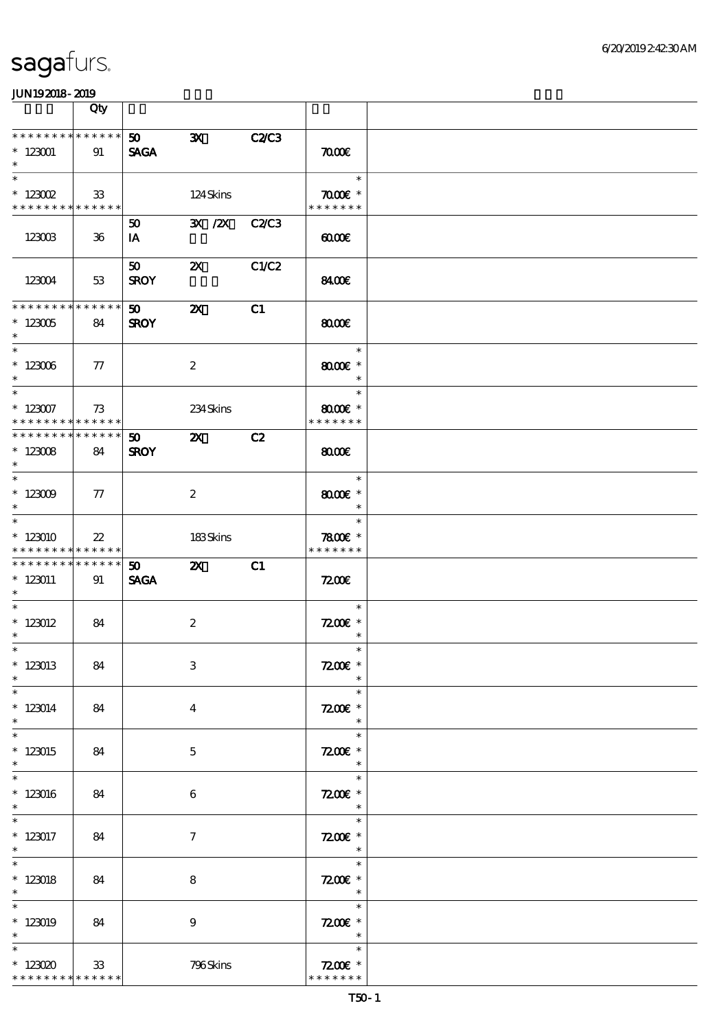|                                                                  | Qty    |                                |                           |              |                                                  |  |
|------------------------------------------------------------------|--------|--------------------------------|---------------------------|--------------|--------------------------------------------------|--|
| * * * * * * * * * * * * * *<br>$*123001$<br>$\ast$               | 91     | 50<br><b>SAGA</b>              | $\mathbf{x}$              | <b>C2/C3</b> | $\pi$                                            |  |
| $\ast$<br>$*$ 123002<br>* * * * * * * * <mark>* * * * * *</mark> | 33     |                                | 124Skins                  |              | $\ast$<br>$\pi$ $\sigma$<br>* * * * * * *        |  |
| 123003                                                           | $36\,$ | 50<br>IA                       | 3X /2X                    | C2C3         | 0000                                             |  |
| 123004                                                           | 53     | 50 <sub>1</sub><br><b>SROY</b> | $\boldsymbol{\mathsf{Z}}$ | C1/C2        | 8400                                             |  |
| * * * * * * * * * * * * * *<br>$*123005$<br>$\ast$               | 84     | 50<br><b>SROY</b>              | $\boldsymbol{\mathsf{Z}}$ | C1           | 8000                                             |  |
| $\ast$<br>$^\ast$ 123006<br>$\ast$                               | 77     |                                | $\boldsymbol{z}$          |              | $\ast$<br>$8000$ $*$<br>$\ast$                   |  |
| $\ast$<br>$*123007$<br>* * * * * * * * * * * * * * *             | 73     |                                | 234Skins                  |              | $\ast$<br>$8000$ $*$<br>* * * * * * *            |  |
| ******** <mark>*******</mark><br>$*123008$<br>$\ast$             | 84     | 50 <sub>o</sub><br><b>SROY</b> | $\mathbf{z}$              | C2           | $\omega$                                         |  |
| $* 123009$<br>$\ast$                                             | $\tau$ |                                | $\boldsymbol{2}$          |              | $\ast$<br>$8000$ $*$<br>$\ast$                   |  |
| $\ast$<br>$*123010$<br>* * * * * * * * * * * * * *               | $22\,$ |                                | 183Skins                  |              | $\ast$<br>$7800$ $*$<br>* * * * * * *            |  |
| * * * * * * * * * * * * * * *<br>$*123011$<br>$\ast$             | 91     | 50 <sub>o</sub><br><b>SAGA</b> | $\mathbf{X}$              | C1           | 7200                                             |  |
| $\ast$<br>$*$ 123012<br>$\ast$                                   | 84     |                                | $\boldsymbol{2}$          |              | $\ast$<br>$7200$ £ *<br>$\ast$                   |  |
| $*$<br>$*123013$<br>$\ast$                                       | 84     |                                | $\,3$                     |              | $\ast$<br>$7200$ £ *<br>$\ast$                   |  |
| $\ast$<br>$*123014$<br>$\ast$                                    | 84     |                                | $\bf{4}$                  |              | $\ast$<br>$7200$ £ *<br>$\ast$                   |  |
| $\overline{\ast}$<br>$*123015$<br>$\ast$                         | 84     |                                | $\mathbf{5}$              |              | $\ast$<br>$7200$ £ *<br>$\ast$                   |  |
| $\ast$<br>$*123016$<br>$\ast$                                    | 84     |                                | 6                         |              | $\ast$<br>$7200$ £ *<br>$\ast$                   |  |
| $*$ 123017<br>$\ast$                                             | 84     |                                | $\tau$                    |              | $\ast$<br>$7200$ £ *<br>$\overline{\phantom{a}}$ |  |
| $\overline{\ast}$<br>$*$ 123018<br>$\ast$                        | 84     |                                | 8                         |              | $\ast$<br>$7200$ £ *<br>$\overline{\phantom{a}}$ |  |
| $\ast$<br>$*123019$<br>$\ast$                                    | 84     |                                | $\boldsymbol{9}$          |              | $\ast$<br>$7200E$ *<br>$\ast$                    |  |
| $\ast$<br>$*123020$<br>* * * * * * * * <mark>* * * * * *</mark>  | 33     |                                | 796Skins                  |              | $\ast$<br>$7200$ £ *<br>* * * * * * *            |  |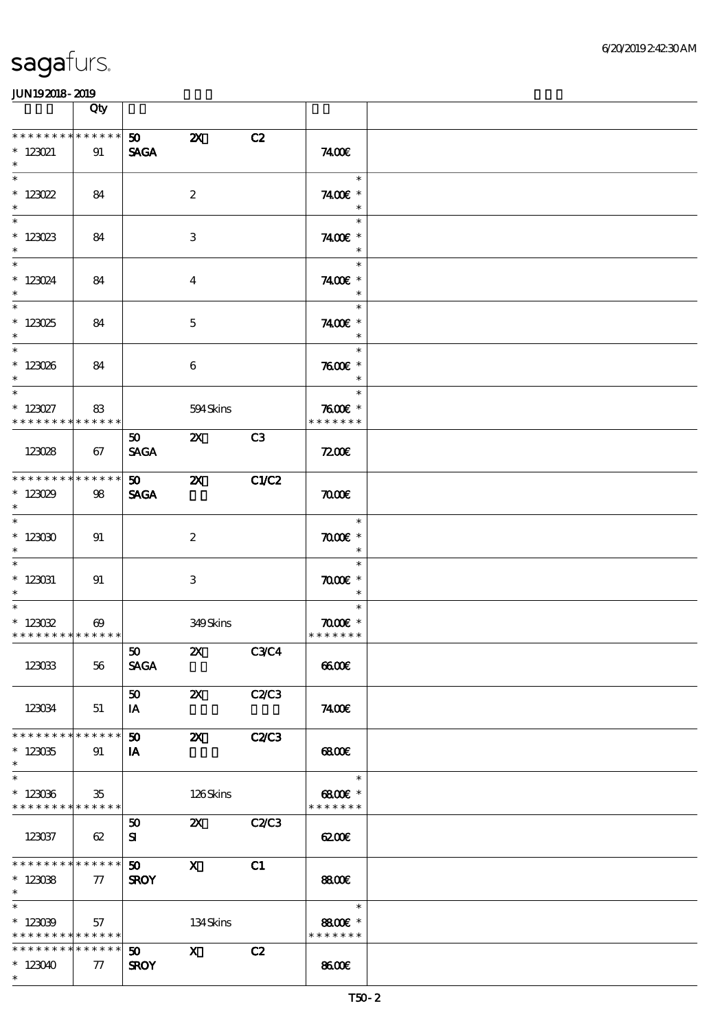|                                                                   | Qty                   |                                |                           |                |                                          |  |
|-------------------------------------------------------------------|-----------------------|--------------------------------|---------------------------|----------------|------------------------------------------|--|
| * * * * * * * * * * * * * *<br>$* 123021$<br>$\ast$               | 91                    | 50<br><b>SAGA</b>              | $\boldsymbol{\mathsf{z}}$ | C2             | 7400E                                    |  |
| $\overline{\ast}$<br>$*123022$<br>$\ast$                          | 84                    |                                | $\boldsymbol{2}$          |                | $\ast$<br>7400€ *<br>$\ast$              |  |
| $*123023$<br>$\ast$                                               | 84                    |                                | 3                         |                | $\ast$<br>7400€ *<br>$\ast$              |  |
| $\overline{\ast}$<br>$* 123024$<br>$\ast$                         | 84                    |                                | $\boldsymbol{4}$          |                | $\ast$<br>7400€ *<br>$\ast$              |  |
| $\overline{\phantom{a}}$<br>$*123025$<br>$\ast$                   | 84                    |                                | $\mathbf 5$               |                | $\ast$<br>7400€ *<br>$\ast$              |  |
| $*$<br>$* 123026$<br>$*$                                          | 84                    |                                | 6                         |                | $\ast$<br>$7600$ $*$<br>$\ast$           |  |
| $\ast$<br>$* 123027$<br>* * * * * * * * * * * * * * *             | 83                    |                                | 594Skins                  |                | $\ast$<br>$7600$ $*$<br>* * * * * * *    |  |
| 123028                                                            | 67                    | 50<br><b>SAGA</b>              | $\mathbf{x}$              | C <sub>3</sub> | 7200                                     |  |
| * * * * * * * * * * * * * * *<br>$*123029$<br>$\ast$              | 98                    | 50<br><b>SAGA</b>              | $\boldsymbol{\mathsf{X}}$ | C1/C2          | $\pi$                                    |  |
| $\overline{\ast}$<br>$^\ast$ 123030<br>$\ast$                     | 91                    |                                | $\boldsymbol{2}$          |                | $\ast$<br>$\pi$ and $*$<br>$\ast$        |  |
| $\ast$<br>$*$ 123031<br>$\ast$                                    | 91                    |                                | 3                         |                | $\ast$<br>$\pi$ and $*$<br>$\ast$        |  |
| $\ast$<br>$* 123022$<br>* * * * * * * * * * * * * *               | $\boldsymbol{\omega}$ |                                | 349Skins                  |                | $\ast$<br>$\pi$ and $*$<br>* * * * * * * |  |
| 123033                                                            | 56                    | 50<br><b>SAGA</b>              | $\mathbf{x}$              | C3C4           | 6600                                     |  |
| 123034                                                            | 51                    | 50<br>IA                       | $\boldsymbol{\mathsf{Z}}$ | C2C3           | 7400E                                    |  |
| * * * * * * * * * * * * * * *<br>$*123035$<br>$\ast$              | 91                    | 50<br>IA                       | $\boldsymbol{\mathsf{X}}$ | <b>C2/C3</b>   | 68000                                    |  |
| $\ast$<br>$*123036$<br>* * * * * * * * <mark>* * * * * * *</mark> | $35\,$                |                                | 126Skins                  |                | $\ast$<br>$6800$ $*$<br>* * * * * * *    |  |
| 123037                                                            | 62                    | 50<br>${\bf s}$                | $\mathbf{X}$              | C2C3           | 6200                                     |  |
| * * * * * * * * * * * * * *<br>$*123088$<br>$\ast$                | $\tau$                | 50 <sub>2</sub><br><b>SROY</b> | $\mathbf{x}$              | C1             | 8800€                                    |  |
| $\ast$<br>$*123039$<br>* * * * * * * * <mark>* * * * * * *</mark> | 57                    |                                | 134Skins                  |                | $\ast$<br>8800€ *<br>* * * * * * *       |  |
| * * * * * * * * * * * * * *<br>$*123040$<br>$\ast$                | $\tau$                | 50<br><b>SROY</b>              | $\mathbf{x}$              | C2             | 8600                                     |  |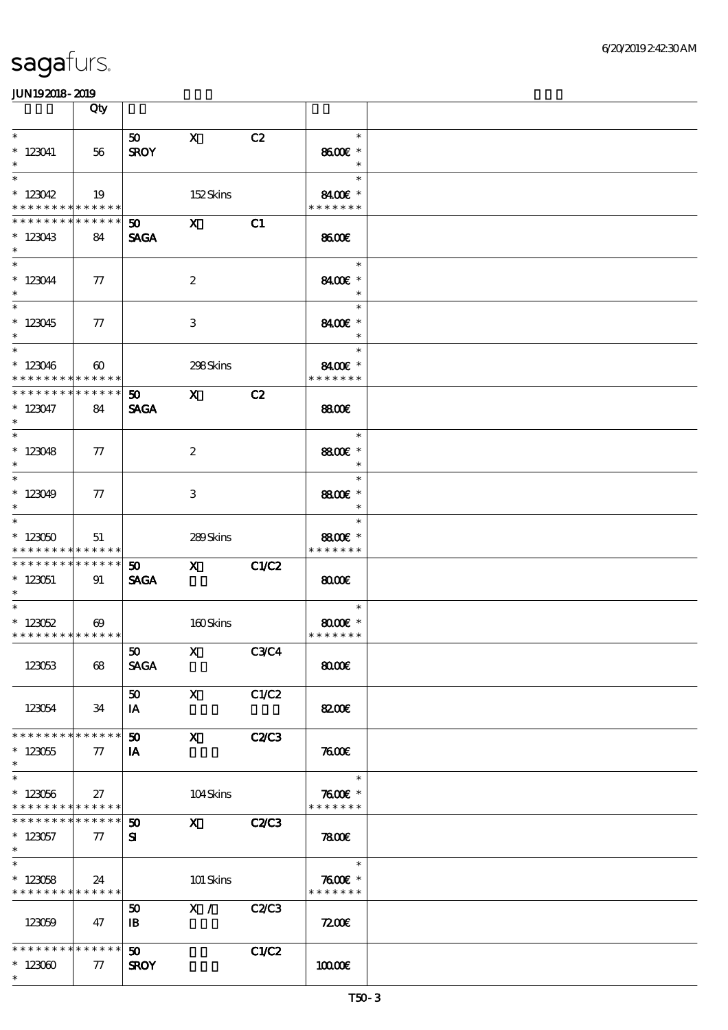|                                                          | Qty                             |                                |                                                                                                                                                                                                                                                                                                                                                                                                                                                               |              |                                    |  |
|----------------------------------------------------------|---------------------------------|--------------------------------|---------------------------------------------------------------------------------------------------------------------------------------------------------------------------------------------------------------------------------------------------------------------------------------------------------------------------------------------------------------------------------------------------------------------------------------------------------------|--------------|------------------------------------|--|
| $\ast$                                                   |                                 | 50                             | $\mathbf{x}$                                                                                                                                                                                                                                                                                                                                                                                                                                                  | C2           | $\ast$                             |  |
| $*123041$                                                | 56                              | <b>SROY</b>                    |                                                                                                                                                                                                                                                                                                                                                                                                                                                               |              | 8600€ *                            |  |
| $\ast$<br>$\ast$                                         |                                 |                                |                                                                                                                                                                                                                                                                                                                                                                                                                                                               |              | $\ast$<br>$\ast$                   |  |
| $*123042$                                                | - 19                            |                                | 152Skins                                                                                                                                                                                                                                                                                                                                                                                                                                                      |              | 8400E *                            |  |
| * * * * * * * *                                          | ******                          |                                |                                                                                                                                                                                                                                                                                                                                                                                                                                                               |              | * * * * * * *                      |  |
| * * * * * * * *<br>$*123043$<br>$\ast$                   | * * * * * *<br>84               | $\mathbf{50}$ X<br><b>SAGA</b> |                                                                                                                                                                                                                                                                                                                                                                                                                                                               | C1           | 8600                               |  |
| $* 123044$<br>$\ast$                                     | $\tau$                          |                                | $\boldsymbol{2}$                                                                                                                                                                                                                                                                                                                                                                                                                                              |              | $\ast$<br>8400€ *<br>$\ast$        |  |
| $\overline{\ast}$<br>$*123045$<br>$\ast$                 | $\tau$                          |                                | 3                                                                                                                                                                                                                                                                                                                                                                                                                                                             |              | $\ast$<br>8400€ *<br>$\ast$        |  |
| $\overline{\phantom{0}}$<br>$*123046$<br>* * * * * * * * | $\boldsymbol{\omega}$<br>****** |                                | 298Skins                                                                                                                                                                                                                                                                                                                                                                                                                                                      |              | $\ast$<br>8400€ *<br>* * * * * * * |  |
| * * * * * * * *                                          | $* * * * * * *$                 | 50                             | $\mathbf x$ and $\mathbf x$ and $\mathbf x$ and $\mathbf x$ and $\mathbf x$ and $\mathbf x$ and $\mathbf x$ and $\mathbf x$ and $\mathbf x$ and $\mathbf x$ and $\mathbf x$ and $\mathbf x$ and $\mathbf x$ and $\mathbf x$ and $\mathbf x$ and $\mathbf x$ and $\mathbf x$ and $\mathbf x$ and $\mathbf x$ and $\mathbf x$ and                                                                                                                               | C2           |                                    |  |
| $* 123047$<br>$\ast$                                     | 84                              | <b>SAGA</b>                    |                                                                                                                                                                                                                                                                                                                                                                                                                                                               |              | <b>8800€</b>                       |  |
| $\ast$                                                   |                                 |                                |                                                                                                                                                                                                                                                                                                                                                                                                                                                               |              | $\ast$                             |  |
| $*123048$<br>$\ast$                                      | 77                              |                                | $\boldsymbol{z}$                                                                                                                                                                                                                                                                                                                                                                                                                                              |              | 8800€ *<br>$\ast$                  |  |
|                                                          |                                 |                                |                                                                                                                                                                                                                                                                                                                                                                                                                                                               |              | $\ast$                             |  |
| $*123049$<br>$\ast$                                      | $\tau$                          |                                | 3                                                                                                                                                                                                                                                                                                                                                                                                                                                             |              | 8800€ *<br>$\ast$                  |  |
| $*$                                                      |                                 |                                |                                                                                                                                                                                                                                                                                                                                                                                                                                                               |              | $\ast$                             |  |
| $*123050$<br>* * * * * * * * * * * * * *                 | 51                              |                                | 289Skins                                                                                                                                                                                                                                                                                                                                                                                                                                                      |              | 8800€ *<br>* * * * * * *           |  |
| * * * * * * * * * * * * * * *                            |                                 | 50 <sub>2</sub>                | $\boldsymbol{\mathrm{X}}$ and $\boldsymbol{\mathrm{X}}$ and $\boldsymbol{\mathrm{X}}$ and $\boldsymbol{\mathrm{X}}$ and $\boldsymbol{\mathrm{X}}$ and $\boldsymbol{\mathrm{X}}$ and $\boldsymbol{\mathrm{X}}$ and $\boldsymbol{\mathrm{X}}$ and $\boldsymbol{\mathrm{X}}$ and $\boldsymbol{\mathrm{X}}$ and $\boldsymbol{\mathrm{X}}$ and $\boldsymbol{\mathrm{X}}$ and $\boldsymbol{\mathrm{X}}$ and $\boldsymbol{\mathrm{X}}$ and $\boldsymbol{\mathrm{X}}$ | C1/C2        |                                    |  |
| $* 123051$<br>$*$                                        | 91                              | <b>SAGA</b>                    |                                                                                                                                                                                                                                                                                                                                                                                                                                                               |              | $\omega$                           |  |
| $*$                                                      |                                 |                                |                                                                                                                                                                                                                                                                                                                                                                                                                                                               |              | $\ast$                             |  |
| $* 123052$                                               | $\boldsymbol{\omega}$           |                                | 160Skins                                                                                                                                                                                                                                                                                                                                                                                                                                                      |              | $8000$ $*$                         |  |
| ******** <mark>******</mark>                             |                                 | 50                             | $X$ C3C4                                                                                                                                                                                                                                                                                                                                                                                                                                                      |              | * * * * * * *                      |  |
| 123053                                                   | 68                              | <b>SAGA</b>                    |                                                                                                                                                                                                                                                                                                                                                                                                                                                               |              | 8000                               |  |
|                                                          |                                 | 50                             | $\mathbf{x}$                                                                                                                                                                                                                                                                                                                                                                                                                                                  | C1/C2        |                                    |  |
| 123054                                                   | 34                              | IA                             |                                                                                                                                                                                                                                                                                                                                                                                                                                                               |              | 8200€                              |  |
| * * * * * * * *                                          | * * * * * *                     | $50^{\circ}$                   | $\mathbf{x}$                                                                                                                                                                                                                                                                                                                                                                                                                                                  | <b>C2/C3</b> |                                    |  |
| $*123055$<br>$\ast$                                      | 77                              | IA                             |                                                                                                                                                                                                                                                                                                                                                                                                                                                               |              | 7600                               |  |
| $\overline{\ast}$                                        |                                 |                                |                                                                                                                                                                                                                                                                                                                                                                                                                                                               |              | $\ast$                             |  |
| $* 123056$<br>* * * * * * * * * * * * * *                | 27                              |                                | 104Skins                                                                                                                                                                                                                                                                                                                                                                                                                                                      |              | $7600$ $*$<br>* * * * * * *        |  |
| * * * * * * * *                                          | ******                          | $\boldsymbol{\mathfrak{w}}$    | $\mathbf X$                                                                                                                                                                                                                                                                                                                                                                                                                                                   | <b>C2/C3</b> |                                    |  |
| $*123057$<br>$*$                                         | $\tau$                          | ${\bf s}$                      |                                                                                                                                                                                                                                                                                                                                                                                                                                                               |              | 7800                               |  |
| $\overline{\ast}$                                        |                                 |                                |                                                                                                                                                                                                                                                                                                                                                                                                                                                               |              | $\ast$                             |  |
| $*123058$                                                | 24                              |                                | 101 Skins                                                                                                                                                                                                                                                                                                                                                                                                                                                     |              | $7600$ $*$                         |  |
| * * * * * * * * * * * * * *                              |                                 | 50                             | X /                                                                                                                                                                                                                                                                                                                                                                                                                                                           | C2C3         | * * * * * * *                      |  |
| 123059                                                   | 47                              | $\mathbf{B}$                   |                                                                                                                                                                                                                                                                                                                                                                                                                                                               |              | 7200                               |  |
| * * * * * * * *                                          | $* * * * * * *$                 | 50 <sub>o</sub>                |                                                                                                                                                                                                                                                                                                                                                                                                                                                               | <b>C1/C2</b> |                                    |  |
| $*123000$<br>$\ast$                                      | 77                              | <b>SROY</b>                    |                                                                                                                                                                                                                                                                                                                                                                                                                                                               |              | 10000E                             |  |
|                                                          |                                 |                                |                                                                                                                                                                                                                                                                                                                                                                                                                                                               |              |                                    |  |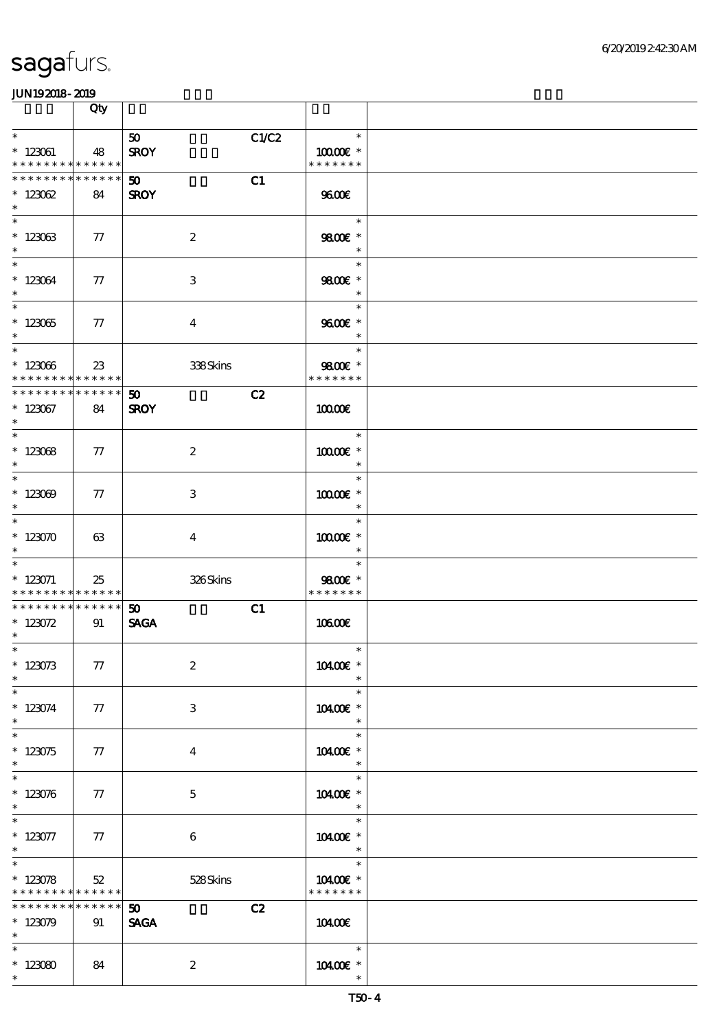|                                                 | Qty                   |                          |                             |  |
|-------------------------------------------------|-----------------------|--------------------------|-----------------------------|--|
| $\ast$                                          |                       | C1/C2<br>50 <sub>o</sub> | $\ast$                      |  |
| $* 123061$<br>* * * * * * * * * * * * * *       | 48                    | <b>SROY</b>              | $10000E$ *<br>* * * * * * * |  |
| * * * * * * * * * * * * * *                     |                       | C1<br>50 <sub>2</sub>    |                             |  |
| $* 123062$<br>$\ast$                            | 84                    | <b>SROY</b>              | 9600                        |  |
| $\ast$                                          |                       |                          | $\ast$                      |  |
| $*123063$<br>$\ast$                             | 77                    | $\boldsymbol{2}$         | 9800€ *<br>$\ast$           |  |
| $\overline{\phantom{0}}$                        |                       |                          | $\ast$                      |  |
| $*123064$<br>$\ast$                             | 77                    | $\,3\,$                  | 9800€ *<br>$\ast$           |  |
| $\overline{\ast}$                               |                       |                          | $\ast$                      |  |
| $* 12305$<br>$\ast$                             | 77                    | $\bf{4}$                 | 9600€ *<br>$\ast$           |  |
| $\overline{\phantom{0}}$                        |                       |                          | $\ast$                      |  |
| $* 123066$                                      | 23                    | 338Skins                 | 9800€ *                     |  |
| * * * * * * * * * * * * * * *<br>************** |                       | C2<br>50                 | * * * * * * *               |  |
| $^\ast$ 123067<br>$\ast$                        | 84                    | <b>SROY</b>              | 10000E                      |  |
| $\ast$                                          |                       |                          | $\ast$                      |  |
| $* 12308$                                       | 77                    | $\boldsymbol{2}$         | $10000E$ *                  |  |
| $\ast$                                          |                       |                          | $\ast$                      |  |
| $\ast$                                          |                       |                          | $\ast$                      |  |
| $*123009$<br>$\ast$                             | 77                    | 3                        | 10000E *<br>$\ast$          |  |
| $\ast$                                          |                       |                          | $\ast$                      |  |
| $* 123070$<br>$\ast$                            | 63                    | $\overline{\mathbf{4}}$  | 10000€ *<br>$\ast$          |  |
| $\ast$                                          |                       |                          | $\ast$                      |  |
| $* 123071$<br>* * * * * * * * * * * * * *       | 25                    | 326Skins                 | 9800€ *<br>* * * * * * *    |  |
| * * * * * * * * * * * * * * *                   |                       | C1<br>50                 |                             |  |
| $* 123072$<br>$\ast$                            | 91                    | <b>SAGA</b>              | 10600E                      |  |
| $*$                                             |                       |                          | $*$                         |  |
| $* 123073$                                      | 77                    | $\boldsymbol{2}$         | 10400€ *                    |  |
| $\ast$<br>$\ast$                                |                       |                          | $\ast$<br>$\ast$            |  |
| $*123074$                                       | 77                    | $\,3$                    | 10400€ *                    |  |
| $\ast$                                          |                       |                          | $\ast$                      |  |
| $\ast$                                          |                       |                          | $\ast$                      |  |
| $* 123075$<br>$\ast$                            | 77                    | $\bf{4}$                 | 10400€ *<br>$\ast$          |  |
| $\ast$                                          |                       |                          | $\ast$                      |  |
| $* 123076$<br>$\ast$                            | 77                    | $\mathbf{5}$             | 10400€ *<br>$\ast$          |  |
| $\ast$                                          |                       |                          | $\ast$                      |  |
| $* 123077$<br>$\ast$                            | 77                    | 6                        | 10400E *<br>$\ast$          |  |
| $\overline{\ast}$                               |                       |                          | $\ast$                      |  |
| $* 123078$<br>* * * * * * * *                   | $52\,$<br>* * * * * * | 528Skins                 | 10400€ *<br>* * * * * * *   |  |
| * * * * * * *                                   | $* * * * * * *$       | C2<br>50                 |                             |  |
| $*123079$                                       | 91                    | <b>SAGA</b>              | 10400E                      |  |
| $\ast$                                          |                       |                          |                             |  |
| $\ast$                                          |                       |                          | $\ast$                      |  |
| $*123080$<br>$\ast$                             | 84                    | $\boldsymbol{2}$         | 10400E *                    |  |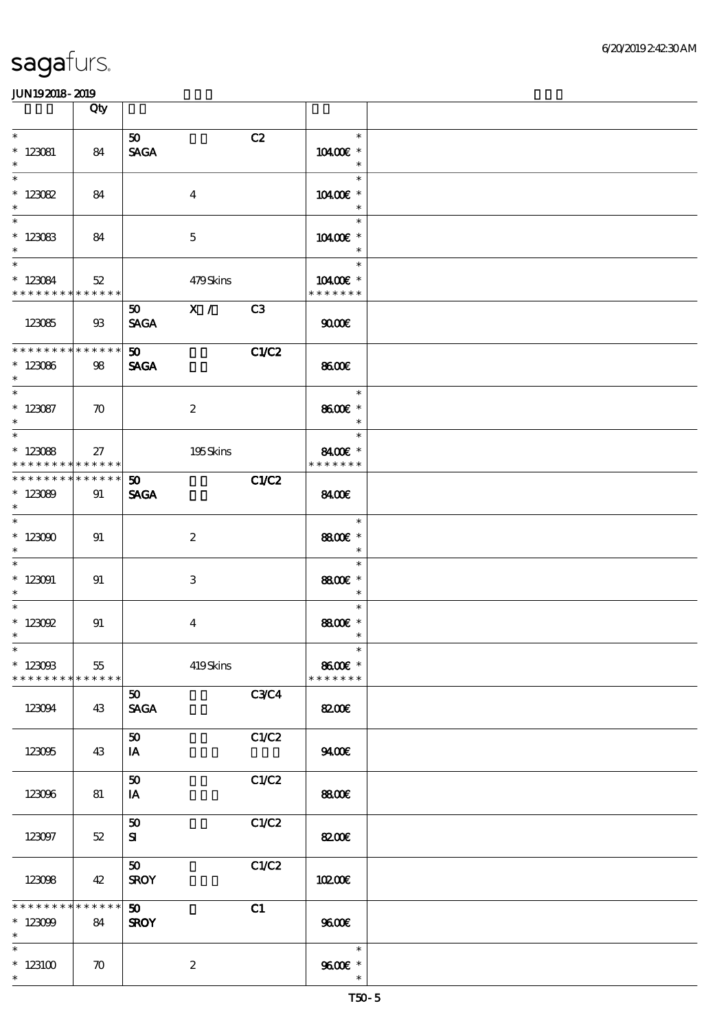|                                                                                   | Qty                |                                |       |                                       |  |
|-----------------------------------------------------------------------------------|--------------------|--------------------------------|-------|---------------------------------------|--|
| $\ast$<br>$* 123081$<br>$\ast$                                                    | 84                 | 50 <sub>o</sub><br><b>SAGA</b> | C2    | $\ast$<br>10400€ *<br>$\ast$          |  |
| $\ast$<br>$* 123082$<br>$\ast$                                                    | 84                 | $\bf{4}$                       |       | $\ast$<br>10400€ *<br>$\ast$          |  |
| $\overline{\phantom{0}}$<br>$*123083$<br>$\ast$                                   | 84                 | $\mathbf{5}$                   |       | $\ast$<br>10400€ *<br>$\ast$          |  |
| $\overline{\phantom{a}^*}$<br>$* 123084$<br>* * * * * * * * * * * * * *           | 52                 | 479Skins                       |       | $\ast$<br>10400€ *<br>* * * * * * *   |  |
| 123085                                                                            | $\mathfrak{B}$     | 50 X / C3<br><b>SAGA</b>       |       | 9000                                  |  |
| * * * * * * * * * * * * * *<br>$*123086$<br>$\ast$                                | 98                 | 50<br><b>SAGA</b>              | C1/C2 | 8600€                                 |  |
| $\overline{\phantom{0}}$<br>$*123087$<br>$\ast$                                   | $\boldsymbol{\pi}$ | $\boldsymbol{2}$               |       | $\ast$<br>8600€ *<br>$\ast$           |  |
| $\overline{\phantom{0}}$<br>$*123088$<br>* * * * * * * * <mark>* * * * * *</mark> | 27                 | 195Skins                       |       | $\ast$<br>8400€ *<br>* * * * * * *    |  |
| * * * * * * * *<br>$*123089$<br>$\ast$                                            | * * * * * *<br>91  | 50 <sub>2</sub><br><b>SAGA</b> | C1/C2 | 8400€                                 |  |
| $\overline{\ast}$<br>$*123000$<br>$\ast$                                          | 91                 | $\boldsymbol{2}$               |       | $\ast$<br>8800€ *<br>$\ast$           |  |
| $\ast$<br>$*123091$<br>$\ast$                                                     | 91                 | 3                              |       | $\ast$<br>8800€ *<br>$\ast$           |  |
| $\ast$<br>$* 123092$<br>$\ast$                                                    | 91                 | $\bf{4}$                       |       | $\ast$<br>8800€ *<br>$\ast$           |  |
| $*$ and $*$<br>$*123093$<br>* * * * * * * *                                       | 55<br>* * * * * *  | 419Skins                       |       | $\ast$<br>8600€ *<br>* * * * * * *    |  |
| 123094                                                                            | 43                 | 50 <sub>1</sub><br><b>SAGA</b> | C3C4  | <b>82006</b>                          |  |
| 123095                                                                            | 43                 | 50<br>IA                       | C1/C2 | 9400                                  |  |
| 123096                                                                            | 81                 | ${\bf 50}$<br>IA               | C1/C2 | 8800€                                 |  |
| 123097                                                                            | $52\,$             | 50<br>${\bf s}$                | C1/C2 | <b>82006</b>                          |  |
| 123098                                                                            | 42                 | 50<br><b>SROY</b>              | C1/C2 | 10200E                                |  |
| * * * * * * * * * * * * * *<br>$*123099$<br>$\ast$                                | 84                 | 50 <sub>1</sub><br><b>SROY</b> | C1    | 9600                                  |  |
| $\ast$<br>$*123100$<br>$\ast$                                                     | $\boldsymbol{\pi}$ | $\boldsymbol{2}$               |       | $\ast$<br>$9600E$ $^{\ast}$<br>$\ast$ |  |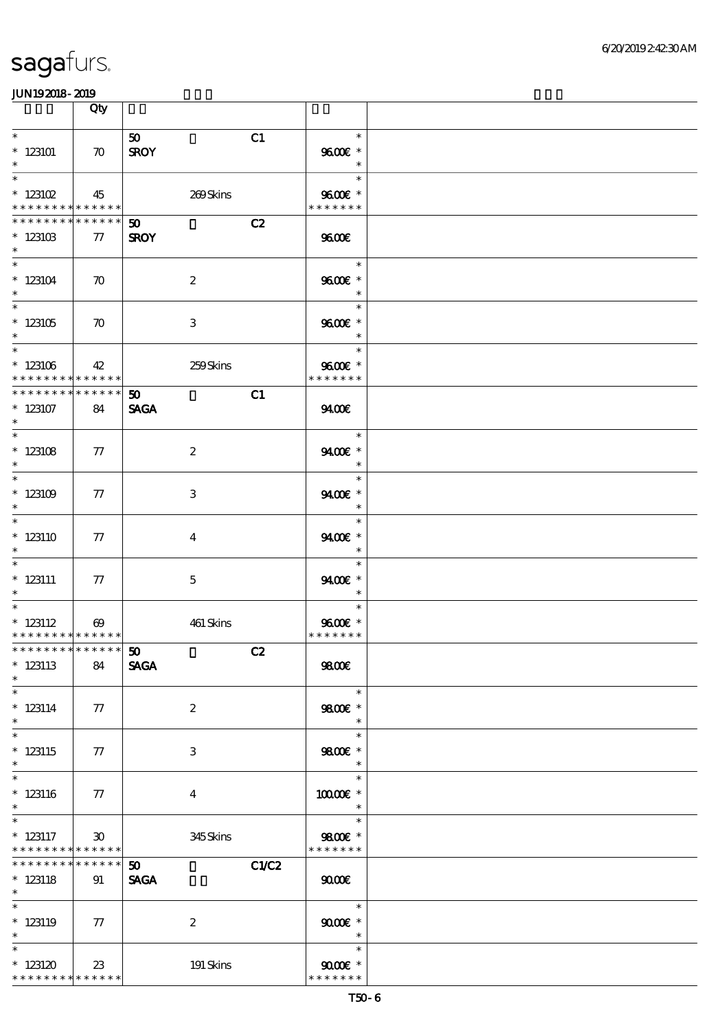|                                                                    | Qty                         |                                                  |                                                                |  |
|--------------------------------------------------------------------|-----------------------------|--------------------------------------------------|----------------------------------------------------------------|--|
| $\ast$<br>$*123101$<br>$\ast$                                      | $\boldsymbol{\pi}$          | C1<br>50 <sub>1</sub><br><b>SROY</b>             | $\ast$<br>9600€ *<br>$\ast$                                    |  |
| $\ast$<br>$*$ 123102<br>* * * * * * * * <mark>* * * * * * *</mark> | 45                          | 269Skins                                         | $\ast$<br>9600€ *<br>* * * * * * *                             |  |
| * * * * * * * * * * * * * *<br>$*123103$<br>$\ast$                 | 77                          | C2<br>$\boldsymbol{\mathfrak{D}}$<br><b>SROY</b> | 9600                                                           |  |
| $\ast$<br>$*123104$<br>$\ast$                                      | $\boldsymbol{\pi}$          | $\boldsymbol{2}$                                 | $\ast$<br>9600€ *<br>$\ast$                                    |  |
| $\overline{\ast}$<br>$*123105$<br>$\ast$                           | $\boldsymbol{\pi}$          | 3                                                | $\ast$<br>9600€ *<br>$\ast$                                    |  |
| $\overline{\ast}$<br>$*123106$<br>* * * * * * * * * * * * * *      | 42                          | 259Skins                                         | $\overline{\phantom{a}}$<br>$\ast$<br>9600€ *<br>* * * * * * * |  |
| ********<br>$*123107$<br>$\ast$                                    | * * * * * *<br>84           | 50 <sub>o</sub><br>C1<br><b>SAGA</b>             | 9400                                                           |  |
| $\overline{\ast}$<br>$*123108$<br>$\ast$                           | 77                          | $\boldsymbol{z}$                                 | $\ast$<br>9400€ *<br>$\ast$                                    |  |
| $\overline{\ast}$<br>$*123109$<br>$\ast$                           | $\tau$                      | 3                                                | $\ast$<br>9400€ *<br>$\ast$                                    |  |
| $\ast$<br>$*123110$<br>$\ast$                                      | $\tau$                      | $\overline{4}$                                   | $\ast$<br>9400€ *<br>$\ast$                                    |  |
| $\ast$<br>$* 123111$<br>$\ast$                                     | $\tau$                      | $\mathbf{5}$                                     | $\ast$<br>9400€ *<br>$\ast$                                    |  |
| $\ast$<br>$*$ 123112<br>* * * * * * * * * * * * * *                | $\boldsymbol{\omega}$       | 461 Skins                                        | $\ast$<br>9600€ *<br>* * * * * * *                             |  |
| **************** 50<br>$*$ 123113<br>$\ast$                        | 84                          | C2<br><b>SAGA</b>                                | 9800                                                           |  |
| $\ast$<br>$* 123114$<br>$\ast$                                     | 77                          | $\boldsymbol{z}$                                 | $\ast$<br>$9800$ $^\ast$<br>$\ast$                             |  |
| $\overline{\ast}$<br>$*123115$<br>$\ast$                           | 77                          | 3                                                | $\ast$<br>9800€ *<br>$\ast$                                    |  |
| $\ast$<br>$* 123116$<br>$\ast$<br>$_{*}^{-}$                       | $\tau$                      | $\overline{4}$                                   | $\ast$<br>10000€ *<br>$\ast$                                   |  |
| $*123117$<br>* * * * * * * * * * * * * *                           | $\boldsymbol{\mathfrak{D}}$ | 345Skins                                         | $\ast$<br>9800€ *<br>* * * * * * *                             |  |
| * * * * * * * *<br>$* 123118$<br>$*$                               | * * * * * *<br>91           | <b>C1/C2</b><br>50 <sub>o</sub><br><b>SAGA</b>   | 9000                                                           |  |
| $\ast$<br>$*123119$<br>$\ast$                                      | $\tau$                      | $\boldsymbol{2}$                                 | $\ast$<br>$9000$ $*$<br>$\ast$                                 |  |
| $\ast$<br>$*123120$<br>* * * * * * * * * * * * * *                 | 23                          | 191 Skins                                        | $\ast$<br>$9000$ $^{\circ}$<br>* * * * * * *                   |  |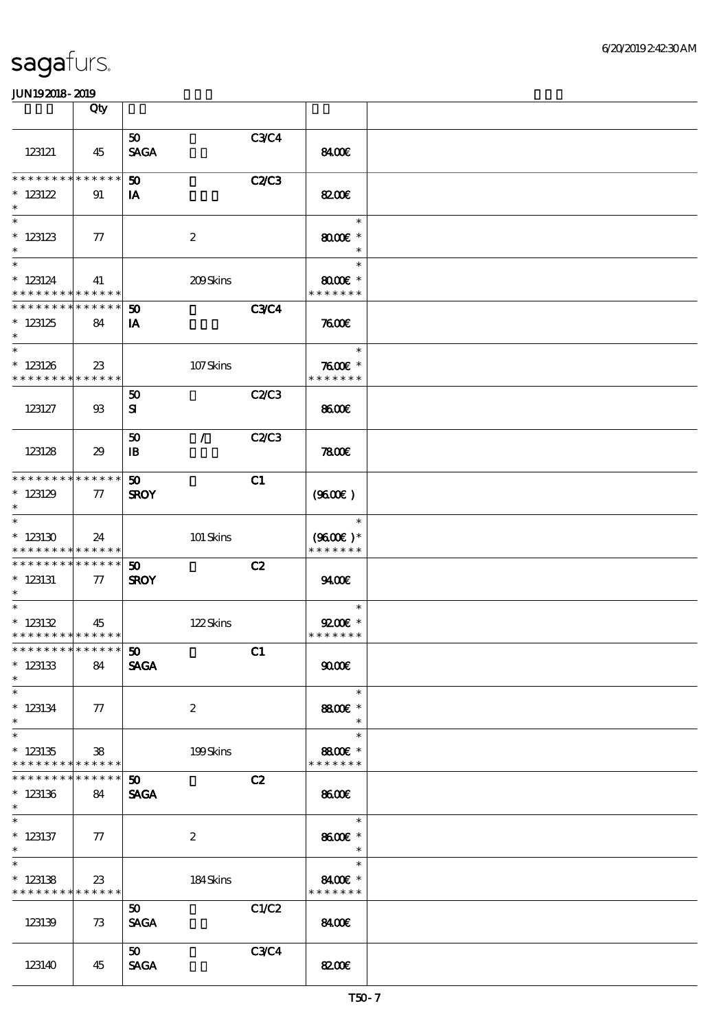|                                                               | Qty               |                                            |              |                                       |  |
|---------------------------------------------------------------|-------------------|--------------------------------------------|--------------|---------------------------------------|--|
| 123121                                                        | 45                | 50 <sub>o</sub><br><b>SAGA</b>             | C3C4         | 8400                                  |  |
| * * * * * * * * * * * * * *<br>$*$ 123122<br>$\ast$           | 91                | $\boldsymbol{\mathfrak{D}}$<br>IA          | <b>C2/C3</b> | <b>82006</b>                          |  |
| $\ast$<br>$*123123$<br>$\ast$                                 | $\tau$            | $\boldsymbol{2}$                           |              | $\ast$<br>$8000$ $*$<br>$\ast$        |  |
| $\ast$<br>$*123124$<br>* * * * * * * * * * * * * *            | 41                | 209Skins                                   |              | $\ast$<br>$8000$ $*$<br>* * * * * * * |  |
| * * * * * * * * * * * * * *<br>$*123125$<br>$\ast$            | 84                | $\boldsymbol{\omega}$<br>IA                | <b>C3C4</b>  | 7600E                                 |  |
| $\ast$<br>$*123126$<br>* * * * * * * * * * * * * *            | 23                | 107Skins                                   |              | $\ast$<br>$7600$ $*$<br>* * * * * * * |  |
| 123127                                                        | $\mathfrak{B}$    | 50<br>${\bf s}$                            | C2/C3        | 8600€                                 |  |
| 123128                                                        | 29                | $\mathcal{L}$<br>50<br>$\mathbf{B}$        | <b>C2/C3</b> | 7800                                  |  |
| * * * * * * * * * * * * * *<br>$*123129$<br>$\ast$            | $\pi$             | 50<br><b>SROY</b>                          | C1           | (9600)                                |  |
| $\ast$<br>$*123130$<br>* * * * * * * * * * * * * *            | 24                | 101 Skins                                  |              | $\ast$<br>$(9600)$ *<br>* * * * * * * |  |
| * * * * * * * * * * * * * * *<br>$*123131$<br>$\ast$          | $\tau$            | $\boldsymbol{\mathfrak{D}}$<br><b>SROY</b> | C2           | 9400                                  |  |
| $\ast$<br>$* 123132$<br>* * * * * * * * * * * * * *           | 45                | 122Skins                                   |              | $\ast$<br>$Q200E$ *<br>* * * * * * *  |  |
| *************** 50<br>$*123133$<br>$\ast$                     | 84                | <b>SAGA</b>                                | C1           | 9000                                  |  |
| $\ast$<br>$*$ 123134<br>$\ast$                                | 77                | $\boldsymbol{2}$                           |              | $\ast$<br>8800€ *<br>$\ast$           |  |
| $\ast$<br>$*123135$<br>* * * * * * * * * * * * * *            | 38                | 199Skins                                   |              | $\ast$<br>8800€ *<br>* * * * * * *    |  |
| * * * * * * * *<br>$*123136$<br>$\ast$                        | * * * * * *<br>84 | $\boldsymbol{\mathfrak{D}}$<br><b>SAGA</b> | C2           | 8600€                                 |  |
| $\overline{\phantom{0}}$<br>$*$ 123137<br>$\ast$              | $\tau$            | $\boldsymbol{2}$                           |              | $\ast$<br>8600€ *<br>$\ast$           |  |
| $\overline{\ast}$<br>$*123138$<br>* * * * * * * * * * * * * * | 23                | 184Skins                                   |              | $\ast$<br>8400€ *<br>* * * * * * *    |  |
| 123139                                                        | 73                | 50<br><b>SAGA</b>                          | C1/C2        | 8400€                                 |  |
| 123140                                                        | 45                | 50<br><b>SAGA</b>                          | <b>C3C4</b>  | <b>82006</b>                          |  |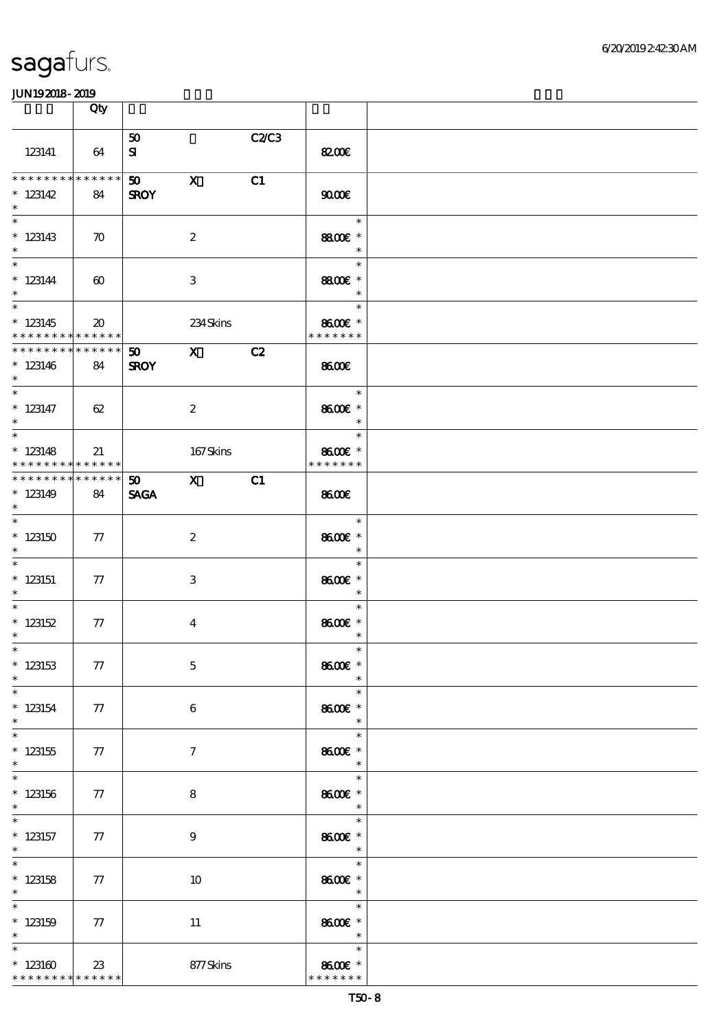|                                                                      | Qty                         |                                |                         |       |                                               |  |
|----------------------------------------------------------------------|-----------------------------|--------------------------------|-------------------------|-------|-----------------------------------------------|--|
| 123141                                                               | 64                          | 50<br>${\bf s}$                |                         | C2/C3 | 8200€                                         |  |
| **************<br>$* 123142$<br>$\ast$                               | 84                          | 50 <sub>1</sub><br><b>SROY</b> | $\mathbf{x}$            | C1    | 9000                                          |  |
| $\overline{\ast}$<br>$*123143$<br>$\ast$                             | $\boldsymbol{\pi}$          |                                | $\boldsymbol{2}$        |       | $\overline{\phantom{a}}$<br>8800€ *<br>$\ast$ |  |
| $\overline{\ast}$<br>$* 123144$<br>$\ast$                            | $\boldsymbol{\omega}$       |                                | 3                       |       | $\ast$<br>8800€ *<br>$\ast$                   |  |
| $\overline{\phantom{0}}$<br>$*123145$<br>* * * * * * * * * * * * * * | $\boldsymbol{\mathfrak{D}}$ |                                | 234Skins                |       | $\ast$<br>8600€ *<br>* * * * * * *            |  |
| **************<br>$*123146$<br>$\ast$                                | 84                          | 50<br><b>SROY</b>              | $\mathbf x$             | C2    | 8600                                          |  |
| $\overline{\ast}$<br>$* 123147$<br>$\ast$                            | 62                          |                                | $\boldsymbol{2}$        |       | $\ast$<br>8600€ *<br>$\ast$                   |  |
| $\overline{\phantom{0}}$<br>$*123148$<br>* * * * * * * * * * * * * * | 21                          |                                | 167Skins                |       | $\ast$<br>8600€ *<br>* * * * * * *            |  |
| * * * * * * * * * * * * * * *<br>$*123149$<br>$\ast$                 | 84                          | <b>SAGA</b>                    | 50 X                    | C1    | 8600                                          |  |
| $*123150$<br>$\ast$<br>$\overline{\phantom{0}}$                      | $77\,$                      |                                | $\boldsymbol{2}$        |       | $\ast$<br>8600€ *<br>$\ast$                   |  |
| $*$ 123151<br>$\ast$                                                 | 77                          |                                | 3                       |       | $\ast$<br>8600€ *<br>$\ast$                   |  |
| $*$ 123152<br>$\ast$<br>$*$ $*$                                      | 77                          |                                | $\overline{\mathbf{4}}$ |       | $\ast$<br>8600€ *<br>$\ast$                   |  |
| $*$ 123153<br>$\ast$<br>$\ast$                                       | 77                          |                                | $\mathbf 5$             |       | $\ast$<br>8600€ *<br>$\ast$                   |  |
| $*$ 123154<br>$\ast$<br>$\overline{\ast}$                            | 77                          |                                | 6                       |       | 8600€ *<br>$\ast$<br>$\ast$                   |  |
| $^*$ 123155<br>$\ast$<br>$\ast$                                      | 77                          |                                | $\tau$                  |       | 8600€ *<br>$\ast$<br>$\ast$                   |  |
| $*$ 123156<br>$\ast$<br>$\overline{\phantom{0}}$                     | 77                          |                                | 8                       |       | 8600€ *<br>$\ast$<br>$\ast$                   |  |
| $*$ 123157<br>$*$<br>$\overline{\phantom{0}}$                        | 77                          |                                | $\boldsymbol{9}$        |       | 8600€ *<br>$\overline{\phantom{a}}$<br>$\ast$ |  |
| $*$ 123158<br>$\ast$<br>$\ast$                                       | 77                          |                                | 10                      |       | 8600€ *<br>$\overline{\phantom{a}}$<br>$\ast$ |  |
| $*$ 123159<br>$\ast$<br>$\ast$                                       | 77                          |                                | 11                      |       | 8600€ *<br>$\ast$<br>$\ast$                   |  |
| $^*$ 123160 $\,$<br>* * * * * * * * * * * * * *                      | 23                          |                                | 877Skins                |       | 8600€ *<br>* * * * * * *                      |  |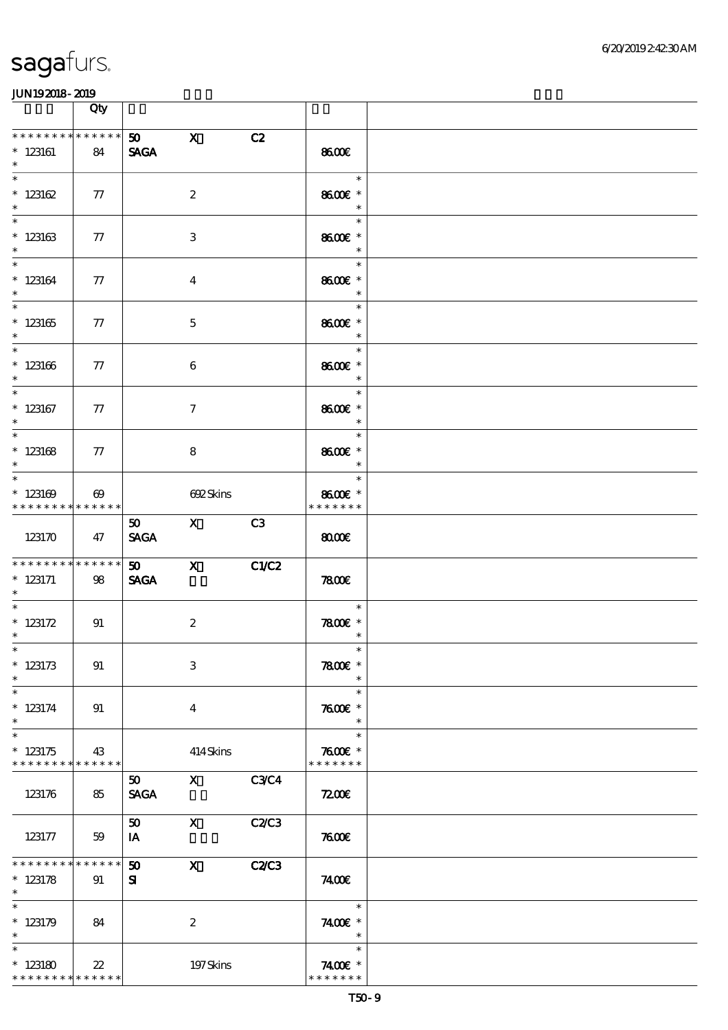|                                                      | Qty                   |                                |                                                                                                                                                                                                                                                                                                                                 |              |                                                                 |  |
|------------------------------------------------------|-----------------------|--------------------------------|---------------------------------------------------------------------------------------------------------------------------------------------------------------------------------------------------------------------------------------------------------------------------------------------------------------------------------|--------------|-----------------------------------------------------------------|--|
| * * * * * * * * * * * * * *<br>$*123161$<br>$\ast$   | 84                    | 50<br><b>SAGA</b>              | $\mathbf x$                                                                                                                                                                                                                                                                                                                     | C2           | 8600€                                                           |  |
| $\overline{\ast}$<br>$* 123162$<br>$\ast$            | $\pi$                 |                                | $\boldsymbol{2}$                                                                                                                                                                                                                                                                                                                |              | $\ast$<br>8600€ *<br>$\ast$                                     |  |
| $*123163$<br>$\ast$                                  | 77                    |                                | 3                                                                                                                                                                                                                                                                                                                               |              | $\ast$<br>8600€ *<br>$\ast$                                     |  |
| $\overline{\ast}$<br>$*123164$<br>$\ast$             | ${\bf \tau}$          |                                | $\boldsymbol{4}$                                                                                                                                                                                                                                                                                                                |              | $\ast$<br>8600€ *<br>$\ast$                                     |  |
| $\overline{\phantom{0}}$<br>$^*$ 123165<br>$\ast$    | $\tau$                |                                | $\mathbf{5}$                                                                                                                                                                                                                                                                                                                    |              | $\ast$<br>8600€ *<br>$\ast$                                     |  |
| $\ast$<br>$^\ast$ 123166<br>$\ast$                   | 77                    |                                | $\boldsymbol{6}$                                                                                                                                                                                                                                                                                                                |              | <u>a sa sa</u><br>$\ast$<br>8600€ *<br>$\overline{\phantom{a}}$ |  |
| $\ast$<br>$*$ 123167<br>$\ast$                       | 77                    |                                | $\tau$                                                                                                                                                                                                                                                                                                                          |              | $\ast$<br>8600€ *<br>$\ast$                                     |  |
| $\overline{\phantom{0}}$<br>$^\ast$ 123168<br>$\ast$ | 77                    |                                | 8                                                                                                                                                                                                                                                                                                                               |              | $\ast$<br>8600€ *<br>$\ast$                                     |  |
| $\ast$<br>$*123169$<br>* * * * * * * * * * * * * *   | $\boldsymbol{\omega}$ |                                | <b>GQ2Skins</b>                                                                                                                                                                                                                                                                                                                 |              | $\ast$<br>8600€ *<br>* * * * * * *                              |  |
| 123170                                               | 47                    | 50<br><b>SACA</b>              | $\mathbf X$ and $\mathbf X$ and $\mathbf X$ and $\mathbf X$ and $\mathbf X$ and $\mathbf X$ and $\mathbf X$ and $\mathbf X$ and $\mathbf X$ and $\mathbf X$ and $\mathbf X$ and $\mathbf X$ and $\mathbf X$ and $\mathbf X$ and $\mathbf X$ and $\mathbf X$ and $\mathbf X$ and $\mathbf X$ and $\mathbf X$ and $\mathbf X$ and | C3           | 8000                                                            |  |
| **************<br>$* 123171$<br>$*$                  | 98                    | 50<br><b>SAGA</b>              | $\mathbf{x}$                                                                                                                                                                                                                                                                                                                    | C1/C2        | 7800                                                            |  |
| * $123172$<br>$*$                                    | 91                    |                                | $\boldsymbol{2}$                                                                                                                                                                                                                                                                                                                |              | $\ast$<br>$7800$ $*$<br>$\ast$                                  |  |
| $*$<br>$* 123173$<br>$\ast$                          | 91                    |                                | $\,3$                                                                                                                                                                                                                                                                                                                           |              | $\ast$<br>$7800$ $*$<br>$\ast$                                  |  |
| $\ast$<br>$* 123174$<br>$\ast$                       | 91                    |                                | $\overline{4}$                                                                                                                                                                                                                                                                                                                  |              | $\ast$<br>$7600$ $*$<br>$\ast$                                  |  |
| $\ast$<br>$*123175$<br>* * * * * * * * * * * * * *   | 43                    |                                | 414Skins                                                                                                                                                                                                                                                                                                                        |              | $\ast$<br>$7600$ $*$<br>* * * * * * *                           |  |
| 123176                                               | 85                    | 50 <sub>1</sub><br><b>SAGA</b> | $\mathbf{X}$                                                                                                                                                                                                                                                                                                                    | <b>C3C4</b>  | 7200E                                                           |  |
| 123177                                               | 59                    | 50<br>IA                       | $\mathbf{X}$                                                                                                                                                                                                                                                                                                                    | C2C3         | 7600                                                            |  |
| * * * * * * * *<br>$* 123178$<br>$\ast$              | * * * * * *<br>91     | 50<br>${\bf s}$                | $\mathbf{x}$                                                                                                                                                                                                                                                                                                                    | <b>C2/C3</b> | 7400E                                                           |  |
| $\ast$<br>$* 123179$<br>$\ast$                       | 84                    |                                | $\boldsymbol{2}$                                                                                                                                                                                                                                                                                                                |              | $\ast$<br>7400€ *<br>$\ast$                                     |  |
| $\ast$<br>$*123180$<br>* * * * * * * * * * * * * *   | 22                    |                                | 197Skins                                                                                                                                                                                                                                                                                                                        |              | $\ast$<br>7400 £*<br>* * * * * * *                              |  |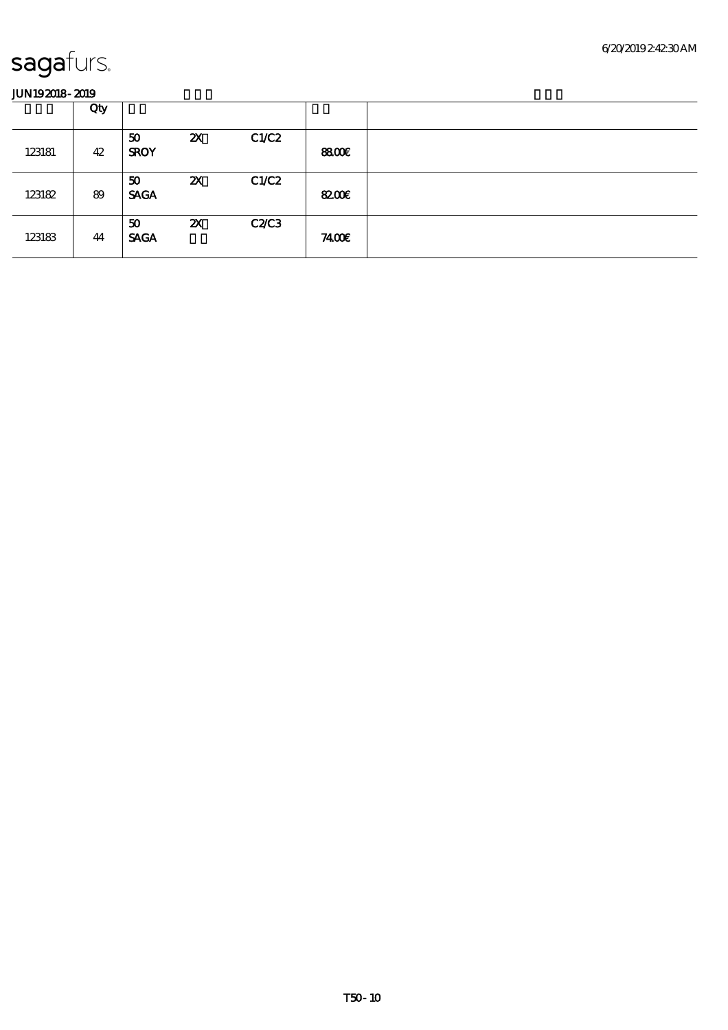|        | Qty |                   |                           |       |              |  |
|--------|-----|-------------------|---------------------------|-------|--------------|--|
| 123181 | 42  | 50<br><b>SROY</b> | $\boldsymbol{\mathsf{z}}$ | C1/C2 | <b>8800€</b> |  |
| 123182 | 89  | 50<br><b>SAGA</b> | $\boldsymbol{\mathsf{z}}$ | C1/C2 | 8200€        |  |
| 123183 | 44  | 50<br><b>SAGA</b> | $\boldsymbol{\mathsf{z}}$ | C2C3  | 7400E        |  |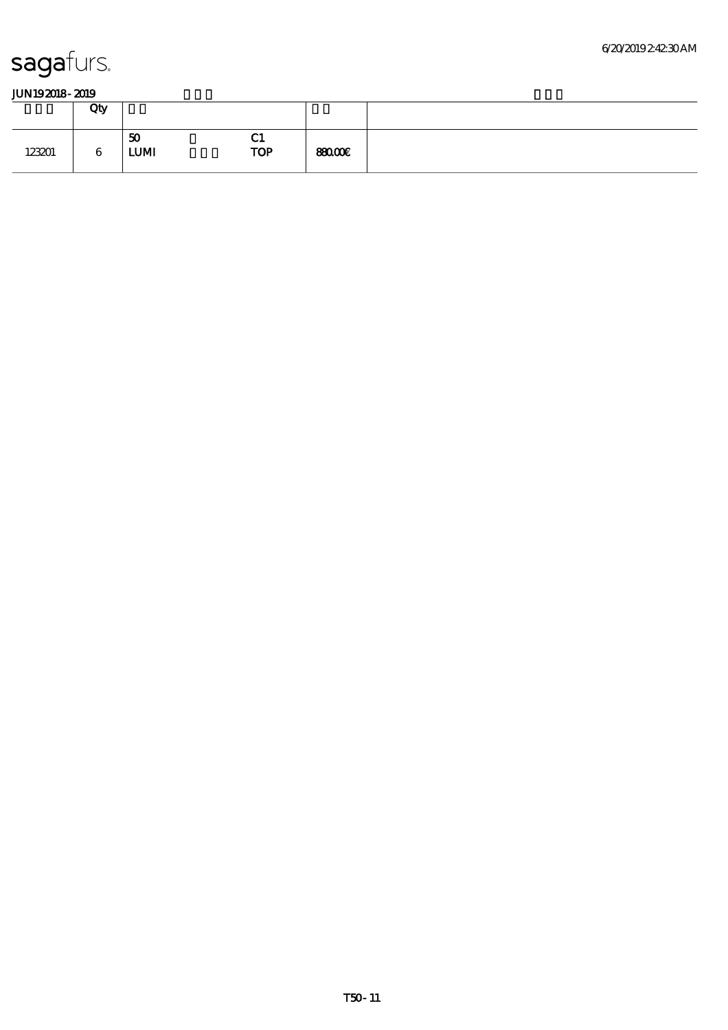|        | Qty |                   |                                   |               |
|--------|-----|-------------------|-----------------------------------|---------------|
| 123201 | 6   | 50<br><b>LUMI</b> | $^{\prime}$ 1<br>UТ<br><b>TOP</b> | <b>SEOCOE</b> |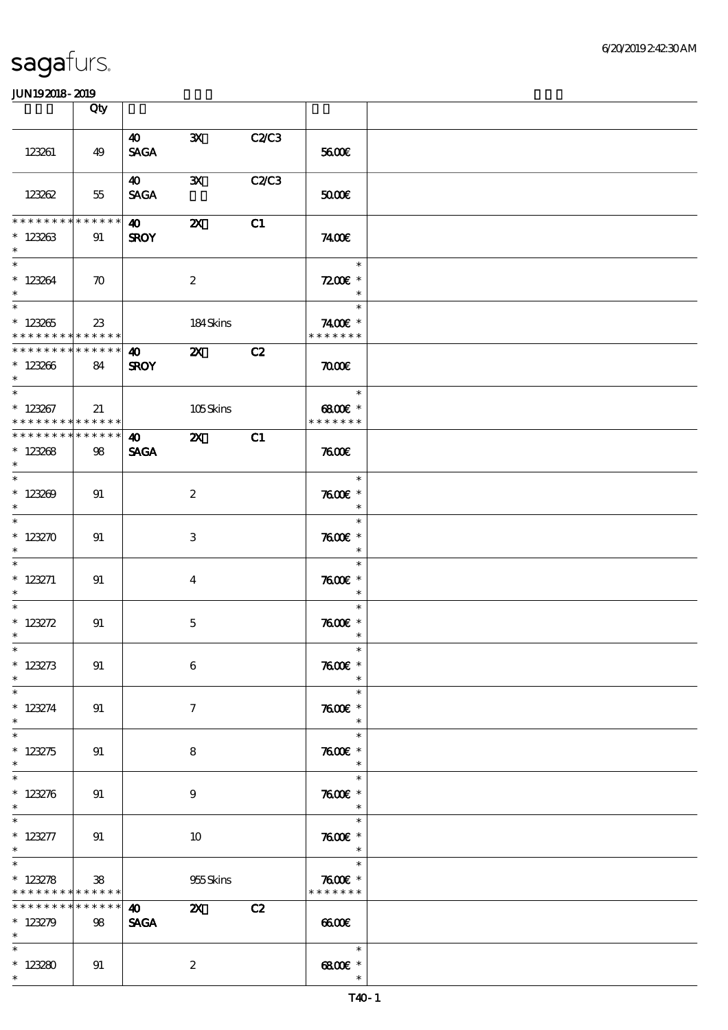|                                                                          | Qty               |                                    |                                        |              |                                                  |  |
|--------------------------------------------------------------------------|-------------------|------------------------------------|----------------------------------------|--------------|--------------------------------------------------|--|
| 123261                                                                   | 49                | $\boldsymbol{40}$<br><b>SAGA</b>   | $\mathbf{x}$                           | C2C3         | 5600E                                            |  |
| 123262                                                                   | 55                | 40<br><b>SAGA</b>                  | $\mathbf{x}$                           | <b>C2/C3</b> | 5000E                                            |  |
| * * * * * * * * * * * * * * *<br>$*123263$<br>$\ast$                     | 91                | $\bullet$ 40<br><b>SROY</b>        | $\boldsymbol{\alpha}$                  | C1           | 7400E                                            |  |
| $\ast$<br>$*123264$<br>$\ast$                                            | $\infty$          |                                    | $\boldsymbol{2}$                       |              | $\ast$<br>$7200$ £ *<br>$\ast$                   |  |
| $\overline{\phantom{a}^*}$<br>$*123265$<br>* * * * * * * * * * * * * * * | $23\,$            |                                    | 184Skins                               |              | 1995 F<br>$\ast$<br>7400€ *<br>* * * * * * *     |  |
| ******** <mark>*******</mark><br>$*123266$<br>$*$                        | 84                | $\bullet$ $\bullet$<br><b>SROY</b> | $\mathbf{z}$                           | C2           | $\pi$                                            |  |
| $\ast$<br>$*123267$<br>* * * * * * * * * * * * * * *                     | 21                |                                    | 105Skins                               |              | $\ast$<br>6800€ *<br>* * * * * * *               |  |
| * * * * * * * * * * * * * * *<br>$* 123268$<br>$\ast$                    | 98                | 40<br><b>SAGA</b>                  | <b>2X</b> C1                           |              | 7600                                             |  |
| $*123209$<br>$\ast$                                                      | 91                |                                    | $\boldsymbol{2}$                       |              | $\overline{\phantom{a}}$<br>$7600$ $*$<br>$\ast$ |  |
| $\ast$<br>$* 123270$<br>$\overline{\phantom{0}}$                         | 91                |                                    | 3                                      |              | $\ast$<br>$7600$ $*$<br>$\ast$                   |  |
| $* 123271$<br>$\ast$                                                     | 91                |                                    | $\overline{4}$                         |              | $\ast$<br>$7600$ $*$<br>$\ast$<br>$\ast$         |  |
| * $123272$<br>$\ast$<br>$*$                                              | 91                |                                    | $\mathbf{5}$                           |              | $7600$ $*$<br>$\ast$<br>$\ast$                   |  |
| $* 123273$<br>$\ast$<br>$\ast$                                           | 91                |                                    | 6                                      |              | $7600$ $*$<br>$\ast$<br>$\ast$                   |  |
| $* 123274$<br>$\ast$<br>$\overline{\ast}$                                | 91                |                                    | $\tau$                                 |              | $7600$ $*$<br>$\ast$<br>$\ast$                   |  |
| $* 123275$<br>$\ast$<br>$\ast$                                           | 91                |                                    | 8                                      |              | $7600$ $*$<br>$\ast$<br>$\ast$                   |  |
| $* 123276$<br>$\ast$<br>$\ast$                                           | 91                |                                    | 9                                      |              | $7600$ $*$<br>$\ast$<br>$\ast$                   |  |
| $* 123277$<br>$\ast$<br>$\overline{\ast}$                                | 91                |                                    | 10                                     |              | $7600$ $*$<br>$\overline{\phantom{a}}$<br>$\ast$ |  |
| $* 123278$<br>* * * * * * * * * * * * * *<br>* * * * * * * *             | 38<br>* * * * * * | $\boldsymbol{40}$                  | 955 Skins<br>$\mathbf{x}$ $\mathbf{z}$ | C2           | $7600$ $*$<br>* * * * * * *                      |  |
| $* 123279$<br>$\ast$<br>$\ast$                                           | 98                | <b>SAGA</b>                        |                                        |              | 6600<br>$\ast$                                   |  |
| $*123280$<br>$\ast$                                                      | 91                |                                    | $\boldsymbol{2}$                       |              | 6800€ *<br>$\ast$                                |  |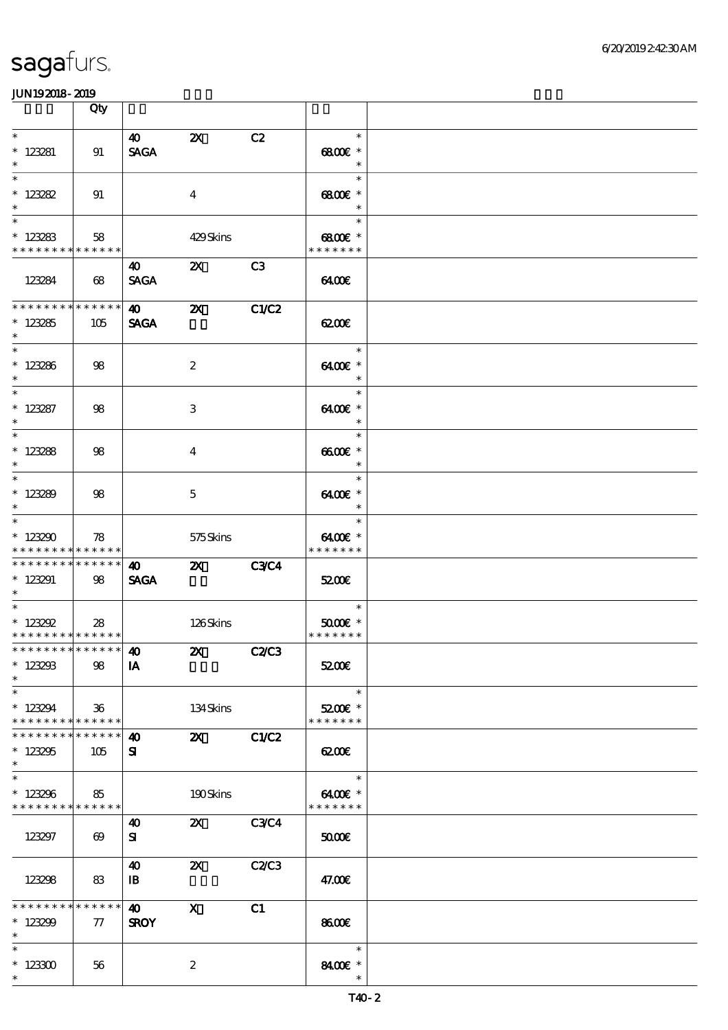|                                                                      | Qty                                           |                                       |                           |       |                                              |  |
|----------------------------------------------------------------------|-----------------------------------------------|---------------------------------------|---------------------------|-------|----------------------------------------------|--|
| $\ast$<br>$* 123281$<br>$\ast$                                       | 91                                            | $\boldsymbol{\omega}$<br><b>SAGA</b>  | $\boldsymbol{\mathsf{Z}}$ | C2    | $\ast$<br>6800€ *<br>$\ast$                  |  |
| $\ast$<br>$* 123282$<br>$\ast$                                       | 91                                            |                                       | $\bf{4}$                  |       | $\ast$<br>$6800$ $*$<br>$\ast$               |  |
| $\overline{\phantom{0}}$<br>$*123283$<br>* * * * * * * * * * * * * * | 58                                            |                                       | 429Skins                  |       | $\ast$<br>6800€ *<br>* * * * * * *           |  |
| 123284                                                               | 68                                            | 40<br><b>SAGA</b>                     | $\mathbf{z}$              | C3    | 6400€                                        |  |
| * * * * * * * * * * * * * *<br>$*123285$<br>$\ast$                   | 105                                           | 40<br><b>SAGA</b>                     | $\boldsymbol{\alpha}$     | C1/C2 | 6200E                                        |  |
| $*123286$<br>$\ast$                                                  | 98                                            |                                       | $\boldsymbol{2}$          |       | $\ast$<br>6400€ *<br>$\ast$                  |  |
| $\overline{\phantom{0}}$<br>$* 123287$<br>$\ast$                     | 98                                            |                                       | 3                         |       | $\ast$<br>6400€ *<br>$\ast$                  |  |
| $\overline{\phantom{0}}$<br>$* 123288$<br>$\ast$                     | 98                                            |                                       | $\bf 4$                   |       | $\ast$<br>$6600E$ *<br>$\ast$                |  |
| $\overline{\phantom{0}}$<br>$*123289$<br>$\ast$                      | 98                                            |                                       | 5                         |       | $\ast$<br>6400€ *<br>$\ast$                  |  |
| $\ast$<br>$*123290$<br>* * * * * * * * * * * * * *                   | 78                                            |                                       | 575Skins                  |       | $\ast$<br>6400€ *<br>* * * * * * *           |  |
| * * * * * * * * * * * * * *<br>$*123291$<br>$\ast$                   | 98                                            | $\boldsymbol{\omega}$<br><b>SAGA</b>  | <b>2X</b> C3C4            |       | 5200E                                        |  |
| $\ast$<br>$* 123292$<br>* * * * * * * * * * * * * * *                | 28                                            |                                       | 126Skins                  |       | $\ast$<br>$5000$ $^{\circ}$<br>* * * * * * * |  |
| *************** <b>40</b><br>$*123293$<br>$\ast$                     | 98                                            | IA                                    | <b>2X</b> C2/C3           |       | 5200E                                        |  |
| $\ast$<br>$*123294$<br>* * * * * * * *                               | 36 <sup>°</sup><br>$\ast\ast\ast\ast\ast\ast$ |                                       | 134Skins                  |       | $\ast$<br>5200E *<br>* * * * * * *           |  |
| * * * * * * *<br>$*123295$<br>$\ast$                                 | * * * * * *<br>105                            | 40<br>${\bf s}$                       | <b>2X</b> C1/C2           |       | 6200                                         |  |
| $\ast$<br>$*123296$<br>* * * * * * * * * * * * * *                   | 85                                            |                                       | 190Skins                  |       | $\ast$<br>6400€ *<br>* * * * * * *           |  |
| 123297                                                               | $\boldsymbol{\omega}$                         | 40<br>${\bf s}$                       | 2X C3C4                   |       | 50000                                        |  |
| 123298                                                               | 83                                            | $\boldsymbol{\omega}$<br>$\mathbf{B}$ | $\boldsymbol{\mathsf{Z}}$ | C2/C3 | 47.00E                                       |  |
| * * * * * * * *<br>$*123299$<br>$\ast$                               | * * * * * *<br>$\pi$                          | $\boldsymbol{\omega}$<br><b>SROY</b>  | $\boldsymbol{\mathrm{X}}$ | C1    | 8600€                                        |  |
| $\ast$<br>$*123300$<br>$\ast$                                        | 56                                            |                                       | $\boldsymbol{2}$          |       | $\ast$<br>8400 £*<br>$\ast$                  |  |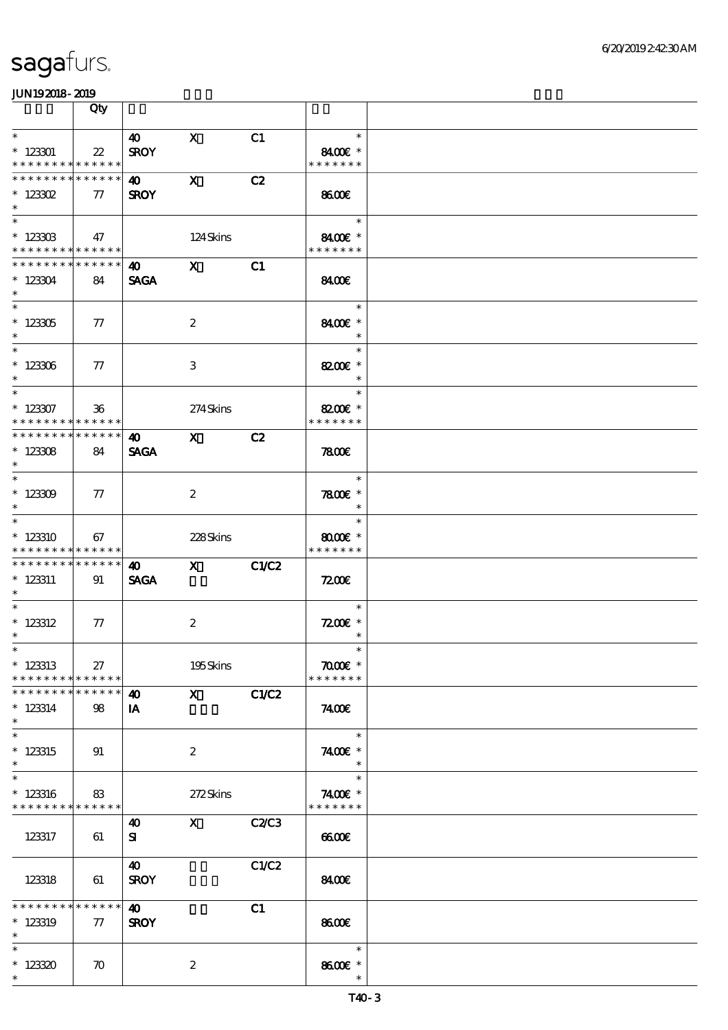|                                                                   | Qty                        |                                      |                                                                                                                                                                                                                                                                                                                                                                                                                                                               |       |                                                 |  |
|-------------------------------------------------------------------|----------------------------|--------------------------------------|---------------------------------------------------------------------------------------------------------------------------------------------------------------------------------------------------------------------------------------------------------------------------------------------------------------------------------------------------------------------------------------------------------------------------------------------------------------|-------|-------------------------------------------------|--|
| $\ast$<br>$*123301$<br>* * * * * * * * * * * * * *                | $\boldsymbol{\mathcal{Z}}$ | $\boldsymbol{\omega}$<br><b>SROY</b> | $\mathbf{x}$                                                                                                                                                                                                                                                                                                                                                                                                                                                  | C1    | $\ast$<br>8400€ *<br>* * * * * * *              |  |
| * * * * * * * * * * * * * *<br>$*$ 123302<br>$\ast$               | $\tau$                     | 40 X<br><b>SROY</b>                  |                                                                                                                                                                                                                                                                                                                                                                                                                                                               | C2    | 8600                                            |  |
| $\overline{\ast}$<br>$*$ 123303<br>* * * * * * * * * * * * * * *  | 47                         |                                      | 124Skins                                                                                                                                                                                                                                                                                                                                                                                                                                                      |       | $\ast$<br>8400E *<br>* * * * * * *              |  |
| * * * * * * * * * * * * * * *<br>$*123304$<br>$*$                 | 84                         | 40 X<br><b>SAGA</b>                  |                                                                                                                                                                                                                                                                                                                                                                                                                                                               | C1    | 8400€                                           |  |
| $^\ast$ 123305<br>$\ast$                                          | $\pi$                      |                                      | $\boldsymbol{2}$                                                                                                                                                                                                                                                                                                                                                                                                                                              |       | $\overline{\phantom{a}}$<br>8400€ *<br>$\ast$   |  |
| $* 123306$<br>$\ast$                                              | $\pi$                      |                                      | $\,3$                                                                                                                                                                                                                                                                                                                                                                                                                                                         |       | $\ast$<br>8200€ *<br>$\ast$                     |  |
| $*$<br>$* 123307$<br>* * * * * * * * * * * * * * *                | $36\,$                     |                                      | 274Skins                                                                                                                                                                                                                                                                                                                                                                                                                                                      |       | $\ast$<br>8200€ *<br>* * * * * * *              |  |
| * * * * * * * * * * * * * * *<br>$* 123308$<br>$*$                | 84                         | <b>SAGA</b>                          | $\lambda$ 40 $\lambda$ X                                                                                                                                                                                                                                                                                                                                                                                                                                      | C2    | 7800                                            |  |
| $*$<br>$*123309$<br>$\ast$                                        | $\pi$                      |                                      | $\boldsymbol{2}$                                                                                                                                                                                                                                                                                                                                                                                                                                              |       | $\ast$<br>$7800$ $*$<br>$\ast$                  |  |
| $*123310$<br>* * * * * * * * * * * * * * *                        | 67                         |                                      | 228Skins                                                                                                                                                                                                                                                                                                                                                                                                                                                      |       | $\ast$<br>8000 $\varepsilon$ *<br>* * * * * * * |  |
| * * * * * * * * * * * * * * *<br>$* 123311$<br>$*$                | 91                         | <b>40</b><br><b>SAGA</b>             | $\boldsymbol{\mathrm{X}}$ and $\boldsymbol{\mathrm{X}}$ and $\boldsymbol{\mathrm{X}}$ and $\boldsymbol{\mathrm{X}}$ and $\boldsymbol{\mathrm{X}}$ and $\boldsymbol{\mathrm{X}}$ and $\boldsymbol{\mathrm{X}}$ and $\boldsymbol{\mathrm{X}}$ and $\boldsymbol{\mathrm{X}}$ and $\boldsymbol{\mathrm{X}}$ and $\boldsymbol{\mathrm{X}}$ and $\boldsymbol{\mathrm{X}}$ and $\boldsymbol{\mathrm{X}}$ and $\boldsymbol{\mathrm{X}}$ and $\boldsymbol{\mathrm{X}}$ | C1/C2 | <b>7200E</b>                                    |  |
| $*$<br>$*$ 123312<br>$\ast$                                       | $\tau$                     |                                      | $\boldsymbol{2}$                                                                                                                                                                                                                                                                                                                                                                                                                                              |       | $\ast$<br>$7200$ £ *<br>$\ast$                  |  |
| $*$ $*$<br>$*$ 123313<br>* * * * * * * * <mark>* * * * * *</mark> | 27                         |                                      | 195Skins                                                                                                                                                                                                                                                                                                                                                                                                                                                      |       | $\ast$<br>$\pi$ and $*$<br>* * * * * * *        |  |
| * * * * * * * *<br>$* 123314$<br>$\ast$<br>$\overline{\ast}$      | $******$<br>98             | $\boldsymbol{\omega}$<br>IA          | $\mathbf X$ and $\mathbf X$ and $\mathbf X$ and $\mathbf X$ and $\mathbf X$ and $\mathbf X$                                                                                                                                                                                                                                                                                                                                                                   | C1/C2 | 7400E                                           |  |
| $*$ 123315<br>$\ast$<br>$\ast$                                    | 91                         |                                      | $\boldsymbol{2}$                                                                                                                                                                                                                                                                                                                                                                                                                                              |       | $\ast$<br>7400€ *<br>$\ast$<br>$\ast$           |  |
| $*123316$<br>* * * * * * * * <mark>* * * * * * *</mark>           | 83                         |                                      | 272Skins                                                                                                                                                                                                                                                                                                                                                                                                                                                      |       | 7400€ *<br>* * * * * * *                        |  |
| 123317                                                            | 61                         | 40<br>${\bf s}$                      | $\mathbf{X}$                                                                                                                                                                                                                                                                                                                                                                                                                                                  | C2C3  | 6600                                            |  |
| 123318                                                            | 61                         | 40<br><b>SROY</b>                    |                                                                                                                                                                                                                                                                                                                                                                                                                                                               | C1/C2 | 8400                                            |  |
| * * * * * * * *<br>$*123319$<br>$\ast$                            | $* * * * * * *$<br>$\tau$  | 40<br><b>SROY</b>                    |                                                                                                                                                                                                                                                                                                                                                                                                                                                               | C1    | 8600                                            |  |
| $\ast$<br>$*123320$<br>$\ast$                                     | $\boldsymbol{\pi}$         |                                      | $\boldsymbol{2}$                                                                                                                                                                                                                                                                                                                                                                                                                                              |       | $\ast$<br>8600€ *                               |  |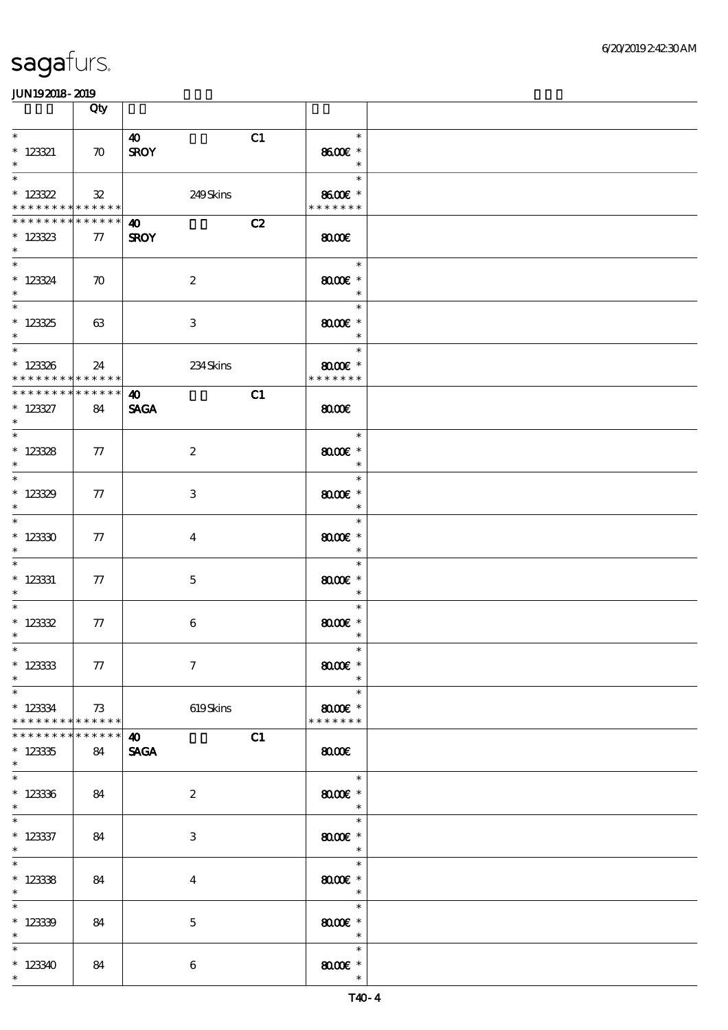|                                                                  | Qty                   |                                            |                                                          |  |
|------------------------------------------------------------------|-----------------------|--------------------------------------------|----------------------------------------------------------|--|
| $\ast$<br>$*$ 123321<br>$\ast$                                   | $\boldsymbol{\pi}$    | C1<br>$\boldsymbol{\omega}$<br><b>SROY</b> | $\ast$<br>8600€ *<br>$\ast$                              |  |
| $\overline{\ast}$<br>$*123322$<br>* * * * * * * * * * * * * * *  | ${\bf 32}$            | 249Skins                                   | $\ast$<br>8600€ *<br>* * * * * * *                       |  |
| * * * * * * * * * * * * * * *<br>$* 123323$<br>$\ast$            | $\tau$                | C2<br>$\bullet$<br><b>SROY</b>             | $\omega$                                                 |  |
| $*$<br>$* 123324$<br>$\ast$                                      | $\boldsymbol{\pi}$    | $\boldsymbol{2}$                           | $\overline{\phantom{a}}$<br>$8000$ $*$<br>$\ast$         |  |
| $* 12325$<br>$\ast$<br>$\overline{\ast}$                         | 63                    | $\,3$                                      | $\ast$<br>$8000$ $*$<br>$\ast$                           |  |
| $* 123336$<br>* * * * * * * * * * * * * * *                      | 24                    | 234Skins                                   | $\ast$<br>$8000$ $*$<br>* * * * * * *                    |  |
| * * * * * * * * * * * * * * *<br>$* 123327$<br>$\ast$            | 84                    | C1<br>$\boldsymbol{\omega}$<br><b>SAGA</b> | $\omega$                                                 |  |
| $\overline{\ast}$<br>$* 123328$<br>$\ast$                        | $\tau$                | $\boldsymbol{2}$                           | an T<br>$\ast$<br>$8000$ $*$<br>$\overline{\phantom{a}}$ |  |
| $\overline{\phantom{0}}$<br>$*123329$<br>$\ast$                  | 77                    | 3                                          | $\ast$<br>$8000$ $*$<br>$\ast$                           |  |
| $\overline{\phantom{0}}$<br>$*12330$<br>$\ast$                   | 77                    | $\overline{\mathbf{4}}$                    | $\ast$<br>$8000$ $*$<br>$\ast$                           |  |
| $\ast$<br>$*$ 123331<br>$\ast$<br>$\overline{\ast}$              | ${\bf \tau}$          | $\mathbf{5}$                               | $\ast$<br>$8000$ $*$<br>$\ast$                           |  |
| * $12332$<br>$\ast$<br>$*$                                       | 77                    | 6                                          | $\ast$<br>$8000$ $*$<br>$\ast$<br>$\ast$                 |  |
| $* 123333$<br>$\ast$<br>$\overline{\phantom{0}}$                 | 77                    | $\boldsymbol{\tau}$                        | $8000$ $*$<br>$\ast$                                     |  |
| $*123334$<br>* * * * * * * *                                     | 73<br>******          | 619Skins                                   | $\ast$<br>$8000$ $*$<br>* * * * * * *                    |  |
| * * * * * * *<br>$*123335$<br>$\ast$<br>$\overline{\phantom{0}}$ | $* * * * * * *$<br>84 | C1<br>40<br><b>SAGA</b>                    | $\omega$                                                 |  |
| $* 123336$<br>$\ast$                                             | 84                    | $\boldsymbol{2}$                           | $\ast$<br>$8000$ $*$<br>$\ast$                           |  |
| $* 123337$<br>$\ast$<br>$\overline{\phantom{0}}$                 | 84                    | 3                                          | $\ast$<br>$8000$ $*$<br>$\ast$                           |  |
| $* 123338$<br>$\ast$<br>$\overline{\phantom{0}}$                 | 84                    | $\bf{4}$                                   | $\ast$<br>$8000$ $*$<br>$\ast$                           |  |
| $*12339$<br>$\ast$                                               | 84                    | $\mathbf 5$                                | $\ast$<br>$8000$ $*$<br>$\overline{\phantom{a}}$         |  |
| $\ast$<br>$*123340$<br>$\ast$                                    | 84                    | 6                                          | $\ast$<br>$8000$ $*$<br>$\ast$                           |  |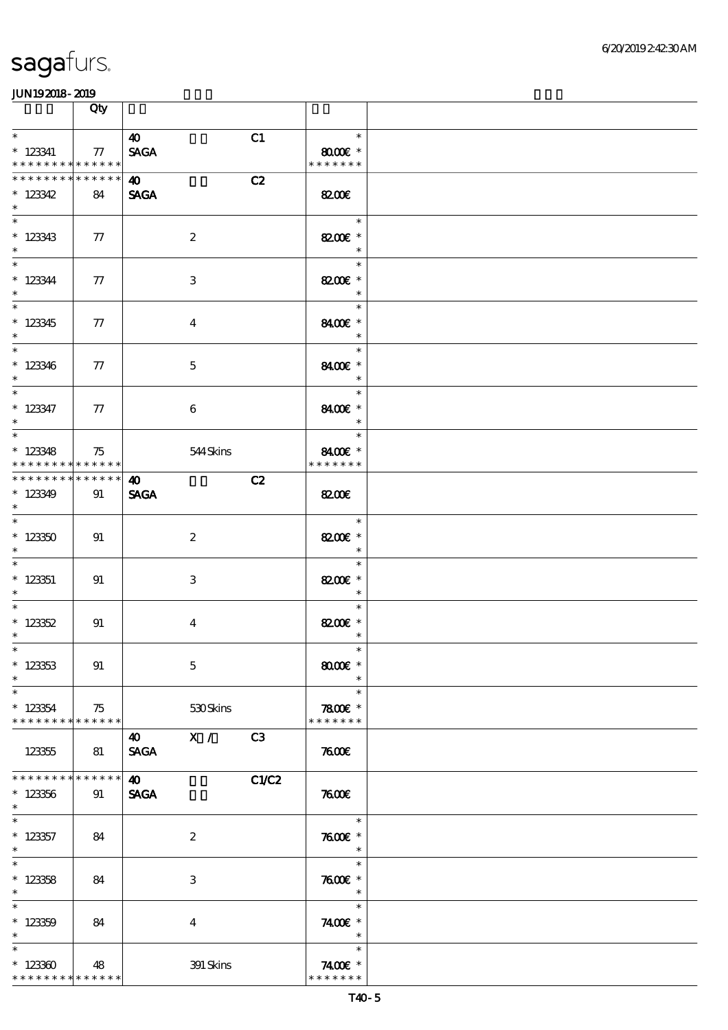|                                                      | Qty               |                                                          |                                                |  |
|------------------------------------------------------|-------------------|----------------------------------------------------------|------------------------------------------------|--|
| $\ast$<br>$*$ 123341<br>* * * * * * * * * * * * * *  | 77                | $\boldsymbol{\omega}$<br>C1<br><b>SAGA</b>               | $\ast$<br>$8000$ $\epsilon$ *<br>* * * * * * * |  |
| ********<br>$*123342$<br>$\ast$                      | * * * * * *<br>84 | $\boldsymbol{\omega}$<br>C2<br><b>SAGA</b>               | 8200E                                          |  |
| $*123343$<br>$\ast$                                  | $\tau$            | $\boldsymbol{2}$                                         | $\ast$<br>8200€ *<br>$\ast$                    |  |
| $*$<br>$* 123344$<br>$\ast$                          | 77                | 3                                                        | $\ast$<br>8200€ *<br>$\ast$                    |  |
| $\overline{\phantom{0}}$<br>$*123345$<br>$\ast$      | $\tau$            | $\overline{4}$                                           | $\ast$<br>8400€ *<br>$\ast$                    |  |
| $\overline{\phantom{0}}$<br>$*123346$<br>$\ast$      | ${\bf \tau}$      | $\mathbf 5$                                              | $\ast$<br>8400€ *<br>$\ast$                    |  |
| $*$<br>$*$ 123347<br>$*$                             | 77                | $\boldsymbol{6}$                                         | $\ast$<br>8400€ *<br>$\ast$                    |  |
| $\ast$<br>$*123348$<br>* * * * * * * * * * * * * * * | 75                | 544 Skins                                                | $\ast$<br>8400€ *<br>* * * * * * *             |  |
| **************<br>$*123349$<br>$\ast$                | 91                | C2<br>$\boldsymbol{\omega}$<br><b>SAGA</b>               | 8200E                                          |  |
| $*123350$<br>$\ast$                                  | 91                | $\boldsymbol{2}$                                         | $\ast$<br>8200€ *<br>$\ast$                    |  |
| $\ast$<br>$* 123351$<br>$\ast$                       | 91                | 3                                                        | $\ast$<br>8200€ *<br>$\ast$                    |  |
| $* 123352$<br>$\ast$<br>$*$                          | 91                | $\overline{\mathbf{4}}$                                  | $\ast$<br>8200€ *<br>$\ast$<br>$\ast$          |  |
| $* 123353$<br>$\ast$<br>$\ast$                       | 91                | $\mathbf 5$                                              | $8000$ $*$<br>$\ast$<br>$\ast$                 |  |
| $*123354$<br>* * * * * * * * * * * * * *             | 75                | 530Skins                                                 | $7800$ $*$<br>* * * * * * *                    |  |
| 123355<br>* * * * * * * *                            | 81<br>* * * * * * | $\mathbf{X}$ /<br>C3<br>$\boldsymbol{40}$<br><b>SAGA</b> | 7600                                           |  |
| $*123356$<br>$\ast$                                  | 91                | $\boldsymbol{\omega}$<br><b>SAGA</b>                     | <b>C1/C2</b><br>3006                           |  |
| $\ast$<br>$*123357$<br>$\ast$<br>$\ast$              | 84                | $\boldsymbol{2}$                                         | $\ast$<br>$7600$ $*$<br>$\ast$<br>$\ast$       |  |
| $*123358$<br>$\ast$<br>$\ast$                        | 84                | 3                                                        | $7600$ $*$<br>$\ast$<br>$\ast$                 |  |
| $*123359$<br>$\ast$<br>$\ast$                        | 84                | $\overline{4}$                                           | 7400 £*<br>$\ast$                              |  |
| $*123300$<br>* * * * * * * * * * * * * *             | 48                | 391 Skins                                                | $\ast$<br>7400€ *<br>* * * * * * *             |  |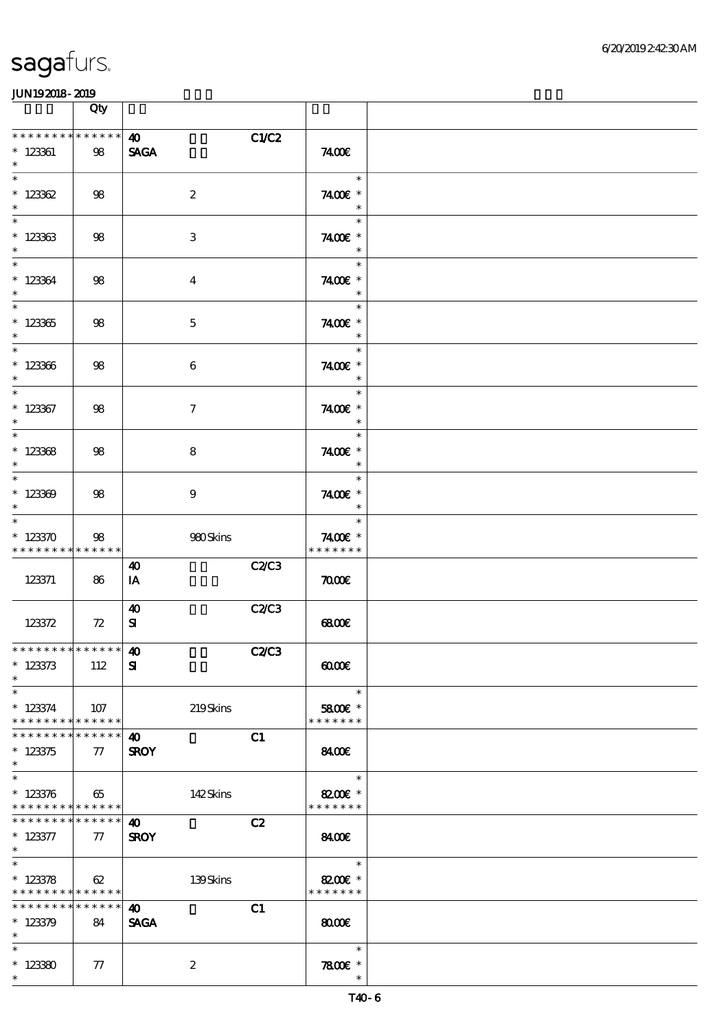|                                                                 | Qty    |                                      |              |                                                        |  |
|-----------------------------------------------------------------|--------|--------------------------------------|--------------|--------------------------------------------------------|--|
| * * * * * * * * * * * * * *<br>$*$ 123361<br>$\ast$             | 98     | $\boldsymbol{\omega}$<br><b>SAGA</b> | C1/C2        | 7400E                                                  |  |
| $\ast$<br>$*123362$<br>$\ast$                                   | 98     | $\boldsymbol{2}$                     |              | $\ast$<br>7400€ *<br>$\ast$                            |  |
| $\overline{\ast}$<br>$*123363$<br>$\ast$                        | 98     | 3                                    |              | $\ast$<br>7400 £*<br>$\ast$                            |  |
| $\ast$<br>$*123364$<br>$\ast$                                   | 98     | $\boldsymbol{4}$                     |              | $\ast$<br>7400E *<br>$\ast$                            |  |
| $\overline{\phantom{0}}$<br>$^\ast$ 123365<br>$\ast$            | 98     | $\mathbf 5$                          |              | $\ast$<br>7400 £*<br>$\ast$                            |  |
| $*$<br>$* 123366$<br>$\ast$                                     | $98$   | $\boldsymbol{6}$                     |              | $\sim$<br>$\ast$<br>7400 £*<br>$\overline{\mathbf{r}}$ |  |
| $\ast$<br>$*$ 123367<br>$\ast$                                  | 98     | $\tau$                               |              | $\ast$<br>7400€ *<br>$\ast$                            |  |
| $\overline{\ast}$<br>$*123368$<br>$\ast$                        | 98     | 8                                    |              | $\ast$<br>7400€ *<br>$\overline{\phantom{a}}$          |  |
| $*$<br>$*123309$<br>$\ast$                                      | 98     | 9                                    |              | $\ast$<br>7400€ *                                      |  |
| $\ast$<br>$*123370$<br>* * * * * * * * * * * * * *              | 98     | 980Skins                             |              | $\ast$<br>7400€ *<br>* * * * * * *                     |  |
| 123371                                                          | 86     | 40<br>IA                             | <b>C2/C3</b> | $\pi$                                                  |  |
| 123372                                                          | 72     | $\boldsymbol{\omega}$<br>${\bf s}$   | C2/C3        | 68000                                                  |  |
| *************** <b>140</b><br>$*123373$<br>$\ast$               | 112    | ${\bf s}$                            | <b>C2/C3</b> | 00000                                                  |  |
| $\ast$<br>$*123374$<br>* * * * * * * * * * * * * * *            | 107    | 219Skins                             |              | $\overline{\phantom{a}}$<br>5800€ *<br>* * * * * * *   |  |
| * * * * * * * * * * * * * * *<br>$*123375$<br>$\ast$            | $\tau$ | 40<br><b>SROY</b>                    | C1           | 8400€                                                  |  |
| $\overline{\ast}$<br>$*123376$<br>* * * * * * * * * * * * * * * | 65     | 142Skins                             |              | $\ast$<br>8200E *<br>* * * * * * *                     |  |
| * * * * * * * * * * * * * * *<br>$* 123377$<br>$*$ $*$          | $\tau$ | 40<br><b>SROY</b>                    | C2           | 8400E                                                  |  |
| $*$<br>$*123378$<br>* * * * * * * * * * * * * * *               | 62     | 139Skins                             |              | $\overline{\phantom{a}}$<br>8200€ *<br>* * * * * * *   |  |
| * * * * * * * * * * * * * * *<br>$*123379$<br>$\ast$            | 84     | 40<br><b>SAGA</b>                    | C1           | 8000                                                   |  |
| $\ast$<br>$*123380$<br>$\ast$                                   | 77     | $\boldsymbol{2}$                     |              | $\ast$<br>$7800$ $*$<br>$\ast$                         |  |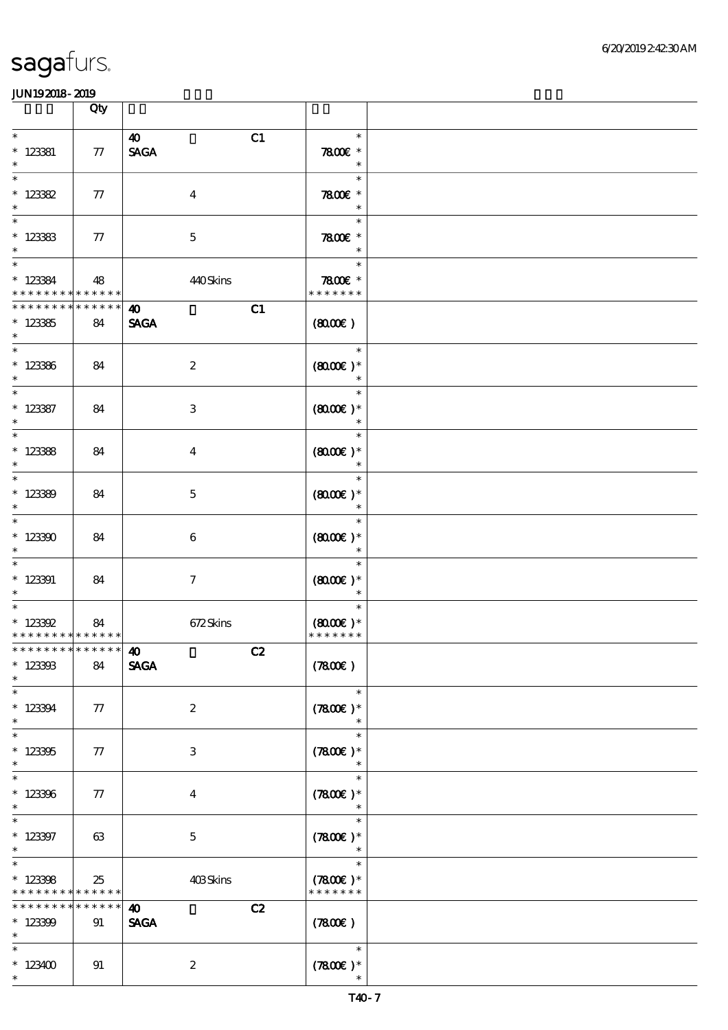|                                                                   | Qty               |                                            |                                                  |  |
|-------------------------------------------------------------------|-------------------|--------------------------------------------|--------------------------------------------------|--|
| $\ast$<br>$* 123381$<br>$\ast$                                    | $77\,$            | $\boldsymbol{\omega}$<br>C1<br><b>SAGA</b> | $\ast$<br>$7800$ $*$<br>$\overline{\phantom{a}}$ |  |
| $\ast$<br>$* 123382$<br>$\ast$                                    | 77                | $\boldsymbol{4}$                           | $\ast$<br>7800€ *<br>$\ast$                      |  |
| $\ast$<br>$*123383$<br>$\ast$                                     | ${\bf \pi}$       | $\mathbf 5$                                | $\ast$<br>$7800$ $*$<br>$\ast$                   |  |
| $\ast$<br>$* 123384$<br>* * * * * * * *                           | 48<br>$******$    | 440Skins                                   | Times<br>$\ast$<br>7800€ *<br>* * * * * * *      |  |
| * * * * * * * *<br>$*123355$<br>$\ast$                            | * * * * * *<br>84 | C1<br>$\boldsymbol{\omega}$<br><b>SAGA</b> | (8000)                                           |  |
| $\overline{\phantom{a}^*}$<br>$*123366$<br>$\ast$                 | 84                | $\boldsymbol{2}$                           | $\ast$<br>$(8000)$ *<br>$\ast$                   |  |
| $\overline{\ast}$<br>$* 123387$<br>$\ast$                         | 84                | 3                                          | $\ast$<br>$(800E)*$<br>$\overline{\phantom{a}}$  |  |
| $\ast$<br>$*123388$<br>$\ast$                                     | 84                | $\boldsymbol{4}$                           | $\ast$<br>$(8000\varepsilon)*$<br>$\ast$         |  |
| $\ast$<br>$*123300$<br>$\ast$                                     | 84                | $\mathbf{5}$                               | $\ast$<br>$(8000)$ *<br>$\ast$                   |  |
| $\overline{\ast}$<br>$*123300$<br>$\ast$                          | 84                | 6                                          | $\ast$<br>$(8000)$ *<br>$\ast$                   |  |
| $\ast$<br>$*123391$<br>$\ast$                                     | 84                | $\tau$                                     | $\ast$<br>$(800)$ *<br>$\ast$                    |  |
| $\ast$<br>$* 123392$<br>* * * * * * * * * * * * * * *             | 84                | 672Skins                                   | $\ast$<br>$(8000\varepsilon)*$<br>* * * * * * *  |  |
| *************** 10<br>$*123303$<br>$\ast$                         | 84                | C2<br><b>SAGA</b>                          | (7800)                                           |  |
| $\ast$<br>$*123394$<br>$\ast$                                     | 77                | $\boldsymbol{z}$                           | $\ast$<br>$(7800)$ *<br>$\ast$                   |  |
| $\ast$<br>$*123305$<br>$\ast$                                     | 77                | 3                                          | $\ast$<br>$(7800)$ *<br>$\ast$                   |  |
| $\overline{\ast}$<br>$*123306$<br>$\ast$                          | 77                | $\bf{4}$                                   | $\ast$<br>$(7800)$ *<br>$\ast$                   |  |
| $\ast$<br>$*123397$<br>$\ast$                                     | 63                | $\mathbf{5}$                               | $\ast$<br>$(7800)$ *<br>$\ast$                   |  |
| $\ast$<br>$*123308$<br>* * * * * * * * <mark>* * * * * *</mark> * | 25                | 403Skins                                   | $\ast$<br>$(7800)$ *<br>* * * * * * *            |  |
| * * * * * * *<br>$*123309$<br>$\ast$                              | * * * * * *<br>91 | C2<br>$\boldsymbol{\omega}$<br><b>SAGA</b> | (7800)                                           |  |
| $\ast$<br>$*123400$<br>$\ast$                                     | 91                | $\boldsymbol{2}$                           | $\ast$<br>$(7800)$ *<br>$\ast$                   |  |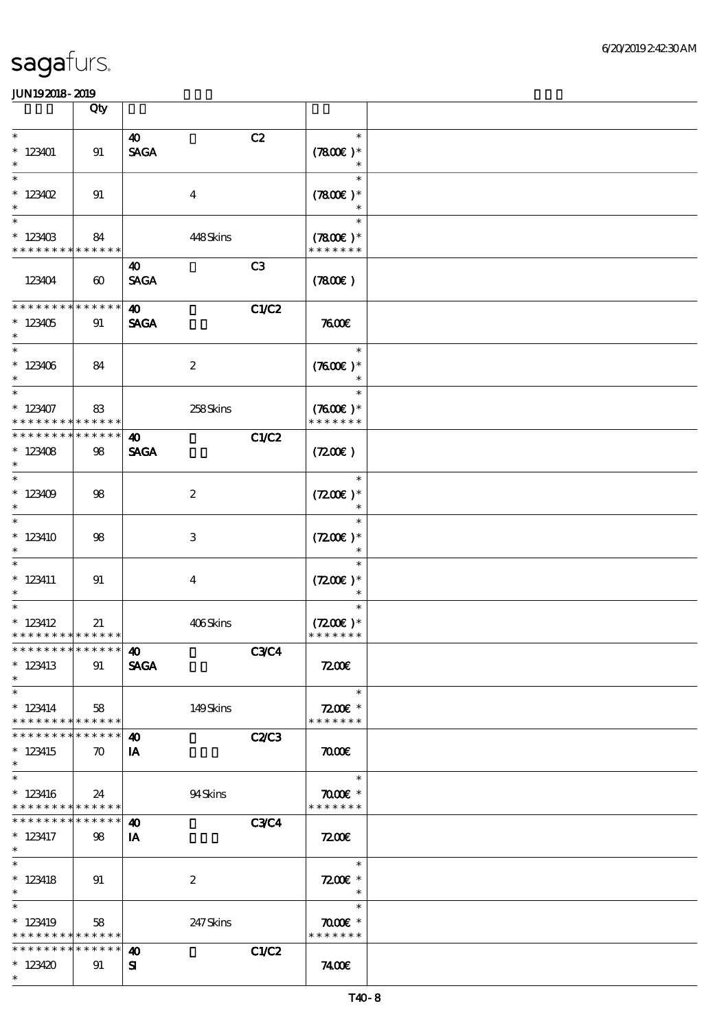|                                                                              | Qty                               |                                            |                                          |  |
|------------------------------------------------------------------------------|-----------------------------------|--------------------------------------------|------------------------------------------|--|
| $\ast$<br>$*123401$<br>$\ast$                                                | 91                                | C2<br>$\boldsymbol{\omega}$<br><b>SAGA</b> | $\ast$<br>$(7800)$ *<br>$\ast$           |  |
| $\ast$<br>$* 123402$<br>$\ast$                                               | 91                                | $\boldsymbol{4}$                           | $\ast$<br>$(7800)$ *                     |  |
| $\ast$<br>$*123403$<br>* * * * * * * *                                       | 84<br>* * * * * *                 | 448Skins                                   | $\ast$<br>$(7800)$ *<br>* * * * * * *    |  |
| 123404                                                                       | $\boldsymbol{\omega}$             | C3<br>40<br><b>SAGA</b>                    | (7800)                                   |  |
| * * * * * * * *<br>$*123405$<br>$\ast$                                       | * * * * * *<br>91                 | $\boldsymbol{\omega}$<br><b>SAGA</b>       | C1/C2<br>7600                            |  |
| $\overline{\phantom{0}}$<br>$*123406$<br>$\ast$                              | 84                                | $\boldsymbol{2}$                           | $\ast$<br>$(7600)$ *                     |  |
| $\overline{\ast}$<br>$*123407$<br>* * * * * * * * * * * * * *                | 83                                | 258Skins                                   | $\ast$<br>$(7600)$ *<br>* * * * * * *    |  |
| * * * * * * * *<br>$*123408$<br>$\ast$                                       | * * * * * *<br>98                 | $\boldsymbol{\omega}$<br><b>SAGA</b>       | C1/C2<br>(7200)                          |  |
| $\ast$<br>$*123409$<br>$\ast$                                                | 98                                | $\boldsymbol{z}$                           | $\ast$<br>$(7200)$ *<br>$\ast$           |  |
| $\ast$<br>$*123410$<br>$\ast$                                                | 98                                | 3                                          | $\ast$<br>$(7200)$ *                     |  |
| $\ast$<br>$* 123411$<br>$\ast$                                               | 91                                | $\overline{\mathbf{4}}$                    | $\ast$<br>$(7200)$ *                     |  |
| $\overline{\phantom{0}}$<br>$* 123412$<br>* * * * * * * * * * * * * * *      | 21                                | 406Skins                                   | $(7200)$ *<br>* * * * * * *              |  |
| ************** <b>10</b><br>$*123413$<br>$\ast$                              | 91                                | <b>SAGA</b>                                | <b>C3C4</b><br>7200                      |  |
| $\ast$<br>$*123414$<br>* * * * * * * * * * * * * * *                         | 58                                | 149Skins                                   | $\ast$<br>$7200E$ *<br>* * * * * * *     |  |
| * * * * * * * *<br>$*123415$<br>$\ast$                                       | * * * * * *<br>$\boldsymbol{\pi}$ | $\boldsymbol{\omega}$<br>IA                | <b>C2/C3</b><br>$\pi$                    |  |
| $\overline{\phantom{0}}$<br>$*123416$<br>* * * * * * * * * * * * * * *       | 24                                | 94Skins                                    | $\ast$<br>$\pi$ and $*$<br>* * * * * * * |  |
| * * * * * * * *<br>$* 123417$<br>$\ast$                                      | * * * * * *<br>98                 | 40<br>IA                                   | <b>C3C4</b><br>7200                      |  |
| $\ast$<br>$*$ 123418<br>$\ast$                                               | 91                                | $\boldsymbol{2}$                           | $\ast$<br>$7200$ £ *<br>$\ast$           |  |
| $\overline{\ast}$<br>$*123419$<br>* * * * * * * * <mark>* * * * * * *</mark> | 58                                | 247 Skins                                  | $\ast$<br>$\pi$ and $*$<br>* * * * * * * |  |
| * * * * * * * * * * * * * * *<br>$*123420$<br>$\ast$                         | 91                                | 40<br>${\bf s}$                            | C1/C2<br>7400E                           |  |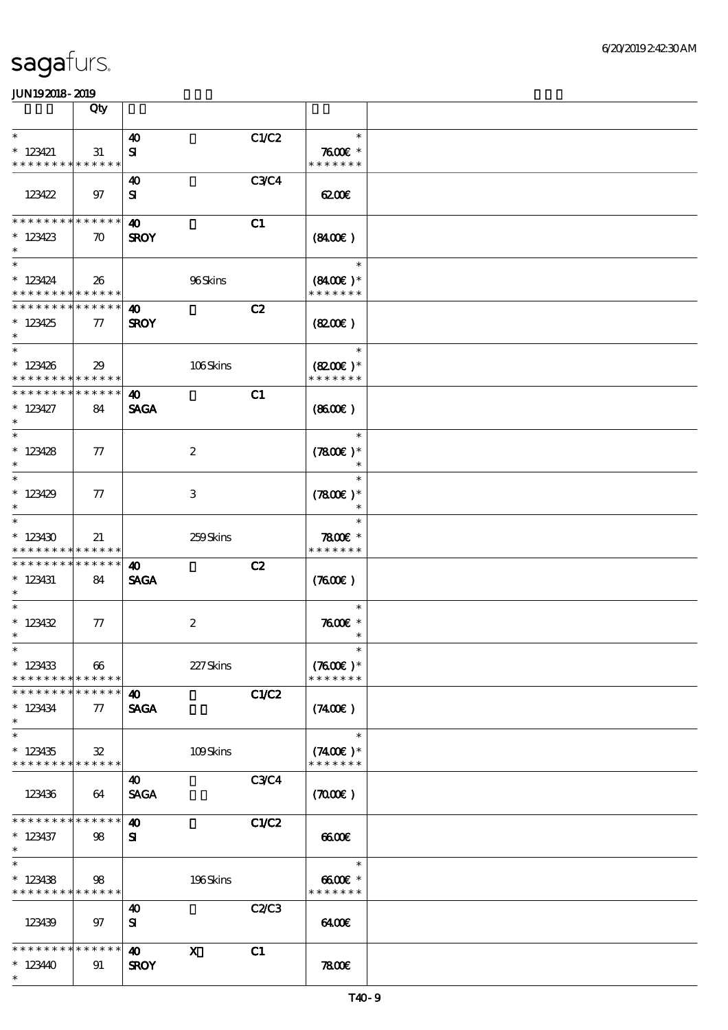|                                                                 | Qty                   |                                                                   |             |                                       |  |
|-----------------------------------------------------------------|-----------------------|-------------------------------------------------------------------|-------------|---------------------------------------|--|
| $\ast$                                                          |                       | $\boldsymbol{\omega}$                                             | C1/C2       | $\ast$                                |  |
| $* 123421$<br>* * * * * * * * * * * * * *                       | 31                    | ${\bf s}$                                                         |             | $7600$ $*$<br>* * * * * * *           |  |
| 123422                                                          | 97                    | 40<br>${\bf s}$                                                   | <b>C3C4</b> | 62006                                 |  |
| * * * * * * * * * * * * * *<br>$*123423$<br>$\ast$              | $\boldsymbol{\pi}$    | $\boldsymbol{\omega}$<br><b>SROY</b>                              | C1          | (840)                                 |  |
| $\overline{\ast}$<br>$*123424$<br>* * * * * * * * * * * * * *   | - 26                  | 96Skins                                                           |             | $\ast$<br>$(8400)$ *<br>* * * * * * * |  |
| * * * * * * * * * * * * * *<br>$*123425$<br>$\ast$              | $\tau$                | 40<br><b>SROY</b>                                                 | C2          | (820)                                 |  |
| $\overline{\ast}$<br>$*123426$<br>* * * * * * * * * * * * * *   | 29                    | 106Skins                                                          |             | $\ast$<br>$(8200)$ *<br>* * * * * * * |  |
| * * * * * * * * * * * * * *<br>$* 123427$<br>$\ast$             | 84                    | $\boldsymbol{\omega}$<br><b>SAGA</b>                              | C1          | (8600)                                |  |
| $\ast$<br>$* 123428$<br>$\ast$                                  | $\tau$                | $\boldsymbol{2}$                                                  |             | $\ast$<br>$(7800)$ *<br>$\ast$        |  |
| $\ast$<br>$*123429$<br>$\ast$                                   | $\tau$                | 3                                                                 |             | $\ast$<br>$(7800)$ *                  |  |
| $\ast$<br>$*123430$<br>* * * * * * * * * * * * * *              | 21                    | 259Skins                                                          |             | $\ast$<br>$7800$ $*$<br>* * * * * * * |  |
| * * * * * * * * * * * * * * *<br>$*$ 123431<br>$\ast$           | 84                    | 40<br><b>SAGA</b>                                                 | C2          | (300)                                 |  |
| $\ast$<br>$* 123432$<br>$\ast$                                  | $\pi$                 | $\boldsymbol{2}$                                                  |             | $\ast$<br>$7600$ $*$<br>$\ast$        |  |
| $*$<br>$*123433$<br>* * * * * * * * <mark>* * * * * * *</mark>  | $\boldsymbol{\omega}$ | 227Skins                                                          |             | $\ast$<br>$(7600)$ *<br>* * * * * * * |  |
| * * * * * * * * * * * * * *<br>$* 123434$<br>$\ast$             | 77                    | 40<br><b>SAGA</b>                                                 | C1/C2       | (7400)                                |  |
| $\ast$<br>$*123435$<br>* * * * * * * * <mark>* * * * * *</mark> | $\mathbf{32}$         | 109Skins                                                          |             | $\ast$<br>$(7400)$ *<br>* * * * * * * |  |
| 123436                                                          | 64                    | 40<br><b>SAGA</b>                                                 | <b>C3C4</b> | (7000)                                |  |
| * * * * * * * * * * * * * *<br>$*123437$<br>$*$                 | 98                    | 40<br>${\bf s}$                                                   | C1/C2       | $\omega$                              |  |
| $\ast$<br>$*123438$<br>* * * * * * * * * * * * * *              | 98                    | 196Skins                                                          |             | $\ast$<br>6600€ *<br>* * * * * * *    |  |
| 123439                                                          | 97                    | $\boldsymbol{\omega}$<br>${\bf s}$                                | C2/C3       | 6400E                                 |  |
| * * * * * * * * * * * * * *<br>$*12340$<br>$\ast$               | 91                    | $\boldsymbol{\mathsf{X}}$<br>$\boldsymbol{\omega}$<br><b>SROY</b> | C1          | 7800                                  |  |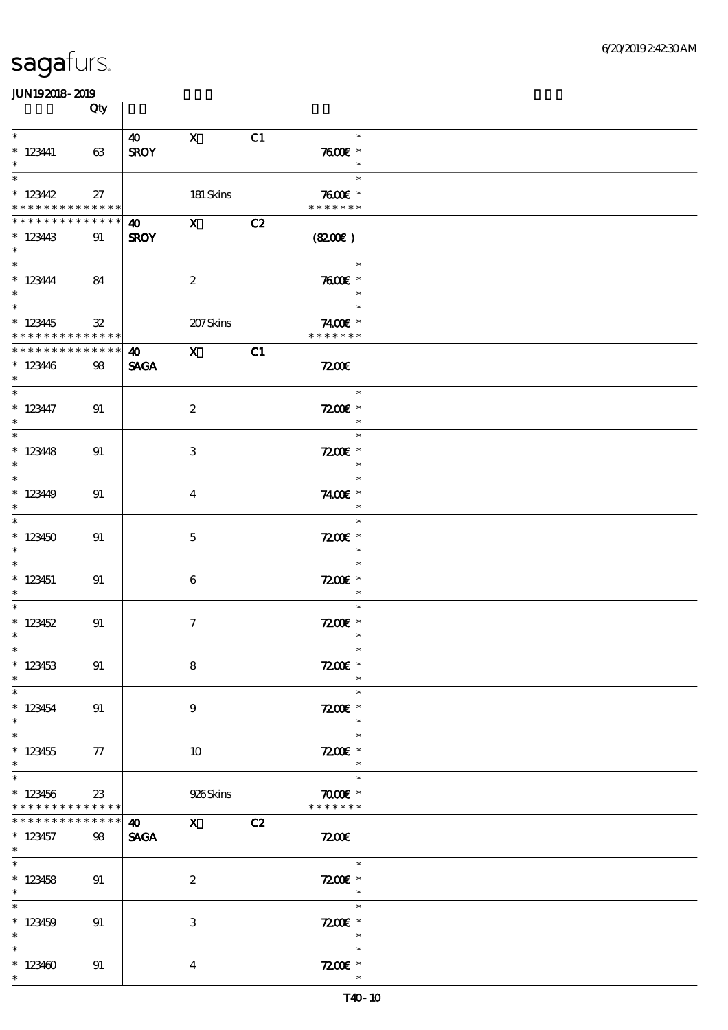|                                                                            | Qty               |                            |                                                                                                                                                                                                                                                                                                                                 |    |                                                                              |  |
|----------------------------------------------------------------------------|-------------------|----------------------------|---------------------------------------------------------------------------------------------------------------------------------------------------------------------------------------------------------------------------------------------------------------------------------------------------------------------------------|----|------------------------------------------------------------------------------|--|
| $\ast$<br>$* 123441$<br>$\ast$                                             | 63                | 40 X<br><b>SROY</b>        |                                                                                                                                                                                                                                                                                                                                 | C1 | $\ast$<br>7600€ *<br>$\overline{\phantom{a}}$                                |  |
| $\overline{\ast}$<br>$* 12342$<br>* * * * * * * * <mark>* * * * * *</mark> | 27                |                            | 181 Skins                                                                                                                                                                                                                                                                                                                       |    | $\overline{a}$<br>$\ast$<br>$7600$ $*$<br>* * * * * * *                      |  |
| * * * * * * * * * * * * * * *<br>$*123443$<br>$\ast$                       | 91                | <b>40</b> X<br><b>SROY</b> |                                                                                                                                                                                                                                                                                                                                 | C2 | (8200)                                                                       |  |
| $* 123444$<br>$\ast$                                                       | 84                |                            | $\boldsymbol{2}$                                                                                                                                                                                                                                                                                                                |    | $\overline{\phantom{a}}$<br>$7600$ $*$<br>$\ast$                             |  |
| $*123445$<br>* * * * * * * * * * * * * * *                                 | ${\bf 3\!}$       |                            | 207Skins                                                                                                                                                                                                                                                                                                                        |    | $\ast$<br>7400€ *<br>* * * * * * *                                           |  |
| * * * * * * * *<br>$*123446$<br>$*$                                        | ******<br>98      | <b>SAGA</b>                | $\frac{1}{x}$                                                                                                                                                                                                                                                                                                                   | C1 | 7200                                                                         |  |
| $* 123447$<br>$\ast$                                                       | 91                |                            | $\boldsymbol{z}$                                                                                                                                                                                                                                                                                                                |    | $\overline{\phantom{a}}$<br>$\ast$<br>$7200$ £ *<br>$\overline{\phantom{a}}$ |  |
| $\overline{\ast}$<br>$*123448$<br>$\ast$                                   | 91                |                            | $\,3$                                                                                                                                                                                                                                                                                                                           |    | $\ast$<br>$7200E$ *<br>$\ast$                                                |  |
| $\ast$<br>$*123449$<br>$\ast$                                              | 91                |                            | $\overline{\mathbf{4}}$                                                                                                                                                                                                                                                                                                         |    | $\ast$<br>7400€ *<br>$\ast$                                                  |  |
| $\overline{\phantom{0}}$<br>$*123450$<br>$\ast$                            | 91                |                            | $\mathbf{5}$                                                                                                                                                                                                                                                                                                                    |    | $\ast$<br>$7200$ £ *<br>$\ast$                                               |  |
| $*$ 123451<br>$\ast$                                                       | 91                |                            | 6                                                                                                                                                                                                                                                                                                                               |    | $\ast$<br>$7200E$ *<br>$\ast$                                                |  |
| $*123452$<br>$\ast$                                                        | 91                |                            | $\boldsymbol{\tau}$                                                                                                                                                                                                                                                                                                             |    | $\ast$<br>$7200$ £ *<br>$\ast$                                               |  |
| $*$<br>$*123453$<br>$\ast$                                                 | 91                |                            | $\bf 8$                                                                                                                                                                                                                                                                                                                         |    | $\ast$<br>$7200E$ *<br>$\ast$                                                |  |
| $\overline{\ast}$<br>$* 123454$<br>$\ast$                                  | 91                |                            | $\boldsymbol{9}$                                                                                                                                                                                                                                                                                                                |    | $\ast$<br>$7200$ £ *<br>$\ast$                                               |  |
| $\ast$<br>$*123455$<br>$\ast$                                              | 77                |                            | 10                                                                                                                                                                                                                                                                                                                              |    | $\ast$<br>$7200$ £ $*$<br>$\ast$                                             |  |
| $\overline{\ast}$<br>$*123456$<br>* * * * * * * * <mark>* * * * * *</mark> | 23                |                            | 926Skins                                                                                                                                                                                                                                                                                                                        |    | $\ast$<br>$\pi$ and $*$<br>* * * * * * *                                     |  |
| * * * * * * *<br>$*123457$<br>$*$                                          | * * * * * *<br>98 | <b>40</b><br><b>SAGA</b>   | $\mathbf X$ and $\mathbf X$ and $\mathbf X$ and $\mathbf X$ and $\mathbf X$ and $\mathbf X$ and $\mathbf X$ and $\mathbf X$ and $\mathbf X$ and $\mathbf X$ and $\mathbf X$ and $\mathbf X$ and $\mathbf X$ and $\mathbf X$ and $\mathbf X$ and $\mathbf X$ and $\mathbf X$ and $\mathbf X$ and $\mathbf X$ and $\mathbf X$ and | C2 | <b>7200E</b>                                                                 |  |
| $\ast$<br>$* 123458$<br>$*$                                                | 91                |                            | $\boldsymbol{2}$                                                                                                                                                                                                                                                                                                                |    | $\ast$<br>$7200$ £ $*$<br>$\overline{\phantom{a}}$                           |  |
| $\overline{\ast}$<br>$*123459$<br>$\ast$                                   | 91                |                            | $\ensuremath{\mathbf{3}}$                                                                                                                                                                                                                                                                                                       |    | $\ast$<br>$7200$ £ *<br>$\overline{\phantom{a}}$                             |  |
| $\ast$<br>$*123400$<br>$\ast$                                              | 91                |                            | $\boldsymbol{4}$                                                                                                                                                                                                                                                                                                                |    | $\ast$<br>$7200$ $\varepsilon$ *<br>$\ast$                                   |  |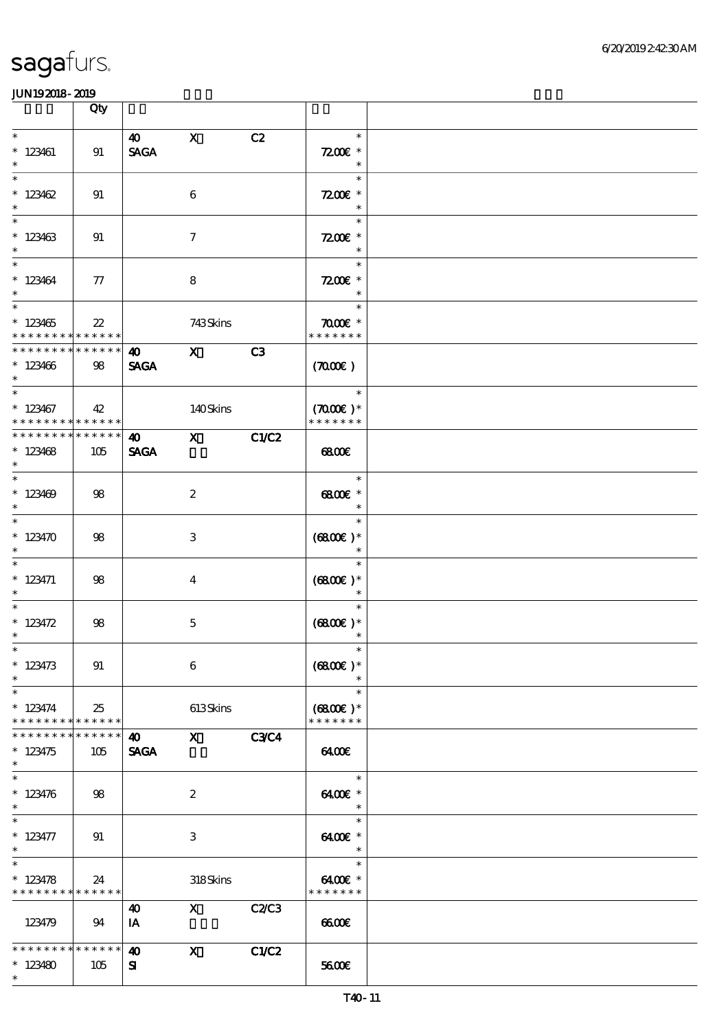|                                                               | Qty                |                                      |                                                                                                                                                                                                                                                                                                                                 |             |                                               |  |
|---------------------------------------------------------------|--------------------|--------------------------------------|---------------------------------------------------------------------------------------------------------------------------------------------------------------------------------------------------------------------------------------------------------------------------------------------------------------------------------|-------------|-----------------------------------------------|--|
| $\ast$<br>$*123461$<br>$\ast$                                 | 91                 | 40<br><b>SAGA</b>                    | $\mathbf{X}$                                                                                                                                                                                                                                                                                                                    | C2          | $\ast$<br>$7200$ £ *<br>$\ast$                |  |
| $\ast$<br>$*123462$<br>$\ast$                                 | 91                 |                                      | $\boldsymbol{6}$                                                                                                                                                                                                                                                                                                                |             | $\ast$<br>$7200$ £ *<br>$\ast$                |  |
| $\overline{\phantom{0}}$<br>$*123463$<br>$\ast$               | 91                 |                                      | $\tau$                                                                                                                                                                                                                                                                                                                          |             | $\ast$<br>$7200$ £ *<br>$\ast$                |  |
| $\overline{\ast}$<br>$*123464$<br>$\ast$                      | 77                 |                                      | 8                                                                                                                                                                                                                                                                                                                               |             | $\ast$<br>$7200$ £ *<br>$\ast$                |  |
| $\overline{\ast}$<br>$*123465$<br>* * * * * * * * * * * * * * | $2\!2$             |                                      | 743Skins                                                                                                                                                                                                                                                                                                                        |             | $\ast$<br>$\pi$ and $*$<br>* * * * * * *      |  |
| ******** <mark>*******</mark><br>$*123406$<br>$\ast$          | 98                 | $\bullet$ $\bullet$<br><b>SAGA</b>   | $\mathbf x$                                                                                                                                                                                                                                                                                                                     | C3          | (7000)                                        |  |
| $\ast$<br>$*123467$<br>* * * * * * * * * * * * * * *          | 42                 |                                      | 140Skins                                                                                                                                                                                                                                                                                                                        |             | $\ast$<br>$(7000\text{E})$ *<br>* * * * * * * |  |
| * * * * * * * * * * * * * * *<br>$*123468$<br>$\ast$          | 105                | <b>SAGA</b>                          | $\overline{40}$ X C1/C2                                                                                                                                                                                                                                                                                                         |             | 68000                                         |  |
| $*123409$<br>$\ast$                                           | 98                 |                                      | $\boldsymbol{2}$                                                                                                                                                                                                                                                                                                                |             | $\ast$<br>6800€ *<br>$\ast$                   |  |
| $\ast$<br>$*123470$                                           | 98                 |                                      | 3                                                                                                                                                                                                                                                                                                                               |             | $\ast$<br>$(6800)$ *                          |  |
| $* 123471$<br>$\ast$                                          | 98                 |                                      | $\overline{4}$                                                                                                                                                                                                                                                                                                                  |             | $\ast$<br>$(6800)$ *<br>$\ast$                |  |
| $\ast$<br>$* 123472$<br>$\ast$                                | $98$               |                                      | $\mathbf{5}$                                                                                                                                                                                                                                                                                                                    |             | $\ast$<br>$(6800)$ *<br>$\ast$                |  |
| $*$<br>$* 123473$<br>$\ast$                                   | 91                 |                                      | $\boldsymbol{6}$                                                                                                                                                                                                                                                                                                                |             | $\ast$<br>$(6800)$ *                          |  |
| $\ast$<br>$* 123474$<br>* * * * * * * *                       | 25<br>* * * * * *  |                                      | 613Skins                                                                                                                                                                                                                                                                                                                        |             | $\ast$<br>$(6800)$ *<br>* * * * * * *         |  |
| * * * * * * *<br>$* 123475$<br>$\ast$                         | * * * * * *<br>105 | $\boldsymbol{\omega}$<br><b>SAGA</b> | $\mathbf X$ and $\mathbf X$ and $\mathbf X$ and $\mathbf X$ and $\mathbf X$ and $\mathbf X$ and $\mathbf X$ and $\mathbf X$ and $\mathbf X$ and $\mathbf X$ and $\mathbf X$ and $\mathbf X$ and $\mathbf X$ and $\mathbf X$ and $\mathbf X$ and $\mathbf X$ and $\mathbf X$ and $\mathbf X$ and $\mathbf X$ and $\mathbf X$ and | <b>C3C4</b> | 6400€                                         |  |
| $\ast$<br>$* 123476$<br>$\ast$                                | 98                 |                                      | $\boldsymbol{2}$                                                                                                                                                                                                                                                                                                                |             | $\ast$<br>6400€ *<br>$\ast$                   |  |
| $\ast$<br>$* 123477$<br>$\ast$                                | 91                 |                                      | 3                                                                                                                                                                                                                                                                                                                               |             | $\ast$<br>$6400E$ *<br>$\ast$                 |  |
| $\ast$<br>$* 123478$<br>* * * * * * * * * * * * * *           | 24                 |                                      | 318Skins                                                                                                                                                                                                                                                                                                                        |             | $\ast$<br>6400€ *<br>* * * * * * *            |  |
| 123479                                                        | 94                 | 40<br>IA                             | $\mathbf{X}$                                                                                                                                                                                                                                                                                                                    | C2C3        | 6600                                          |  |
| * * * * * * * *<br>$*123480$<br>$\ast$                        | * * * * * *<br>105 | $\boldsymbol{\omega}$<br>${\bf s}$   | $\mathbf{x}$                                                                                                                                                                                                                                                                                                                    | C1/C2       | 5600E                                         |  |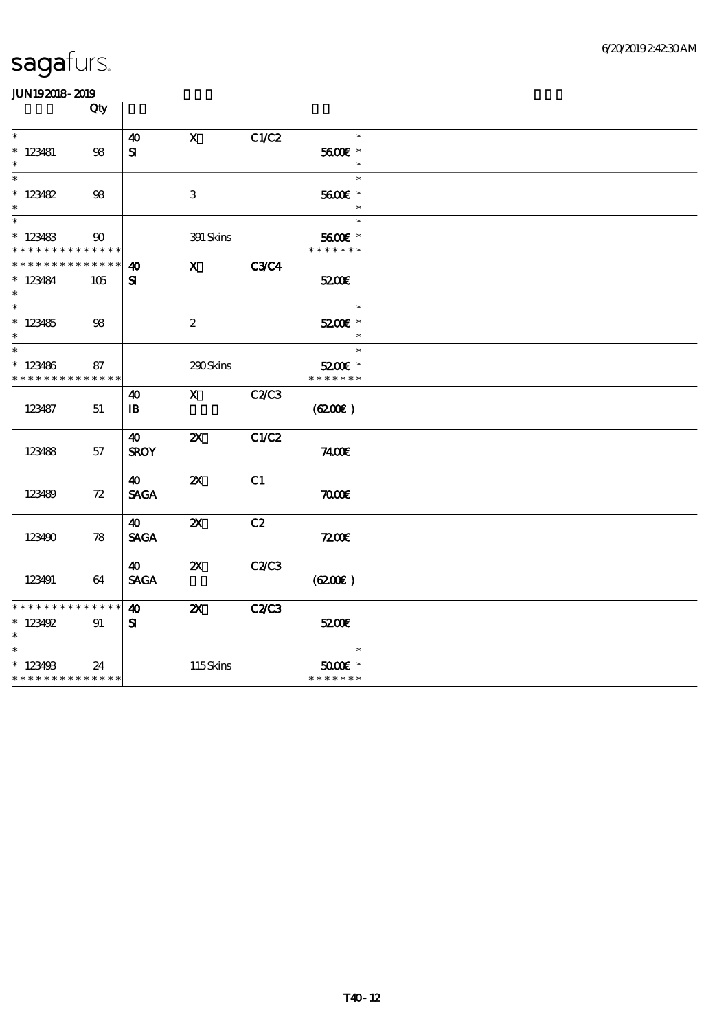|                                                       | Qty                |                                       |                           |              |                                                   |  |
|-------------------------------------------------------|--------------------|---------------------------------------|---------------------------|--------------|---------------------------------------------------|--|
| $\ast$<br>$* 123481$<br>$\ast$                        | 98                 | $\boldsymbol{\omega}$<br>${\bf s}$    | $\mathbf{x}$              | C1/C2        | $\ast$<br>5600E *<br>$\ast$                       |  |
| $* 123482$<br>$\ast$                                  | 98                 |                                       | 3                         |              | $\ast$<br>5600€ *<br>$\ast$                       |  |
| $\ast$<br>$*123483$<br>* * * * * * * * * * * * * *    | $90^{\circ}$       |                                       | 391 Skins                 |              | $\ast$<br>5600€ *<br>* * * * * * *                |  |
| * * * * * * *<br>$* 123484$<br>$\ast$                 | * * * * * *<br>105 | $\boldsymbol{\omega}$<br>${\bf s}$    | X C3C4                    |              | 5200E                                             |  |
| $\ast$<br>$*123485$<br>$\ast$                         | 98                 |                                       | $\boldsymbol{2}$          |              | $\ast$<br>5200E *<br>$\ast$                       |  |
| $\ast$<br>$*123486$<br>* * * * * * * * * * * * * *    | 87                 |                                       | 290Skins                  |              | $\ast$<br>5200E *<br>* * * * * * *                |  |
| 123487                                                | 51                 | $\boldsymbol{\omega}$<br>$\mathbf{B}$ | X C2/C3                   |              | (6200)                                            |  |
| 123488                                                | 57                 | $\boldsymbol{\omega}$<br><b>SROY</b>  | $\boldsymbol{\mathsf{Z}}$ | C1/C2        | 7400E                                             |  |
| 123489                                                | 72                 | 40<br><b>SAGA</b>                     | $\boldsymbol{\alpha}$     | C1           | $\pi$                                             |  |
| 123490                                                | 78                 | $\boldsymbol{\omega}$<br><b>SAGA</b>  | $\boldsymbol{\mathsf{Z}}$ | C2           | 7200                                              |  |
| 123491                                                | 64                 | 40<br><b>SAGA</b>                     | $\boldsymbol{\mathsf{Z}}$ | <b>C2/C3</b> | (6200)                                            |  |
| * * * * * * * * * * * * * * *<br>$* 123492$<br>$\ast$ | 91                 | 40<br>${\bf s}$                       | $\boldsymbol{\mathsf{Z}}$ | C2C3         | 5200E                                             |  |
| $\ast$<br>$*123498$<br>* * * * * * * * * * * * * *    | 24                 |                                       | 115Skins                  |              | $\ast$<br>$5000$ $\varepsilon$ *<br>* * * * * * * |  |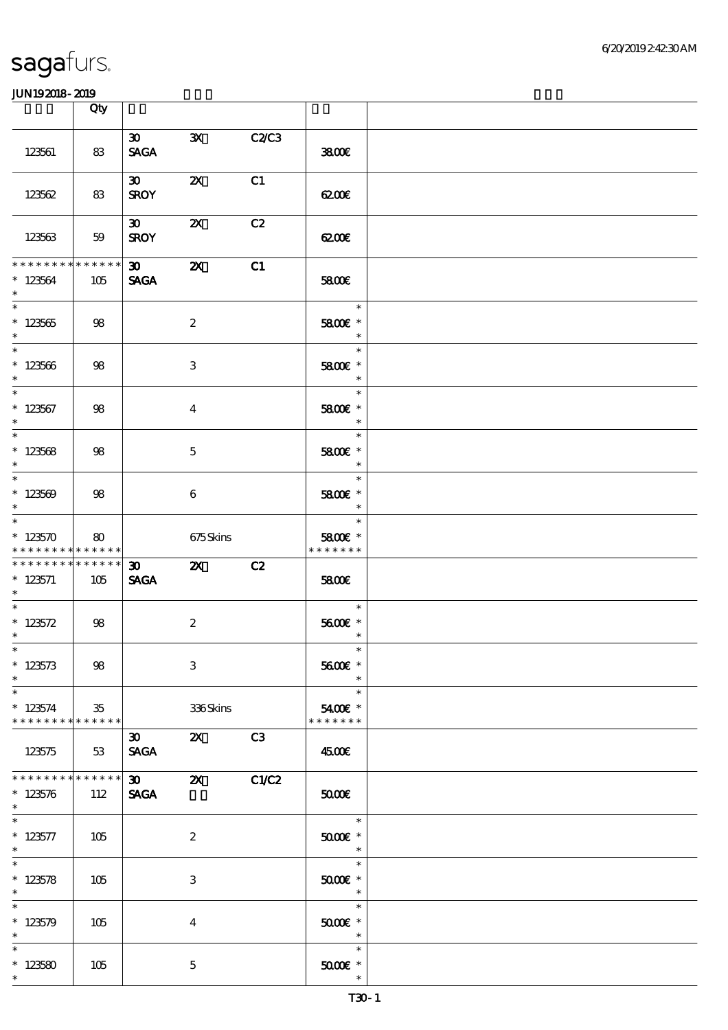|                                                                   | Qty  |                                            |                           |              |                                                                   |  |
|-------------------------------------------------------------------|------|--------------------------------------------|---------------------------|--------------|-------------------------------------------------------------------|--|
| 123561                                                            | 83   | 30<br><b>SAGA</b>                          | $\mathbf{x}$              | C2C3         | 3800E                                                             |  |
| 123562                                                            | 83   | $\infty$<br><b>SROY</b>                    | $\boldsymbol{\mathsf{X}}$ | C1           | 6200€                                                             |  |
| 123563                                                            | 59   | 30<br><b>SROY</b>                          | $\boldsymbol{\alpha}$     | C2           | 6200                                                              |  |
| * * * * * * * * * * * * * * *<br>$*123564$<br>$\ast$              | 105  | $30 - 1$<br><b>SAGA</b>                    | $\boldsymbol{\mathsf{z}}$ | C1           | 5800E                                                             |  |
| $\overline{\phantom{0}}$<br>$* 123565$<br>$\ast$                  | 98   |                                            | $\boldsymbol{2}$          |              | 1995 F<br>$\ast$<br>5800€ *<br>$\ast$                             |  |
| $* 123566$<br>$\ast$                                              | 98   |                                            | 3                         |              | $\ast$<br>5800€ *<br>$\ast$                                       |  |
| $\ast$<br>$*123567$<br>$\ast$                                     | 98   |                                            | $\bf{4}$                  |              | $\ast$<br>5800€ *<br>$\ast$                                       |  |
| $\overline{\ast}$<br>$* 123568$<br>$\ast$                         | 98   |                                            | $\mathbf{5}$              |              | $\ast$<br>5800€ *<br>$\ast$                                       |  |
| $*123569$<br>$\ast$                                               | 98   |                                            | $6\phantom{.}6$           |              | $\ast$<br>5800€ *<br>$\ast$                                       |  |
| $\ast$<br>$*123570$<br>* * * * * * * * <mark>* * * * * * *</mark> | 80   |                                            | 675Skins                  |              | $\ast$<br>5800€ *<br>* * * * * * *                                |  |
| * * * * * * * * * * * * * * *<br>$*123571$<br>$*$                 | 105  | $\boldsymbol{\mathfrak{D}}$<br><b>SAGA</b> | $\mathbf{z}$              | C2           | 5800E                                                             |  |
| $* 123572$<br>$\ast$                                              | 98   |                                            | $\boldsymbol{2}$          |              | $\ast$<br>5600€ *<br>$\ast$                                       |  |
| $*$ $*$<br>$*123573$<br>$\ast$                                    | $98$ |                                            | $\,3$                     |              | $\ast$<br>5600€ *<br>$\ast$                                       |  |
| $\ast$<br>$*123574$<br>* * * * * * * * * * * * * * *              | 35   |                                            | 336Skins                  |              | $\ast$<br>5400€ *<br>* * * * * * *                                |  |
| 123575<br>* * * * * * * * * * * * * *                             | 53   | $\infty$<br><b>SAGA</b>                    | $\mathbf{X}$              | C3           | 4500€                                                             |  |
| $* 123576$<br>$\ast$                                              | 112  | $\boldsymbol{\mathfrak{D}}$<br><b>SAGA</b> | $\boldsymbol{\mathsf{X}}$ | <b>C1/C2</b> | 5000                                                              |  |
| $* 123577$<br>$*$<br>$\ast$                                       | 105  |                                            | $\boldsymbol{2}$          |              | $\ast$<br>$5000$ $^{\circ}$<br>$\overline{\phantom{a}}$<br>$\ast$ |  |
| $* 123578$<br>$\ast$<br>$\ast$                                    | 105  |                                            | 3                         |              | $5000$ $*$<br>$\ast$<br>$\ast$                                    |  |
| $*123579$<br>$\ast$                                               | 105  |                                            | $\overline{4}$            |              | $5000E$ *<br>$\ast$                                               |  |
| $\ast$<br>$*123580$<br>$\ast$                                     | 105  |                                            | $\mathbf 5$               |              | $\ast$<br>$5000$ $*$<br>$\ast$                                    |  |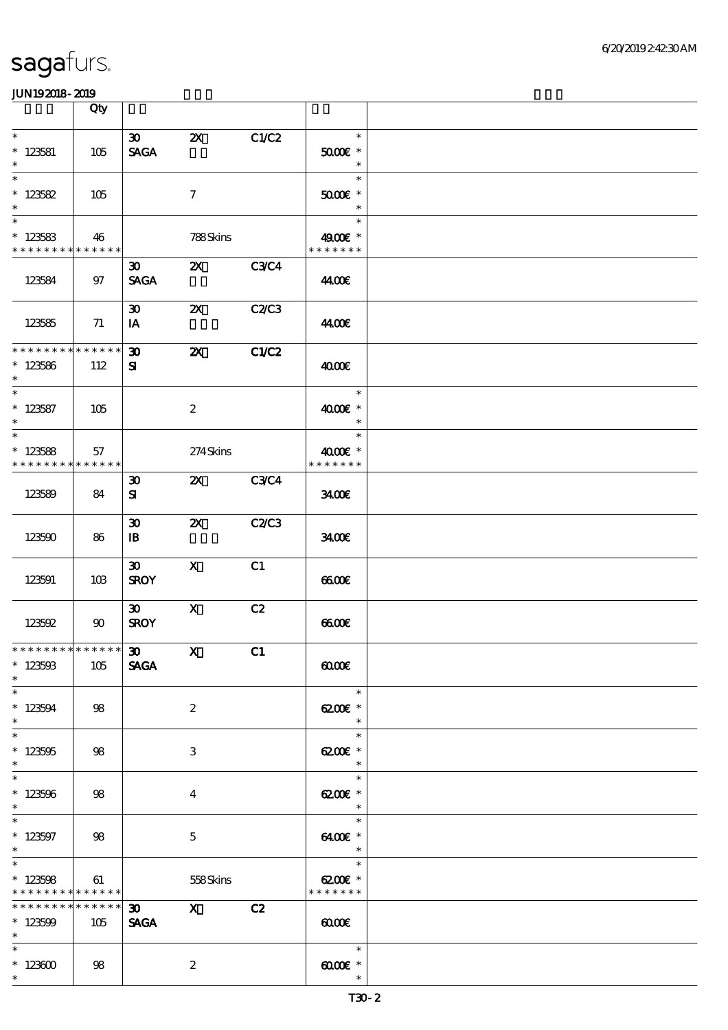|                                                                      | Qty                    |                                             |                           |              |                                                                |  |
|----------------------------------------------------------------------|------------------------|---------------------------------------------|---------------------------|--------------|----------------------------------------------------------------|--|
| $\ast$<br>$* 123581$<br>$\ast$                                       | 105                    | $\infty$<br><b>SAGA</b>                     | $\boldsymbol{\mathsf{Z}}$ | C1/C2        | $\ast$<br>$5000$ $^{\circ}$<br>$\ast$                          |  |
| $\ast$<br>$*123582$<br>$\ast$                                        | 105                    |                                             | $\tau$                    |              | $\ast$<br>$5000$ $^{\circ}$<br>$\ast$                          |  |
| $\overline{\phantom{0}}$<br>$*123583$<br>* * * * * * * * * * * * * * | 46                     |                                             | 788Skins                  |              | $\ast$<br>4900€ *<br>* * * * * * *                             |  |
| 123584                                                               | $97$                   | $\boldsymbol{\mathfrak{D}}$<br><b>SAGA</b>  | $Z\!X$                    | <b>C3C4</b>  | 44.00€                                                         |  |
| 123585                                                               | 71                     | $\boldsymbol{\mathfrak{D}}$<br>IA           | $\boldsymbol{\mathsf{X}}$ | <b>C2/C3</b> | 44.00€                                                         |  |
| * * * * * * * *<br>$*123586$<br>$\ast$                               | * * * * * *<br>112     | $\boldsymbol{\mathfrak{D}}$<br>${\bf s}$    | $\boldsymbol{\alpha}$     | C1/C2        | 4000E                                                          |  |
| $\ast$<br>$* 123587$<br>$\ast$                                       | 105                    |                                             | $\boldsymbol{2}$          |              | $\ast$<br>4000 £*<br>$\ast$                                    |  |
| $\overline{\phantom{0}}$<br>$*123588$<br>$* * * * * * * * *$         | 57<br>* * * * * *      |                                             | 274Skins                  |              | $\ast$<br>4000 £*<br>* * * * * * *                             |  |
| 123589                                                               | 84                     | $\boldsymbol{\mathfrak{D}}$<br>${\bf s}$    | 2X C3C4                   |              | 3400                                                           |  |
| 123590                                                               | 86                     | $\boldsymbol{\mathfrak{D}}$<br>$\mathbf{B}$ | $\boldsymbol{\mathsf{X}}$ | C2/C3        | 3400E                                                          |  |
| 123591                                                               | 10B                    | $\boldsymbol{\mathfrak{D}}$<br><b>SROY</b>  | $\boldsymbol{X}$          | C1           | 6600                                                           |  |
| 123592                                                               | 90                     | $\boldsymbol{\mathfrak{D}}$<br><b>SROY</b>  | $\mathbf X$               | C2           | 6600                                                           |  |
| ******** <mark>******</mark><br>$* 12350B$<br>$\ast$                 | 105                    | $\boldsymbol{\mathfrak{D}}$<br><b>SAGA</b>  | $\mathbf{X}$              | C1           | $\omega$                                                       |  |
| $\overline{\phantom{0}}$<br>$* 123594$<br>$\ast$                     | 98                     |                                             | $\boldsymbol{2}$          |              | $\ast$<br>$6200$ $*$<br>$\ast$                                 |  |
| $\overline{\ast}$<br>$*123505$<br>$\ast$                             | 98                     |                                             | 3                         |              | $\ast$<br>62006 *<br>$\ast$                                    |  |
| $\ast$<br>$*123506$<br>$\ast$                                        | 98                     |                                             | $\bf{4}$                  |              | $\ast$<br>6200€ *<br>$\ast$                                    |  |
| $\overline{\phantom{a}^*}$<br>$* 123597$<br>$\ast$                   | 98                     |                                             | $\mathbf{5}$              |              | $\ast$<br>6400€ *<br>$\overline{\phantom{a}}$                  |  |
| $\overline{\ast}$<br>$*123508$<br>* * * * * * * * * * * * * *        | 61                     |                                             | 558Skins                  |              | $\overline{\phantom{a}}$<br>$\ast$<br>6200€ *<br>* * * * * * * |  |
| * * * * * * * *<br>$*123509$<br>$\ast$                               | $* * * * * * *$<br>105 | 30<br><b>SAGA</b>                           | $\mathbf x$               | C2           | $\omega$                                                       |  |
| $\ast$<br>$*123600$<br>$\ast$                                        | 98                     |                                             | $\boldsymbol{z}$          |              | $\ast$<br>$\mathbf{A}$ and $\mathbf{A}$<br>$\ast$              |  |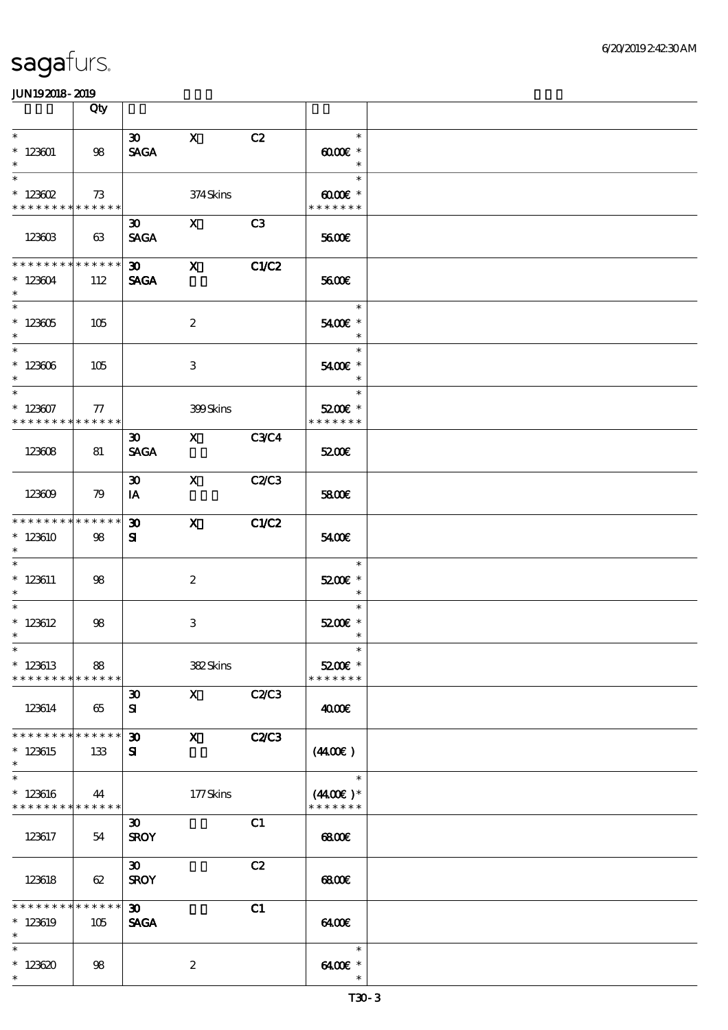|                                                        | Qty                |                                             |                                                                  |                |                                                        |  |
|--------------------------------------------------------|--------------------|---------------------------------------------|------------------------------------------------------------------|----------------|--------------------------------------------------------|--|
| $\ast$<br>$*123001$<br>$\ast$                          | 98                 | $\infty$ x<br><b>SAGA</b>                   |                                                                  | C2             | $\ast$<br>$\omega$ occase $*$<br>$\ast$                |  |
| $\ast$<br>$*$ 123602<br>* * * * * * * * * * * * * * *  | 73                 |                                             | 374Skins                                                         |                | $\ast$<br>$00005$ *<br>* * * * * * *                   |  |
| 123603                                                 | 63                 | $30 -$<br><b>SAGA</b>                       | $\mathbf{X}$                                                     | C <sub>3</sub> | 5600E                                                  |  |
| * * * * * * * * * * * * * *<br>$*123604$<br>$\ast$     | 112                | <b>SAGA</b>                                 | $30 \quad X$                                                     | C1/C2          | 5600E                                                  |  |
| $\overline{\phantom{0}}$<br>$^*$ 123605 $\,$<br>$\ast$ | 105                |                                             | $\boldsymbol{2}$                                                 |                | 1995)<br>$\ast$<br>5400€ *<br>$\overline{\phantom{a}}$ |  |
| $*123606$<br>$\ast$                                    | 105                |                                             | 3                                                                |                | $\ast$<br>5400€ *<br>$\overline{\phantom{a}}$          |  |
| $\ast$<br>$*123607$<br>* * * * * * * * * * * * * * *   | 77                 |                                             | <b>399Skins</b>                                                  |                | $\ast$<br>5200E *<br>* * * * * * *                     |  |
| 123608                                                 | 81                 | <b>SAGA</b>                                 | $\overline{30}$ X $\overline{30}$ $\overline{30}$ $\overline{4}$ |                | 5200E                                                  |  |
| 123609                                                 | $\mathcal{R}$      | $\boldsymbol{\mathfrak{D}}$<br>IA           | <b>X</b> C <sub>2</sub> C <sub>3</sub>                           |                | 5800€                                                  |  |
| * * * * * * * * * * * * * *<br>$*123610$<br>$\ast$     | 98                 | $\boldsymbol{\mathfrak{D}}$<br>$\mathbf{S}$ | $\mathbf{X}$                                                     | C1/C2          | 5400€                                                  |  |
| $*123611$<br>$\ast$                                    | 98                 |                                             | $\boldsymbol{z}$                                                 |                | $\ast$<br>5200E *<br>$\overline{\phantom{a}}$          |  |
| $\ast$<br>$*123612$<br>$\ast$                          | 98                 |                                             | $\,3\,$                                                          |                | $\ast$<br>5200E *<br>$\ast$                            |  |
| $*$ $*$<br>$*123613$<br>$*********$                    | 88<br>* * * * * *  |                                             | 382Skins                                                         |                | $\ast$<br>5200E *<br>* * * * * * *                     |  |
| 123614                                                 | 65                 | $\boldsymbol{\mathfrak{D}}$<br>${\bf s}$    | $\mathbf{X}$                                                     | C2C3           | 4000€                                                  |  |
| * * * * * * * *<br>$*123615$<br>$\ast$                 | * * * * * *<br>133 | $\boldsymbol{\mathfrak{D}}$<br>${\bf s}$    | $\mathbf{x}$                                                     | <b>C2/C3</b>   | (440E)                                                 |  |
| $\ast$<br>$*123616$<br>* * * * * * * * * * * * * *     | 44                 |                                             | 177Skins                                                         |                | $\ast$<br>$(440E)^*$<br>* * * * * * *                  |  |
| 123617                                                 | 54                 | $\boldsymbol{\mathfrak{D}}$<br><b>SROY</b>  |                                                                  | C1             | 6800                                                   |  |
| 123618                                                 | 62                 | $\boldsymbol{\mathfrak{D}}$<br><b>SROY</b>  |                                                                  | C2             | <b>esco</b>                                            |  |
| * * * * * * * *<br>$*123619$<br>$\ast$                 | * * * * * *<br>105 | $\boldsymbol{\mathfrak{D}}$<br><b>SAGA</b>  |                                                                  | C1             | 6400€                                                  |  |
| $\ast$<br>$*123620$<br>$\ast$                          | 98                 |                                             | $\boldsymbol{2}$                                                 |                | $\ast$<br>6400€ *<br>$\ast$                            |  |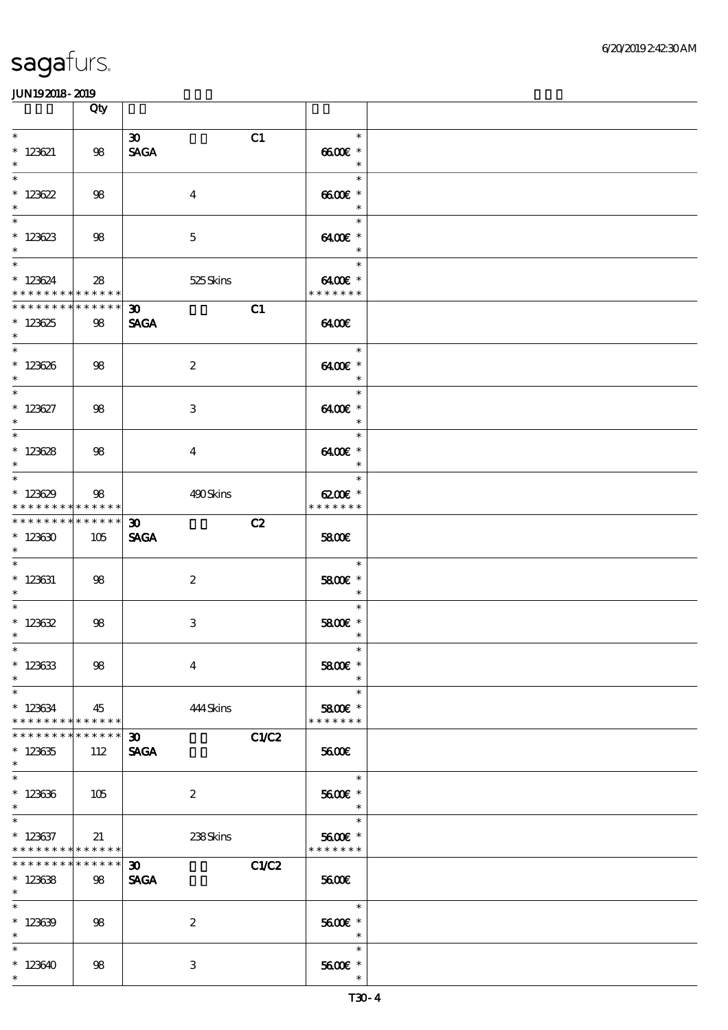|                                                                        | Qty                |                                                  |                                                |  |
|------------------------------------------------------------------------|--------------------|--------------------------------------------------|------------------------------------------------|--|
|                                                                        |                    |                                                  |                                                |  |
| $\overline{\ast}$<br>$* 123621$<br>$\ast$                              | 98                 | $\boldsymbol{\mathfrak{D}}$<br>C1<br><b>SAGA</b> | $\ast$<br>6600€ *<br>$\ast$                    |  |
| $\overline{\phantom{0}}$<br>$* 123622$<br>$\ast$                       | 98                 | $\overline{4}$                                   | $\ast$<br>$6600E$ *<br>$\overline{\mathbf{r}}$ |  |
| $\overline{\phantom{0}}$<br>$*123623$<br>$\ast$                        | 98                 | $\mathbf{5}$                                     | an an<br>$\ast$<br>$6400E$ *<br>$\ast$         |  |
| $\overline{\ast}$<br>$*123624$<br>* * * * * * * * * * * * * * *        | 28                 | 525 Skins                                        | $\ast$<br>6400€ *<br>* * * * * * *             |  |
| * * * * * * * * * * * * * * *<br>$*123625$<br>$\ast$                   | 98                 | C1<br>$\boldsymbol{\mathfrak{D}}$<br><b>SAGA</b> | 6400                                           |  |
| $*123626$<br>$\ast$                                                    | 98                 | $\boldsymbol{2}$                                 | $\overline{\phantom{a}}$<br>6400€ *<br>$\ast$  |  |
| $\ast$<br>$* 123627$<br>$\ast$                                         | 98                 | 3                                                | $\ast$<br>6400€ *<br>$\ast$                    |  |
| $\overline{\ast}$<br>$*123628$<br>$\ast$                               | 98                 | $\overline{4}$                                   | $\ast$<br>6400€ *<br>$\overline{\phantom{a}}$  |  |
| $\overline{\phantom{0}}$<br>$*123629$<br>* * * * * * * * * * * * * * * | 98                 | 490Skins                                         | $\ast$<br>6200€ *<br>* * * * * * *             |  |
| * * * * * * * * * * * * * * *<br>$*123630$<br>$\ast$                   | 105                | $30-1$<br>C2<br><b>SAGA</b>                      | 5800€                                          |  |
| $* 123631$<br>$\ast$                                                   | 98                 | $\boldsymbol{2}$                                 | $\ast$<br>5800 £*<br>$\overline{\phantom{a}}$  |  |
| $* 123632$<br>$\ast$                                                   | 98                 | 3                                                | $\ast$<br>5800€ *<br>$\ast$                    |  |
| $*$<br>$*123633$<br>$\ast$                                             | 98                 | $\overline{\mathbf{4}}$                          | 5800€ *                                        |  |
| $\ast$<br>$* 123634$<br>* * * * * * * * * * * * * * *                  | 45                 | 444 Skins                                        | $\ast$<br>5800 £*<br>* * * * * * *             |  |
| * * * * * * * *<br>$*123635$<br>$\ast$                                 | * * * * * *<br>112 | C1/C2<br>30 <sub>o</sub><br><b>SAGA</b>          | <b>5600€</b>                                   |  |
| $\ast$<br>$*123636$<br>$\ast$                                          | 105                | $\boldsymbol{2}$                                 | $\ast$<br>5600E *<br>$\ast$                    |  |
| $\ast$<br>$*$ 123637<br>* * * * * * * * * * * * * *                    | 21                 | 238Skins                                         | $\ast$<br>5600€ *<br>* * * * * * *             |  |
| * * * * * * * *<br>$*123638$<br>$*$                                    | ******<br>98       | C1/C2<br>30 <sub>o</sub><br><b>SAGA</b>          | 5600€                                          |  |
| $\overline{\ast}$<br>$*123639$<br>$\ast$                               | 98                 | $\boldsymbol{z}$                                 | $\ast$<br>5600E *<br>$\ast$                    |  |
| $\ast$<br>$*123640$<br>$\ast$                                          | 98                 | $\,3\,$                                          | $\ast$<br>5600 £*<br>$\ast$                    |  |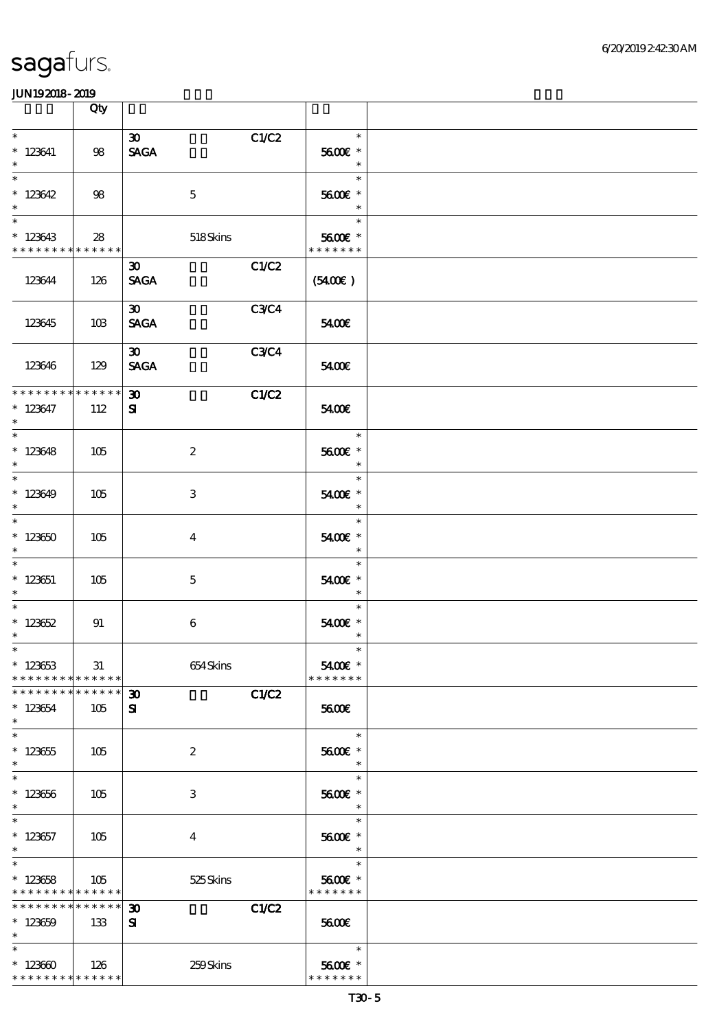|                                                      | Qty                   |                                                           |                                    |  |
|------------------------------------------------------|-----------------------|-----------------------------------------------------------|------------------------------------|--|
| $\ast$<br>$*$ 123641<br>$\ast$                       | 98                    | C1/C2<br>$\boldsymbol{\mathfrak{D}}$<br><b>SAGA</b>       | $\ast$<br>5600€ *<br>$\ast$        |  |
| $\overline{\ast}$<br>$*123642$<br>$\ast$             | 98                    | $\mathbf 5$                                               | $\ast$<br>5600€ *<br>$\ast$        |  |
| $\ast$<br>$*123643$<br>* * * * * * * * * * * * * * * | 28                    | 518Skins                                                  | $\ast$<br>5600€ *<br>* * * * * * * |  |
| 123644                                               | 126                   | C1/C2<br>$\boldsymbol{\mathfrak{D}}$<br><b>SAGA</b>       | (5400)                             |  |
| 123645                                               | 10B                   | <b>C3C4</b><br>$\infty$<br><b>SAGA</b>                    | 5400E                              |  |
| 123646                                               | 129                   | $\boldsymbol{\mathfrak{D}}$<br><b>C3C4</b><br><b>SAGA</b> | 5400E                              |  |
| * * * * * * * *<br>$* 123647$<br>$\ast$              | * * * * * *<br>112    | 30 <sup>2</sup><br>C1/C2<br>${\bf z}$                     | 5400E                              |  |
| $\overline{\phantom{0}}$<br>$*123648$<br>$\ast$      | 105                   | $\boldsymbol{z}$                                          | $\ast$<br>5600€ *<br>$\ast$        |  |
| $\overline{\phantom{0}}$<br>$*123649$<br>$\ast$      | 105                   | 3                                                         | $\ast$<br>5400€ *<br>$\ast$        |  |
| $\ast$<br>$*123650$<br>$\ast$                        | 105                   | $\overline{\mathbf{4}}$                                   | $\ast$<br>5400€ *<br>$\ast$        |  |
| $\ast$<br>$*123651$<br>$\ast$                        | 105                   | $\mathbf{5}$                                              | $\ast$<br>5400€ *<br>$\ast$        |  |
| $\ast$<br>$*123652$<br>$\ast$                        | 91                    | 6                                                         | $\ast$<br>5400€ *<br>$\ast$        |  |
| $*$<br>$*123653$<br>* * * * * * * *                  | 31<br>$* * * * * * *$ | 654Skins                                                  | $\ast$<br>5400€ *<br>* * * * * * * |  |
| * * * * * * * *<br>$*123654$<br>$\ast$               | * * * * * *<br>105    | C1/C2<br>$\boldsymbol{\mathfrak{D}}$<br>${\bf s}$         | 5600E                              |  |
| $\ast$<br>$*123655$<br>$\ast$                        | 105                   | $\boldsymbol{2}$                                          | $\ast$<br>5600E *<br>$\ast$        |  |
| $\ast$<br>$*123656$<br>$\ast$                        | 105                   | 3                                                         | $\ast$<br>5600€ *<br>$\ast$        |  |
| $\ast$<br>$*123657$<br>$\ast$                        | 105                   | $\overline{\mathbf{4}}$                                   | $\ast$<br>5600 £*<br>$\ast$        |  |
| $\ast$<br>$*123658$<br>* * * * * * * * * * * * * *   | 105                   | 525 Skins                                                 | $\ast$<br>5600€ *<br>* * * * * * * |  |
| * * * * * * * *<br>$*123659$<br>$\ast$               | * * * * * *<br>133    | C1/C2<br>$\boldsymbol{\mathfrak{D}}$<br>${\bf s}$         | 5600E                              |  |
| $\ast$<br>$*123600$<br>* * * * * * * * * * * * * *   | 126                   | 259Skins                                                  | $\ast$<br>5600€ *<br>* * * * * * * |  |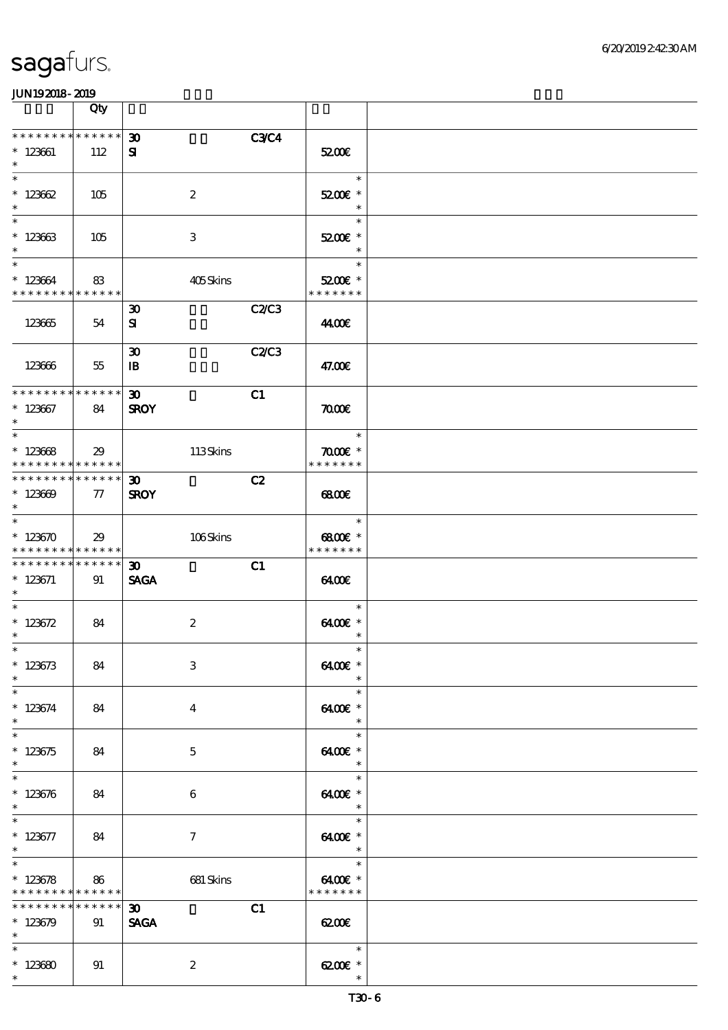|                                                                             | Qty         |                             |             |                                     |  |
|-----------------------------------------------------------------------------|-------------|-----------------------------|-------------|-------------------------------------|--|
| * * * * * * * * * * * * * *                                                 |             | $\boldsymbol{\mathfrak{D}}$ | <b>C3C4</b> |                                     |  |
| $*123661$<br>$\ast$                                                         | 112         | ${\bf s}$                   |             | 5200E                               |  |
| $\ast$                                                                      |             |                             |             | $\ast$                              |  |
| $*123662$<br>$\ast$                                                         | 105         | $\boldsymbol{2}$            |             | 5200E *<br>$\ast$                   |  |
| $\ast$                                                                      |             |                             |             | $\ast$                              |  |
| $*123663$<br>$\ast$                                                         | 105         | 3                           |             | 5200E *<br>$\ast$                   |  |
| $\ast$                                                                      |             |                             |             | $\ast$                              |  |
| $*123664$<br>* * * * * * * * * * * * * *                                    | 83          | 405Skins                    |             | 5200E *<br>* * * * * * *            |  |
|                                                                             |             | $\boldsymbol{\mathfrak{D}}$ | C2C3        |                                     |  |
| 123665                                                                      | 54          | ${\bf s}$                   |             | 44.00€                              |  |
|                                                                             |             | $\boldsymbol{\mathfrak{D}}$ | C2C3        |                                     |  |
| 123666                                                                      | 55          | $\mathbf{B}$                |             | 47.00€                              |  |
| ******** <mark>*******</mark>                                               |             | $\boldsymbol{\mathfrak{D}}$ | C1          |                                     |  |
| $*123667$<br>$\ast$                                                         | 84          | <b>SROY</b>                 |             | $\pi$                               |  |
| $\ast$                                                                      |             |                             |             | $\ast$                              |  |
| $*123688$                                                                   | 29          | 113Skins                    |             | $\pi$ and $*$                       |  |
| * * * * * * * * <mark>* * * * * * *</mark><br>* * * * * * * * * * * * * * * |             | $\boldsymbol{\mathfrak{D}}$ | C2          | * * * * * * *                       |  |
| $*123609$<br>$\ast$                                                         | 77          | <b>SROY</b>                 |             | 6800                                |  |
| $\ast$                                                                      |             |                             |             | $\ast$                              |  |
| $*123670$<br>* * * * * * * * * * * * * *                                    | 29          | 106Skins                    |             | $6800$ $*$<br>* * * * * * *         |  |
| * * * * * * * * * * * * * * *                                               |             | $\boldsymbol{\mathfrak{D}}$ | C1          |                                     |  |
| $* 123671$<br>$\ast$                                                        | 91          | <b>SAGA</b>                 |             | 6400                                |  |
| $\ast$                                                                      |             |                             |             | $\ast$                              |  |
| $* 123672$<br>$\ast$                                                        | 84          | $\boldsymbol{2}$            |             | 6400€ *                             |  |
| $*$                                                                         |             |                             |             | $\ast$<br>$\ast$                    |  |
| $* 123673$                                                                  | 84          | $\,3$                       |             | 6400€ *                             |  |
| $\ast$<br>$\ast$                                                            |             |                             |             | $\ast$<br>$\ast$                    |  |
| $*123674$                                                                   | 84          | $\overline{4}$              |             | 6400€ *                             |  |
| $\ast$<br>$\ast$                                                            |             |                             |             | $\ast$<br>$\ast$                    |  |
| $*123675$                                                                   | 84          | $\mathbf{5}$                |             | 6400€ *                             |  |
| $\ast$<br>$\ast$                                                            |             |                             |             | $\ast$                              |  |
| $*123676$                                                                   | 84          | 6                           |             | $\ast$<br>6400€ *                   |  |
| $\ast$                                                                      |             |                             |             | $\ast$                              |  |
| $\ast$<br>$* 123677$                                                        | 84          | $\tau$                      |             | $\ast$<br>6400€ *                   |  |
| $\ast$                                                                      |             |                             |             | $\overline{\phantom{a}}$            |  |
| $\ast$<br>$*123678$                                                         | 86          | 681 Skins                   |             | $\overline{a}$<br>$\ast$<br>6400€ * |  |
| * * * * * * * * * * * * * *                                                 |             |                             |             | * * * * * * *                       |  |
| * * * * * * * *                                                             | * * * * * * | $\boldsymbol{\mathfrak{D}}$ | C1          |                                     |  |
| $*123679$<br>$\ast$                                                         | 91          | <b>SAGA</b>                 |             | 6200E                               |  |
| $\ast$                                                                      |             |                             |             | $\ast$                              |  |
| $*123680$<br>$\ast$                                                         | 91          | $\boldsymbol{2}$            |             | 6200€ *<br>$\ast$                   |  |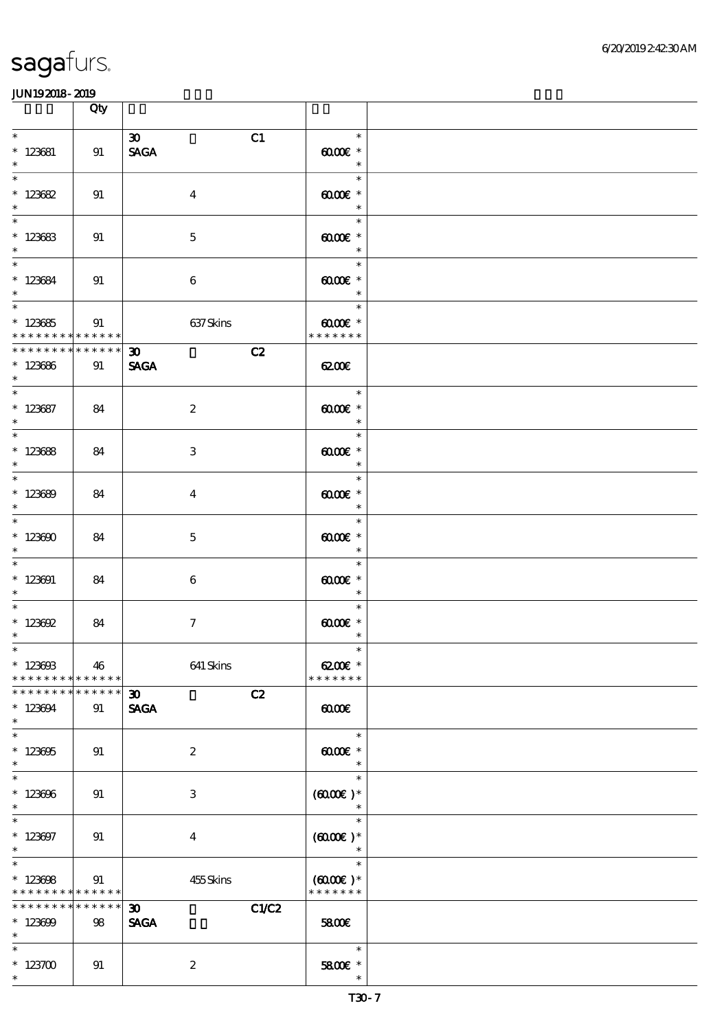|                                                                                     | Qty               |                                                     |                                                      |  |
|-------------------------------------------------------------------------------------|-------------------|-----------------------------------------------------|------------------------------------------------------|--|
| $\ast$<br>$*$ 123681<br>$\ast$                                                      | 91                | $\boldsymbol{\mathfrak{D}}$<br>C1<br><b>SAGA</b>    | $\ast$<br>$6000 \text{E}$ *<br>$\ast$                |  |
| $\overline{\ast}$<br>$* 123682$<br>$\ast$                                           | 91                | $\boldsymbol{4}$                                    | $\ast$<br>$\omega$ occases<br>$\ast$                 |  |
| $\ast$<br>$* 123683$<br>$\ast$                                                      | 91                | $\mathbf 5$                                         | $\ast$<br>$\omega$ $\alpha$ $\epsilon$ $*$<br>$\ast$ |  |
| $*$<br>$*123684$<br>$\ast$                                                          | 91                | $\boldsymbol{6}$                                    | $\ast$<br>$\omega$ occase $*$<br>$\ast$              |  |
| $\overline{\phantom{0}}$<br>$* 123685$<br>* * * * * * * * * * * * * *               | 91                | 637Skins                                            | $\ast$<br>$0000$ $*$<br>* * * * * * *                |  |
| ********<br>$*123686$<br>$*$                                                        | $******$<br>91    | $\infty$<br>C2<br><b>SAGA</b>                       | <b>exace</b>                                         |  |
| $*$ 123687<br>$\ast$                                                                | 84                | $\boldsymbol{2}$                                    | $\ast$<br>$0000$ $*$<br>$\overline{\phantom{a}}$     |  |
| $\overline{\ast}$<br>$*123688$<br>$\ast$                                            | 84                | $\,3$                                               | $\ast$<br>$6000E$ *<br>$\ast$                        |  |
| $\overline{\phantom{0}}$<br>$*123689$<br>$\ast$                                     | 84                | $\overline{4}$                                      | $\ast$<br>$0000$ $*$<br>$\ast$                       |  |
| $\overline{\phantom{0}}$<br>$*123600$<br>$\ast$                                     | 84                | $\mathbf{5}$                                        | $\ast$<br>$6000 \text{E}$ *<br>$\ast$                |  |
| $\ast$<br>$*123091$<br>$\ast$                                                       | 84                | 6                                                   | $\ast$<br>$00005$ *<br>$\ast$                        |  |
| $\overline{\phantom{0}}$<br>$* 123602$<br>$\ast$                                    | 84                | $\tau$                                              | $\ast$<br>$0000$ $*$<br>$\ast$                       |  |
| $*$<br>$* 12360B$<br>* * * * * * * *                                                | 46<br>******      | 641 Skins                                           | $\ast$<br>6200€ *<br>* * * * * * *                   |  |
| * * * * * * * * * * * * * *<br>$*123694$<br>$\ast$                                  | 91                | C2<br>30 <sub>o</sub><br><b>SAGA</b>                | $\omega$                                             |  |
| $\ast$<br>$*123605$<br>$\ast$                                                       | 91                | $\boldsymbol{z}$                                    | $\ast$<br>$6000 \text{E}$ *<br>$\ast$                |  |
| $\overline{\ast}$<br>$*123696$<br>$\ast$                                            | 91                | 3                                                   | $\ast$<br>$(6000\text{E})*$                          |  |
| $\ast$<br>$*123697$<br>$\ast$                                                       | 91                | $\overline{4}$                                      | $\ast$<br>$(6000\varepsilon)*$                       |  |
| $\overline{\phantom{0}}$<br>$*123608$<br>* * * * * * * * <mark>* * * * * * *</mark> | 91                | 455Skins                                            | $\ast$<br>$(6000\varepsilon)*$<br>* * * * * * *      |  |
| * * * * * * * *<br>$*123699$<br>$\ast$                                              | * * * * * *<br>98 | C1/C2<br>$\boldsymbol{\mathfrak{D}}$<br><b>SAGA</b> | 5800E                                                |  |
| $\ast$<br>$*123700$<br>$\ast$                                                       | 91                | $\boldsymbol{2}$                                    | $\ast$<br>5800€ *<br>$\ast$                          |  |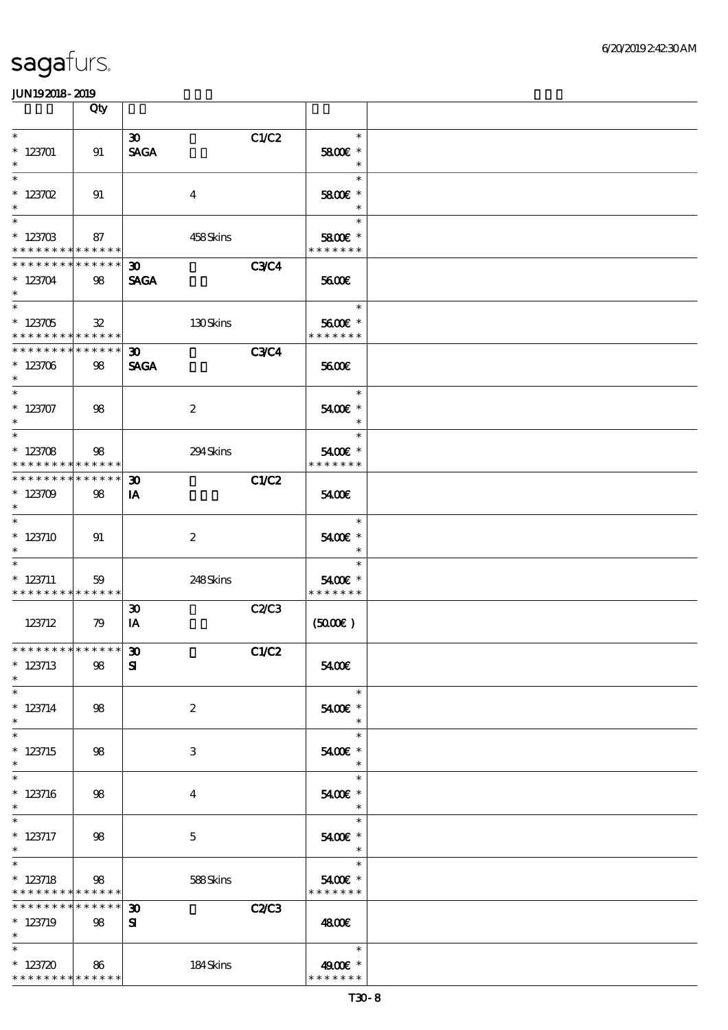|                                                                      | Qty            |                                                           |                                    |  |
|----------------------------------------------------------------------|----------------|-----------------------------------------------------------|------------------------------------|--|
| $\ast$<br>$*123701$<br>$\ast$                                        | 91             | $\boldsymbol{\mathfrak{D}}$<br>C1/C2<br><b>SAGA</b>       | $\ast$<br>5800€ *<br>$\ast$        |  |
| $\ast$<br>$* 123702$<br>$\ast$                                       | 91             | $\overline{4}$                                            | $\ast$<br>5800€ *<br>$\ast$        |  |
| $\overline{\phantom{0}}$<br>$*123703$<br>* * * * * * * * * * * * * * | 87             | 458Skins                                                  | $\ast$<br>5800€ *<br>* * * * * * * |  |
| * * * * * * * * * * * * * *<br>$*123704$<br>$\ast$                   | 98             | <b>C3C4</b><br>30 <sup>2</sup><br><b>SAGA</b>             | 5600E                              |  |
| $\overline{\ast}$<br>$*123705$<br>* * * * * * * * * * * * * *        | $\mathfrak{B}$ | 130Skins                                                  | $\ast$<br>5600€ *<br>* * * * * * * |  |
| * * * * * * * * * * * * * *<br>$*123706$<br>$\ast$                   | 98             | <b>C3C4</b><br>$\boldsymbol{\mathfrak{D}}$<br><b>SAGA</b> | 5600E                              |  |
| $\overline{\ast}$<br>$* 123707$<br>$\ast$                            | 98             | $\boldsymbol{2}$                                          | $\ast$<br>5400€ *<br>$\ast$        |  |
| $\ast$<br>$*123708$<br>* * * * * * * * * * * * * * *                 | $98$           | 294Skins                                                  | $\ast$<br>5400€ *<br>* * * * * * * |  |
| * * * * * * * * * * * * * *<br>$*123709$<br>$\ast$                   | 98             | <b>C1/C2</b><br>$\boldsymbol{\mathfrak{D}}$<br>IA         | 5400E                              |  |
| $\ast$<br>$*123710$<br>$\ast$                                        | 91             | $\boldsymbol{2}$                                          | $\ast$<br>5400€ *<br>$\ast$        |  |
| $*$ 123711<br>* * * * * * * * * * * * * *                            | 59             | 248Skins                                                  | $\ast$<br>5400€ *<br>* * * * * * * |  |
| 123712                                                               | 79             | C2C3<br>$\boldsymbol{\mathfrak{D}}$<br>IA                 | (5000)                             |  |
| **************<br>$*$ 123713<br>$\ast$                               | 98             | C1/C2<br>$\pmb{\mathfrak{D}}$<br>${\bf s}$                | 5400€                              |  |
| $\ast$<br>$* 123714$<br>$\ast$                                       | 98             | $\boldsymbol{z}$                                          | $\ast$<br>5400 £*<br>$\ast$        |  |
| $\ast$<br>$* 123715$<br>$\ast$                                       | 98             | 3                                                         | $\ast$<br>5400€ *                  |  |
| $\ast$<br>$*123716$<br>$\ast$                                        | 98             | 4                                                         | $\ast$<br>5400€ *<br>$\ast$        |  |
| $*$ 123717<br>$\ast$                                                 | 98             | $\mathbf{5}$                                              | $\ast$<br>5400€ *<br>$\ast$        |  |
| $\ast$<br>$*123718$<br>* * * * * * * * <mark>* * * * * * *</mark>    | 98             | 588Skins                                                  | $\ast$<br>5400€ *<br>* * * * * * * |  |
| * * * * * * * * * * * * * *<br>$*$ 123719<br>$\ast$                  | 98             | <b>C2/C3</b><br>$\boldsymbol{\mathfrak{D}}$<br>${\bf s}$  | 4800E                              |  |
| $\ast$<br>* $123720$<br>* * * * * * * * * * * * * *                  | 86             | 184Skins                                                  | $\ast$<br>4900 £*<br>* * * * * * * |  |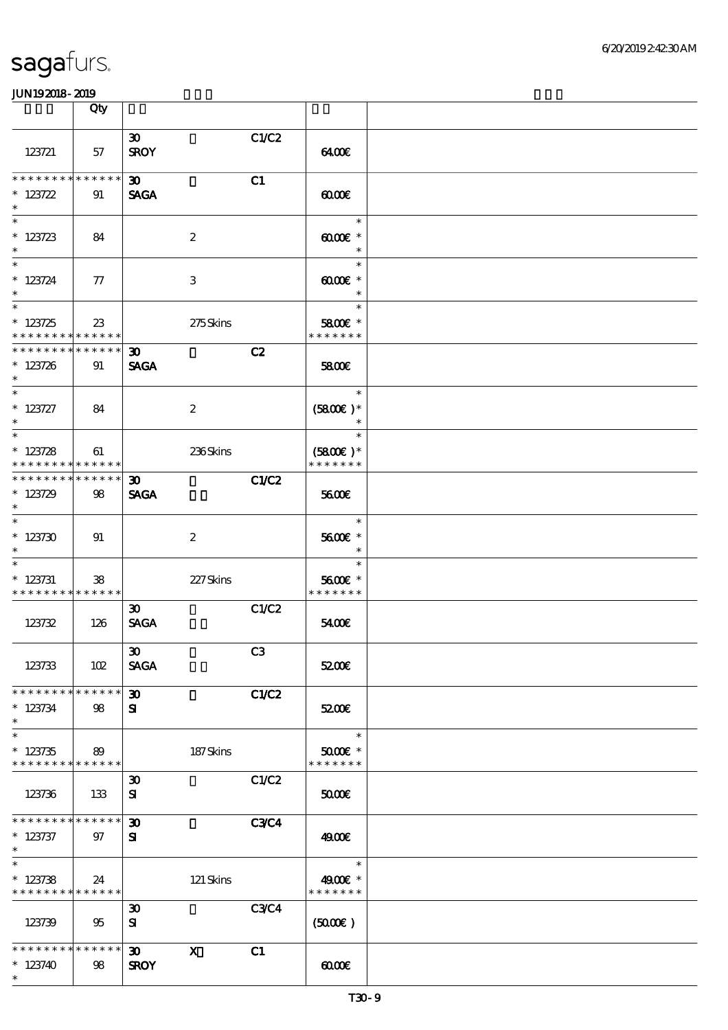|                                                                       | Qty    |                                            |                  |             |                                       |  |
|-----------------------------------------------------------------------|--------|--------------------------------------------|------------------|-------------|---------------------------------------|--|
| 123721                                                                | 57     | 30 <sub>o</sub><br><b>SROY</b>             |                  | C1/C2       | 6400                                  |  |
| * * * * * * * * * * * * * *<br>$* 123722$<br>$\ast$                   | 91     | $\boldsymbol{\mathfrak{D}}$<br><b>SAGA</b> |                  | C1          | $\omega$                              |  |
| $* 123723$<br>$\ast$                                                  | 84     |                                            | $\boldsymbol{2}$ |             | $\ast$<br>$60005$ *<br>$\ast$         |  |
| $\overline{\ast}$<br>$* 123724$<br>$\ast$<br>$\overline{\phantom{0}}$ | $\pi$  |                                            | 3                |             | $\ast$<br>$6000 \text{E}$ *<br>$\ast$ |  |
| $* 123725$<br>* * * * * * * * * * * * * *                             | $23\,$ |                                            | 275Skins         |             | $\ast$<br>5800€ *<br>* * * * * * *    |  |
| * * * * * * * * * * * * * *<br>$* 123726$<br>$\ast$                   | 91     | $30-1$<br><b>SAGA</b>                      |                  | C2          | 5800E                                 |  |
| $\ast$<br>$* 123727$<br>$\ast$<br>$\overline{\ast}$                   | 84     |                                            | $\boldsymbol{2}$ |             | $\ast$<br>$(5800)$ *<br>$\ast$        |  |
| $* 123728$<br>* * * * * * * * <mark>* * * * * * *</mark>              | 61     |                                            | 236Skins         |             | $\ast$<br>$(5800)$ *<br>* * * * * * * |  |
| * * * * * * * * * * * * * * *<br>$*123729$<br>$\ast$                  | 98     | $\boldsymbol{\mathfrak{D}}$<br><b>SAGA</b> |                  | C1/C2       | 5600E                                 |  |
| $\overline{\ast}$<br>$*123730$<br>$\ast$                              | 91     |                                            | $\boldsymbol{2}$ |             | $\ast$<br>5600€ *<br>$\ast$           |  |
| $\ast$<br>$* 123731$<br>* * * * * * * * * * * * * *                   | 38     |                                            | 227Skins         |             | $\ast$<br>5600€ *<br>* * * * * * *    |  |
| 123732                                                                | 126    | $\boldsymbol{\mathfrak{D}}$<br><b>SAGA</b> |                  | C1/C2       | 5400E                                 |  |
| 123733                                                                | 102    | $\boldsymbol{\mathfrak{D}}$<br><b>SAGA</b> |                  | C3          | 5200E                                 |  |
| * * * * * * * * * * * * * *<br>$* 123734$<br>$\ast$                   | 98     | $\boldsymbol{\mathfrak{D}}$<br>${\bf s}$   |                  | C1/C2       | 5200E                                 |  |
| $\overline{\ast}$<br>$*123735$<br>* * * * * * * * * * * * * *         | 89     |                                            | 187Skins         |             | $\ast$<br>$5000$ $*$<br>* * * * * * * |  |
| 123736                                                                | 133    | $\boldsymbol{\mathfrak{D}}$<br>${\bf s}$   |                  | C1/C2       | 50000                                 |  |
| * * * * * * * * * * * * * *<br>$* 123737$<br>$*$                      | 97     | $\boldsymbol{\mathfrak{D}}$<br>${\bf s}$   |                  | <b>C3C4</b> | 4900€                                 |  |
| $\overline{\ast}$<br>$*123738$<br>* * * * * * * * * * * * * *         | 24     |                                            | 121 Skins        |             | $\ast$<br>4900€ *<br>* * * * * * *    |  |
| 123739                                                                | 95     | $\boldsymbol{\mathfrak{D}}$<br>${\bf s}$   |                  | <b>C3C4</b> | (5000)                                |  |
| * * * * * * * * * * * * * *<br>$*123740$<br>$\ast$                    | 98     | 30 <sub>o</sub><br><b>SROY</b>             | $\mathbf{x}$     | C1          | 0000                                  |  |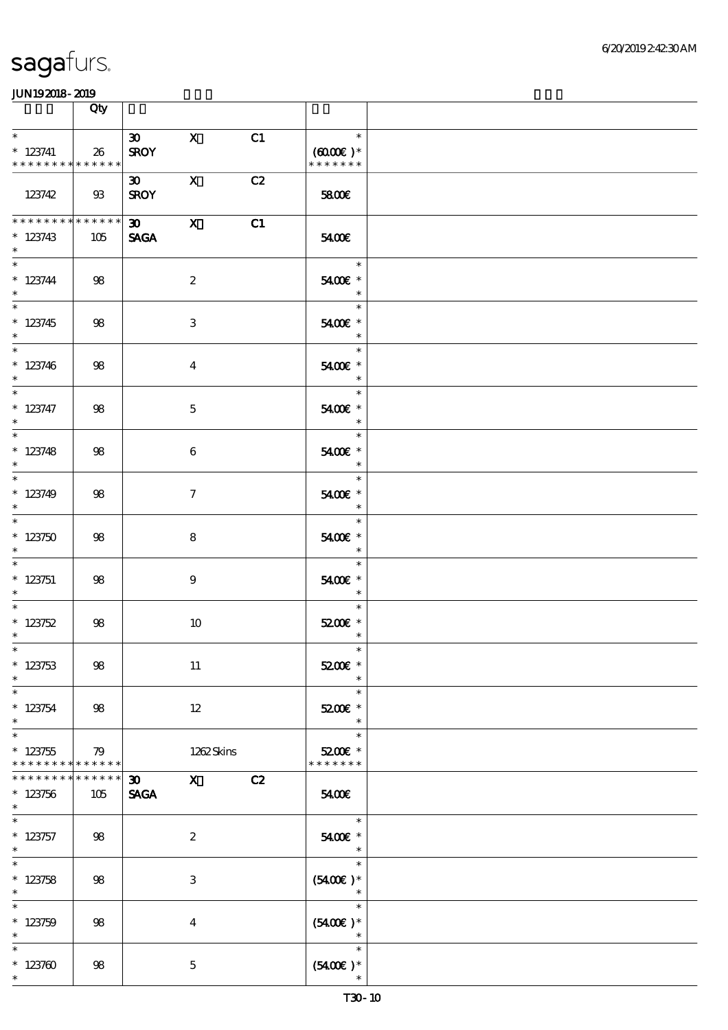|                                                                   | Qty                |                     |                                                                                                                                                                                                                                                                                                                                                                                                                                                               |    |                                                                                          |  |
|-------------------------------------------------------------------|--------------------|---------------------|---------------------------------------------------------------------------------------------------------------------------------------------------------------------------------------------------------------------------------------------------------------------------------------------------------------------------------------------------------------------------------------------------------------------------------------------------------------|----|------------------------------------------------------------------------------------------|--|
| $\overline{\phantom{0}}$                                          |                    | 30                  | $\mathbf{X}$                                                                                                                                                                                                                                                                                                                                                                                                                                                  | C1 | $\overline{\mathbf{r}}$                                                                  |  |
| $*$ 123741<br>* * * * * * * * * * * * * * *                       | 26                 | <b>SROY</b>         |                                                                                                                                                                                                                                                                                                                                                                                                                                                               |    | $(6000\varepsilon)*$<br>* * * * * * *                                                    |  |
| 123742                                                            | 93                 | 30<br><b>SROY</b>   | $\mathbf{X}$                                                                                                                                                                                                                                                                                                                                                                                                                                                  | C2 | 5800€                                                                                    |  |
| **************<br>$*123743$<br>$\ast$                             | 105                | 30 X<br><b>SAGA</b> |                                                                                                                                                                                                                                                                                                                                                                                                                                                               | C1 | 5400E                                                                                    |  |
| $* 123744$<br>$\ast$                                              | 98                 |                     | $\boldsymbol{2}$                                                                                                                                                                                                                                                                                                                                                                                                                                              |    | $\overline{\phantom{a}}$<br>5400€ *<br>$\ast$                                            |  |
| $* 123745$<br>$*$                                                 | 98                 |                     | 3                                                                                                                                                                                                                                                                                                                                                                                                                                                             |    | 5400€ *<br>$\overline{\phantom{a}}$                                                      |  |
| $*$<br>$*123746$<br>$*$                                           | 98                 |                     | $\overline{\mathbf{4}}$                                                                                                                                                                                                                                                                                                                                                                                                                                       |    | $\ast$<br>5400€ *<br>$\overline{\phantom{a}}$                                            |  |
| $*$ 123747<br>$\ast$                                              | 98                 |                     | $\mathbf 5$                                                                                                                                                                                                                                                                                                                                                                                                                                                   |    | $\ast$<br>5400€ *<br>$\overline{\phantom{a}}$                                            |  |
| $\overline{\ast}$<br>$*123748$<br>$\ast$                          | 98                 |                     | 6                                                                                                                                                                                                                                                                                                                                                                                                                                                             |    | $\ast$<br>5400€ *<br>$\overline{\phantom{a}}$                                            |  |
| $*$<br>$*123749$<br>$\ast$                                        | 98                 |                     | $\mathcal{I}$                                                                                                                                                                                                                                                                                                                                                                                                                                                 |    | $\ast$<br>5400€ *<br>$\overline{\phantom{a}}$                                            |  |
| $*123750$<br>$\ast$                                               | 98                 |                     | 8                                                                                                                                                                                                                                                                                                                                                                                                                                                             |    | $\ast$<br>5400€ *<br>$\ast$                                                              |  |
| $*$ 123751<br>$*$                                                 | 98                 |                     | $9^{\circ}$                                                                                                                                                                                                                                                                                                                                                                                                                                                   |    | $\ast$<br>5400€ *<br>$\overline{\phantom{a}}$                                            |  |
| $*$<br>$*123752$<br>$\ast$                                        | 98                 |                     | 10                                                                                                                                                                                                                                                                                                                                                                                                                                                            |    | $\ast$<br>$5200$ $^{\circ}$<br>$\ast$                                                    |  |
| $*$<br>$* 123753$<br>$\ast$                                       | 98                 |                     | 11                                                                                                                                                                                                                                                                                                                                                                                                                                                            |    | $\ast$<br>5200€ *<br>$\ast$                                                              |  |
| $\overline{\ast}$<br>$* 123754$<br>$\ast$                         | 98                 |                     | $12\,$                                                                                                                                                                                                                                                                                                                                                                                                                                                        |    | $\ast$<br>5200E *<br>$\ast$                                                              |  |
| $\ast$<br>$*123755$<br>* * * * * * * * <mark>* * * * * * *</mark> | 79                 |                     | 1262Skins                                                                                                                                                                                                                                                                                                                                                                                                                                                     |    | $\ast$<br>5200€ *<br>* * * * * * *                                                       |  |
| * * * * * * *<br>$*123756$<br>$\ast$                              | * * * * * *<br>105 | 30<br><b>SAGA</b>   | $\boldsymbol{\mathrm{X}}$ and $\boldsymbol{\mathrm{X}}$ and $\boldsymbol{\mathrm{X}}$ and $\boldsymbol{\mathrm{X}}$ and $\boldsymbol{\mathrm{X}}$ and $\boldsymbol{\mathrm{X}}$ and $\boldsymbol{\mathrm{X}}$ and $\boldsymbol{\mathrm{X}}$ and $\boldsymbol{\mathrm{X}}$ and $\boldsymbol{\mathrm{X}}$ and $\boldsymbol{\mathrm{X}}$ and $\boldsymbol{\mathrm{X}}$ and $\boldsymbol{\mathrm{X}}$ and $\boldsymbol{\mathrm{X}}$ and $\boldsymbol{\mathrm{X}}$ | C2 | 5400E                                                                                    |  |
| $\ast$<br>$*$ 123757<br>$\ast$                                    | 98                 |                     | $\boldsymbol{2}$                                                                                                                                                                                                                                                                                                                                                                                                                                              |    | $\overline{\phantom{a}}$<br>5400€ *<br>$\overline{\phantom{a}}$ $\overline{\phantom{a}}$ |  |
| $\overline{\ast}$<br>$* 123758$<br>$\ast$                         | 98                 |                     | 3                                                                                                                                                                                                                                                                                                                                                                                                                                                             |    | $\ast$<br>$(5400)$ *<br>$\overline{\phantom{a}}$                                         |  |
| $\ast$<br>$* 123759$<br>$\ast$                                    | 98                 |                     | $\overline{\mathbf{4}}$                                                                                                                                                                                                                                                                                                                                                                                                                                       |    | $\ast$<br>$(5400)$ *<br>$\overline{\phantom{a}}$                                         |  |
| $\ast$<br>$*123700$<br>$\ast$                                     | 98                 |                     | $\mathbf{5}$                                                                                                                                                                                                                                                                                                                                                                                                                                                  |    | $\ast$<br>$(5400\varepsilon)*$<br>$\ast$                                                 |  |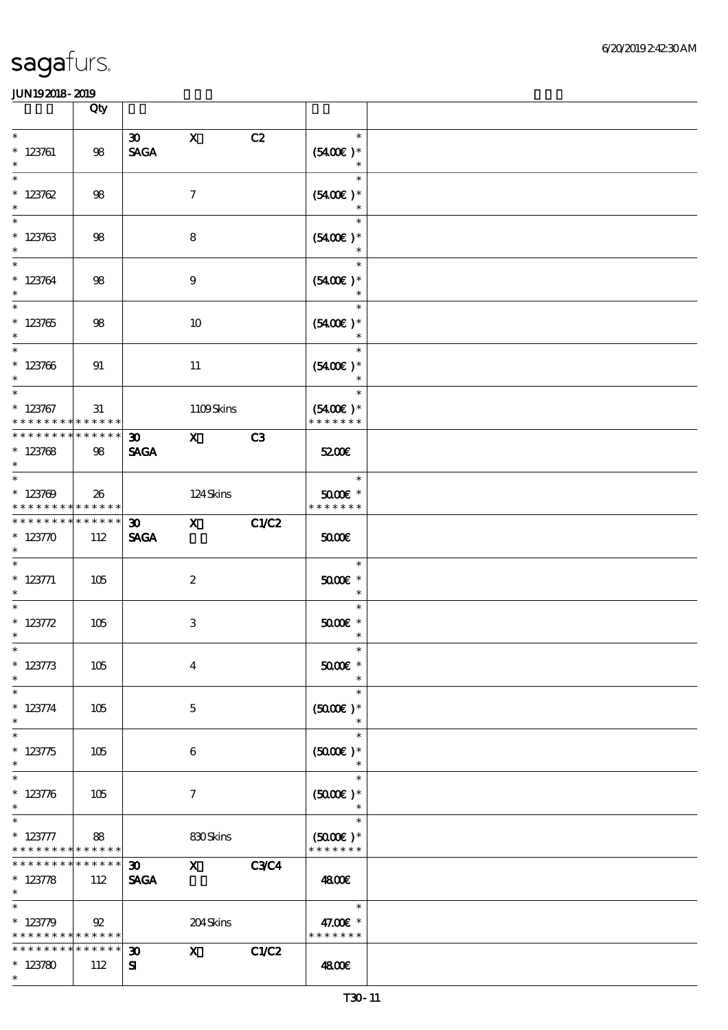|                                                                               | Qty                    |                                            |                                                                                                                                                                                                                                                                                                                                 |             |                                       |  |
|-------------------------------------------------------------------------------|------------------------|--------------------------------------------|---------------------------------------------------------------------------------------------------------------------------------------------------------------------------------------------------------------------------------------------------------------------------------------------------------------------------------|-------------|---------------------------------------|--|
| $\ast$<br>$* 123761$<br>$\ast$                                                | 98                     | $\infty$<br><b>SAGA</b>                    | $\mathbf{x}$                                                                                                                                                                                                                                                                                                                    | C2          | $\ast$<br>$(5400)$ *                  |  |
| $\ast$<br>* 123762                                                            | 98                     |                                            | $\boldsymbol{\tau}$                                                                                                                                                                                                                                                                                                             |             | $\ast$<br>$(5400)$ *<br>$\ast$        |  |
| $\overline{\ast}$<br>$* 123763$<br>$\ast$                                     | 98                     |                                            | ${\bf 8}$                                                                                                                                                                                                                                                                                                                       |             | $\ast$<br>$(5400)$ *                  |  |
| $\overline{\ast}$<br>$* 123764$<br>$\ast$                                     | 98                     |                                            | $\boldsymbol{9}$                                                                                                                                                                                                                                                                                                                |             | $\ast$<br>$(5400)$ *                  |  |
| $\overline{\phantom{0}}$<br>$^\ast$ 123765 $^\ast$                            | 98                     |                                            | 10                                                                                                                                                                                                                                                                                                                              |             | $\ast$<br>$(5400)$ *<br>$\ast$        |  |
| $\overline{\phantom{0}}$<br>$* 123706$<br>$\ast$                              | 91                     |                                            | 11                                                                                                                                                                                                                                                                                                                              |             | $\ast$<br>$(5400)$ *<br>$\ast$        |  |
| $\overline{\ast}$<br>$* 123767$<br>* * * * * * * * <mark>* * * * * * *</mark> | 31                     |                                            | 1109Skins                                                                                                                                                                                                                                                                                                                       |             | $\ast$<br>$(5400)$ *<br>* * * * * * * |  |
| * * * * * * * * * * * * * *<br>$* 123768$<br>$\ast$                           | 98                     | $\boldsymbol{\mathfrak{D}}$<br><b>SAGA</b> | $\mathbf{X}$                                                                                                                                                                                                                                                                                                                    | C3          | 5200E                                 |  |
| $\overline{\ast}$<br>$*123709$<br>* * * * * * * * * * * * * *                 | 26                     |                                            | 124Skins                                                                                                                                                                                                                                                                                                                        |             | $\ast$<br>$5000$ $*$<br>* * * * * * * |  |
| * * * * * * * * * * * * * *<br>$* 12370$<br>$\ast$                            | 112                    | $30-1$<br><b>SAGA</b>                      | $\mathbf x$ and $\mathbf x$ and $\mathbf x$ and $\mathbf x$ and $\mathbf x$ and $\mathbf x$ and $\mathbf x$ and $\mathbf x$ and $\mathbf x$ and $\mathbf x$ and $\mathbf x$ and $\mathbf x$ and $\mathbf x$ and $\mathbf x$ and $\mathbf x$ and $\mathbf x$ and $\mathbf x$ and $\mathbf x$ and $\mathbf x$ and $\mathbf x$ and | C1/C2       | 5000                                  |  |
| $* 123771$<br>$\ast$                                                          | 105                    |                                            | $\boldsymbol{2}$                                                                                                                                                                                                                                                                                                                |             | $\ast$<br>$5000$ $*$<br>$\ast$        |  |
| $\overline{\phantom{0}}$<br>* $123772$<br>$\ast$                              | 105                    |                                            | $\,3\,$                                                                                                                                                                                                                                                                                                                         |             | $\ast$<br>$5000$ $*$<br>$\ast$        |  |
| $*$<br>$* 123773$<br>$\ast$                                                   | 105                    |                                            | $\boldsymbol{4}$                                                                                                                                                                                                                                                                                                                |             | $\ast$<br>$5000$ $*$<br>$\ast$        |  |
| $\ast$<br>$* 123774$<br>$\ast$                                                | 105                    |                                            | $\mathbf 5$                                                                                                                                                                                                                                                                                                                     |             | $\ast$<br>$(5000)$ *<br>$\ast$        |  |
| $\ast$<br>$* 123775$<br>$\ast$                                                | 105                    |                                            | 6                                                                                                                                                                                                                                                                                                                               |             | $\ast$<br>$(5000\varepsilon)*$        |  |
| $\ast$<br>$* 123776$<br>$\ast$                                                | 105                    |                                            | $\boldsymbol{\tau}$                                                                                                                                                                                                                                                                                                             |             | $\ast$<br>$(5000)$ *                  |  |
| $\ast$<br>$* 123777$<br>* * * * * * * * <mark>* * * * * * *</mark>            | 88                     |                                            | 830Skins                                                                                                                                                                                                                                                                                                                        |             | $\ast$<br>$(5000)$ *<br>* * * * * * * |  |
| * * * * * * * *<br>$* 123778$<br>$\ast$                                       | $* * * * * * *$<br>112 | $\boldsymbol{\mathfrak{D}}$<br><b>SAGA</b> | $\mathbf x$                                                                                                                                                                                                                                                                                                                     | <b>C3C4</b> | 4800E                                 |  |
| $\ast$<br>$*123779$<br>* * * * * * * * <mark>* * * * * * *</mark>             | 92                     |                                            | 204Skins                                                                                                                                                                                                                                                                                                                        |             | $\ast$<br>47.00 £*<br>* * * * * * *   |  |
| * * * * * * * *<br>$*123780$<br>$\ast$                                        | * * * * * *<br>112     | $\boldsymbol{\mathfrak{D}}$<br>${\bf s}$   | $\mathbf{x}$                                                                                                                                                                                                                                                                                                                    | C1/C2       | 4800€                                 |  |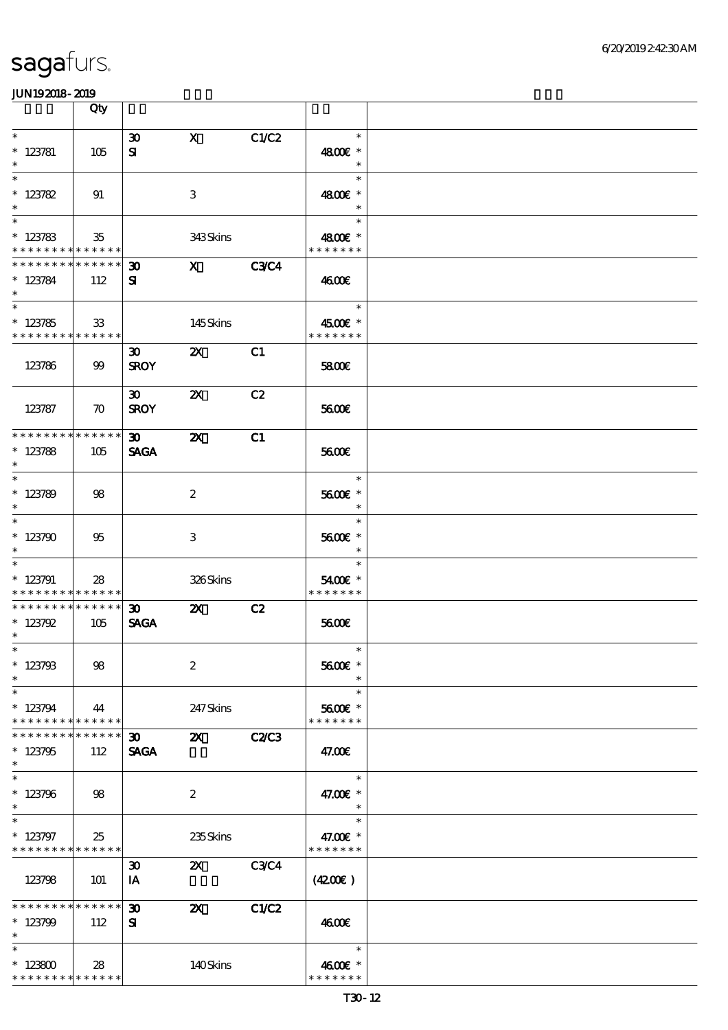|                                                                         | Qty                    |                                          |                           |              |                                              |  |
|-------------------------------------------------------------------------|------------------------|------------------------------------------|---------------------------|--------------|----------------------------------------------|--|
| $\ast$<br>$* 123781$<br>$\ast$                                          | 105                    | $\boldsymbol{\mathfrak{D}}$<br>${\bf s}$ | $\mathbf{X}$              | C1/C2        | $\ast$<br>4800€ *<br>$\ast$                  |  |
| $\ast$<br>$* 123782$<br>$\ast$                                          | 91                     |                                          | 3                         |              | $\ast$<br>4800€ *<br>$\ast$                  |  |
| $\overline{\phantom{0}}$<br>$* 123783$<br>* * * * * * * * * * * * * *   | $35\,$                 |                                          | 343Skins                  |              | $\ast$<br>4800€ *<br>* * * * * * *           |  |
| * * * * * * * * <mark>* * * * * * *</mark><br>$* 123784$<br>$\ast$      | 112                    | $\boldsymbol{\mathfrak{D}}$<br>${\bf s}$ | $\mathbf{X}$              | <b>C3C4</b>  | 4600€                                        |  |
| $\overline{\phantom{0}}$<br>$* 123785$<br>* * * * * * * * * * * * * * * | 33                     |                                          | 145Skins                  |              | 1995 F<br>$\ast$<br>4500€ *<br>* * * * * * * |  |
| 123786                                                                  | 99                     | 30 <sup>2</sup><br><b>SROY</b>           | $\boldsymbol{\mathsf{Z}}$ | C1           | 5800€                                        |  |
| 123787                                                                  | $\boldsymbol{\pi}$     | $\boldsymbol{\infty}$<br><b>SROY</b>     | $\boldsymbol{\mathsf{Z}}$ | C2           | 5600E                                        |  |
| * * * * * * * * * * * * * *<br>$* 123788$<br>$\ast$                     | 105                    | $\infty$<br><b>SAGA</b>                  | $\boldsymbol{\mathsf{X}}$ | C1           | 5600E                                        |  |
| $\overline{\phantom{0}}$<br>$*123789$<br>$\ast$                         | 98                     |                                          | $\boldsymbol{2}$          |              | $\ast$<br>5600€ *<br>$\ast$                  |  |
| $\ast$<br>$*123790$<br>$\ast$                                           | 95                     |                                          | 3                         |              | $\ast$<br>5600€ *<br>$\ast$                  |  |
| $\ast$<br>$*123791$<br>* * * * * * * * <mark>* * * * * * *</mark>       | 28                     |                                          | 326Skins                  |              | $\ast$<br>5400€ *<br>* * * * * * *           |  |
| * * * * * * * * * * * * * *<br>$* 123792$<br>$\ast$                     | 105                    | 30 <sub>o</sub><br><b>SAGA</b>           | $\boldsymbol{\mathsf{Z}}$ | C2           | 5600E                                        |  |
| $*$<br>$* 123793$<br>$\ast$                                             | 98                     |                                          | $\boldsymbol{2}$          |              | $\ast$<br>5600€ *<br>$\ast$                  |  |
| $\ast$<br>$*123794$<br>* * * * * * * *                                  | 44<br>* * * * * *      |                                          | 247 Skins                 |              | $\ast$<br>5600€ *<br>* * * * * * *           |  |
| * * * * * * *<br>$*123795$<br>$\ast$                                    | * * * * * *<br>112     | 30 <sub>o</sub><br><b>SAGA</b>           | $\mathbf{z}$              | <b>C2/C3</b> | 47.00E                                       |  |
| $\ast$<br>$*123796$<br>$\ast$                                           | 98                     |                                          | $\boldsymbol{2}$          |              | $\ast$<br>47.00€ *<br>$\ast$                 |  |
| $\ast$<br>$* 123797$<br>* * * * * * * * * * * * * *                     | 25                     |                                          | 235Skins                  |              | $\ast$<br>47.00€ *<br>* * * * * * *          |  |
| 123798                                                                  | 101                    | $\boldsymbol{\mathfrak{D}}$<br>IA        | $\mathbf{z}$              | <b>C3C4</b>  | (420)                                        |  |
| * * * * * * * *<br>$*123799$<br>$\ast$                                  | $* * * * * * *$<br>112 | $\boldsymbol{\mathfrak{D}}$<br>${\bf s}$ | $\boldsymbol{\mathsf{Z}}$ | <b>C1/C2</b> | 4600E                                        |  |
| $\ast$<br>$*123800$<br>* * * * * * * * * * * * * *                      | 28                     |                                          | 140Skins                  |              | $\ast$<br>4600€ *<br>* * * * * * *           |  |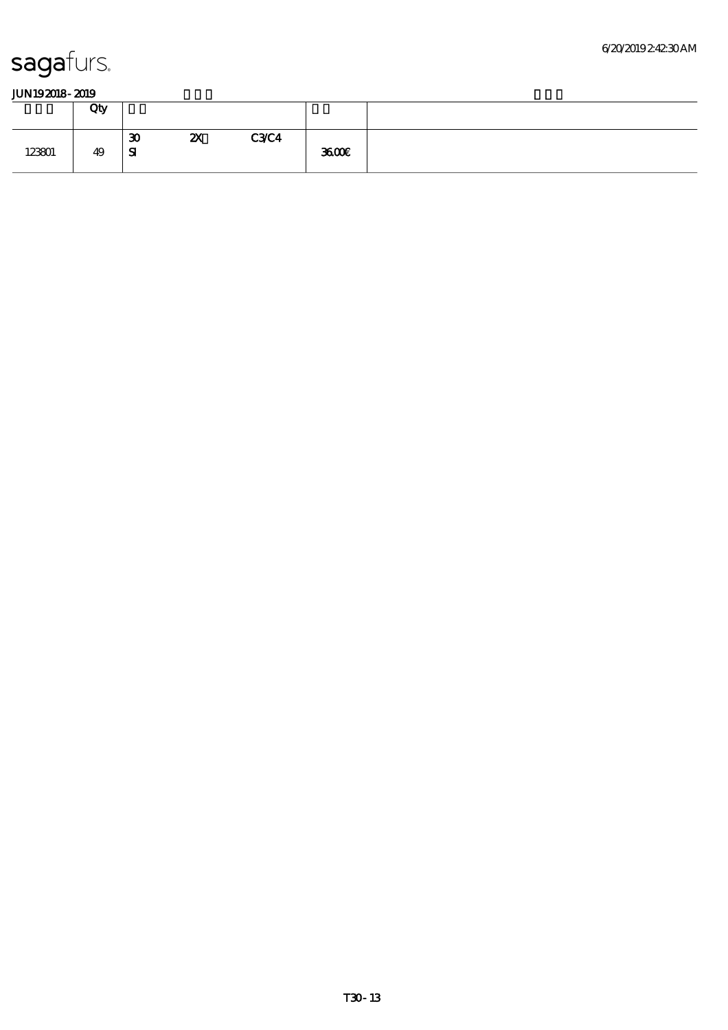|        | Qty |                    |                           |             |      |
|--------|-----|--------------------|---------------------------|-------------|------|
| 123801 | 49  | 30<br>$\mathbf{S}$ | $\boldsymbol{\mathsf{z}}$ | <b>C3C4</b> | 3600 |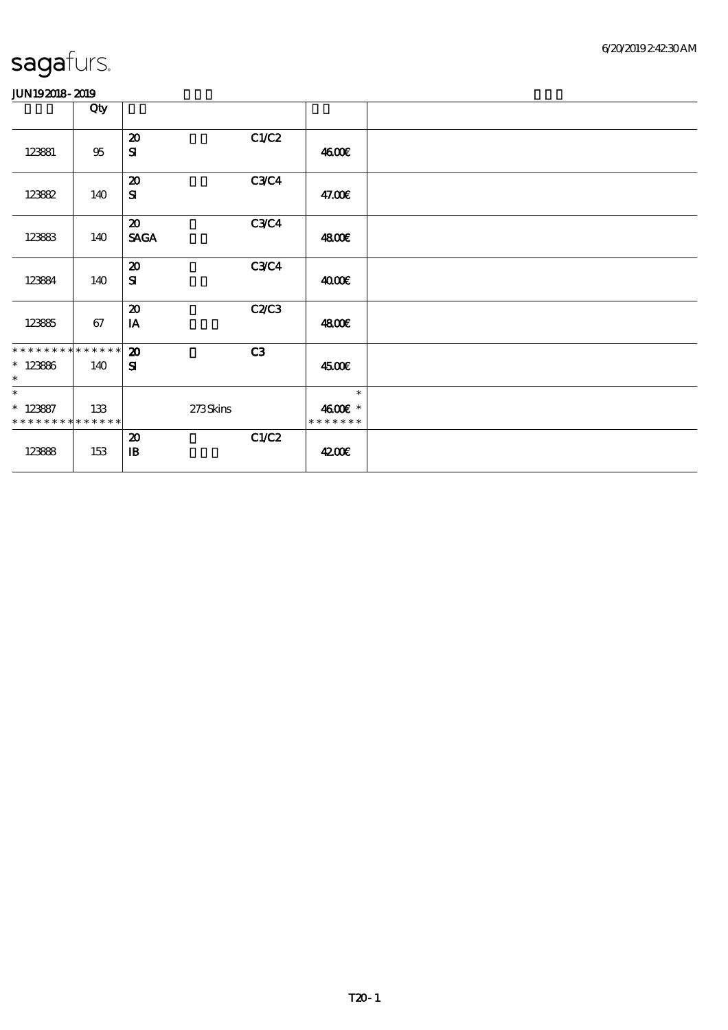|                                           | Qty    |                             |             |                          |  |
|-------------------------------------------|--------|-----------------------------|-------------|--------------------------|--|
|                                           |        | $\boldsymbol{\mathfrak{D}}$ | C1/C2       |                          |  |
| 123881                                    | $95\,$ | ${\bf s}$                   |             | 4600E                    |  |
|                                           |        | $\boldsymbol{\mathsf{20}}$  | <b>C3C4</b> |                          |  |
| 123882                                    | 140    | ${\bf s}$                   |             | 47.00€                   |  |
|                                           |        | $\boldsymbol{\mathfrak{D}}$ | <b>C3C4</b> |                          |  |
| 12383                                     | 140    | <b>SAGA</b>                 |             | 4800€                    |  |
|                                           |        | $\boldsymbol{\mathfrak{D}}$ | C3C4        |                          |  |
| 123884                                    | 140    | ${\bf s}$                   |             | 4000€                    |  |
|                                           |        | $\boldsymbol{\mathsf{20}}$  | C2C3        |                          |  |
| 123885                                    | 67     | IA                          |             | 4800€                    |  |
| **************                            |        | $\boldsymbol{\mathbf{z}}$   | C3          |                          |  |
| $* 123866$<br>$\ast$                      | 140    | ${\bf s}$                   |             | 4500€                    |  |
| $\ast$                                    |        |                             |             | $\ast$                   |  |
| $* 123887$<br>* * * * * * * * * * * * * * | 133    | 273Skins                    |             | 4600€ *<br>* * * * * * * |  |
|                                           |        | $\boldsymbol{\mathsf{20}}$  | C1/C2       |                          |  |
| 12388                                     | 153    | $\mathbf{B}$                |             | 4200€                    |  |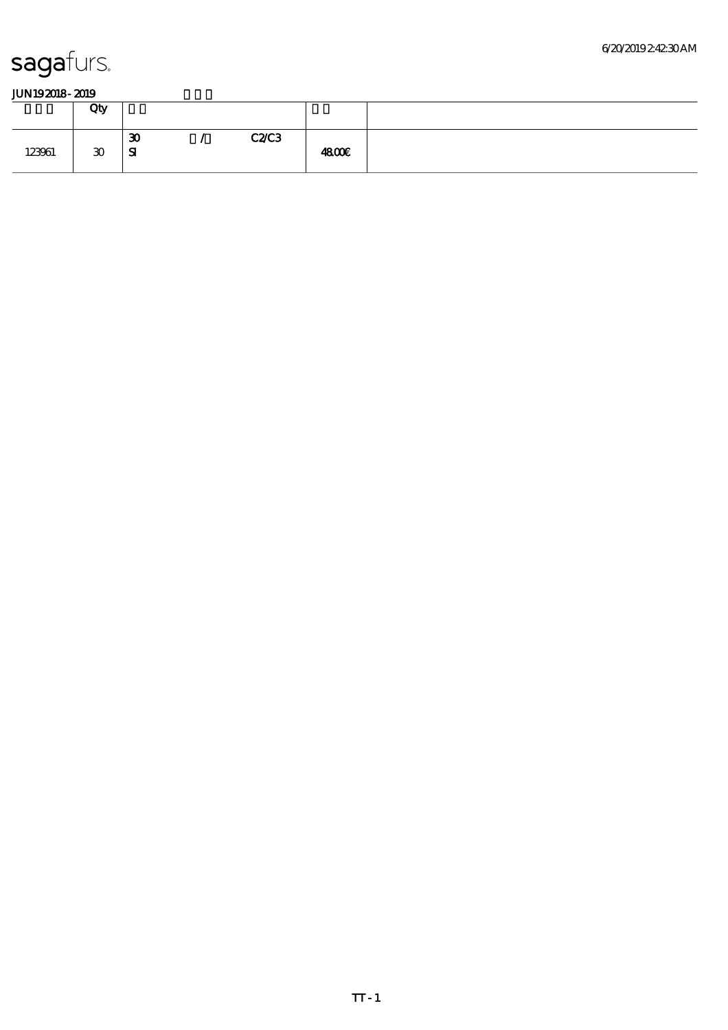|        | Qty |                                  |      |              |  |
|--------|-----|----------------------------------|------|--------------|--|
| 123961 | 30  | $\boldsymbol{\mathfrak{D}}$<br>Я | C2C3 | <b>4800€</b> |  |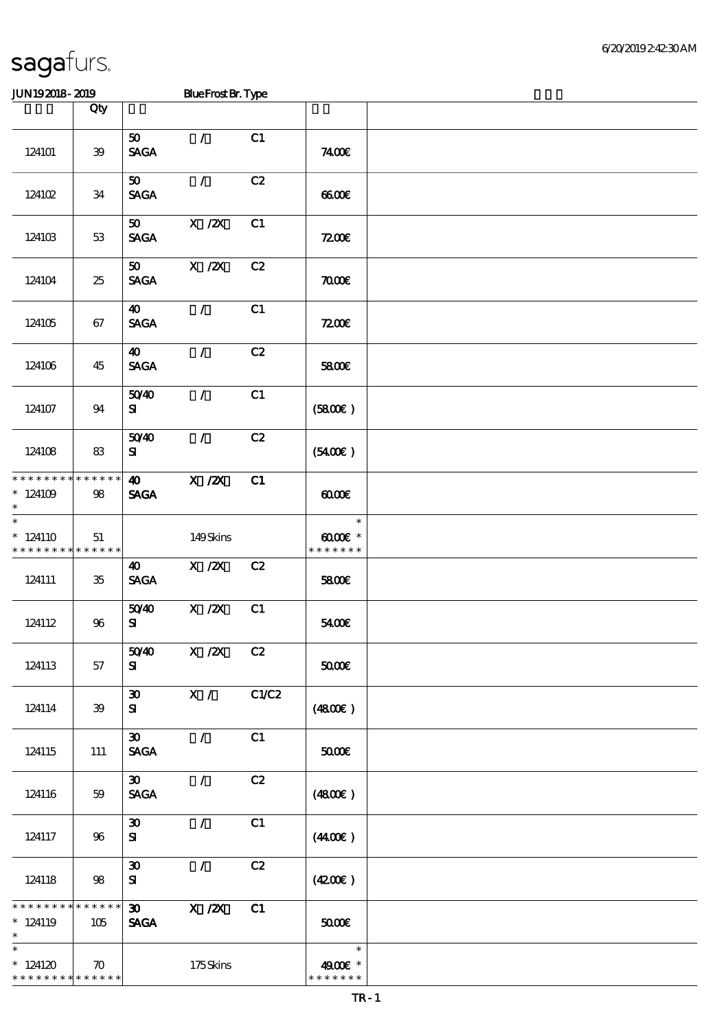\* 124120

\* \* \* \* \* \* \* \* <mark>\* \* \* \* \*</mark>

70 175 Skins

JUN192018-2019 Blue Frost Br. Type

|                                                                   | Qty                    |                                                             |                           |       |                                      |  |
|-------------------------------------------------------------------|------------------------|-------------------------------------------------------------|---------------------------|-------|--------------------------------------|--|
| 124101                                                            | 39                     | 50<br><b>SAGA</b>                                           | $\mathcal{L}$             | C1    | 7400E                                |  |
| 12410 <sub>2</sub>                                                | 34                     | 50<br><b>SAGA</b>                                           | $\mathcal{F}$             | C2    | 6600                                 |  |
| 124103                                                            | 53                     | 50<br><b>SAGA</b>                                           | $X$ / $ZX$                | C1    | 7200                                 |  |
| 124104                                                            | 25                     | 50<br><b>SAGA</b>                                           | $X$ / $ZX$                | C2    | 7000                                 |  |
| 124105                                                            | 67                     | 40<br><b>SAGA</b>                                           | $\mathcal{L}$             | C1    | 7200                                 |  |
| 124106                                                            | 45                     | $\boldsymbol{\omega}$<br><b>SAGA</b>                        | $\mathcal{L}$             | C2    | 5800€                                |  |
| 124107                                                            | 94                     | 5040<br>${\bf s}$                                           | $\mathcal{F}$             | C1    | (5800)                               |  |
| 124108                                                            | 83                     | 5040<br>${\bf s}$                                           | $\mathcal{L}$             | C2    | (5400)                               |  |
| * * * * * * * *<br>$*124109$<br>$\ast$                            | * * * * * *<br>98      | $\boldsymbol{\omega}$<br><b>SAGA</b>                        | $X$ / $ZX$                | C1    | 0000                                 |  |
| $\ast$<br>$*124110$<br>* * * * * * * * <mark>* * * * * * *</mark> | 51                     |                                                             | 149Skins                  |       | $\ast$<br>$00005$ *<br>* * * * * * * |  |
| 124111                                                            | 35                     | 40<br><b>SAGA</b>                                           | $X \, /ZX$                | C2    | 5800E                                |  |
| 124112                                                            | 96                     | 5040<br>${\bf s}$                                           | $X$ / $ZX$                | C1    | 5400E                                |  |
| 124113                                                            | 57                     | 5040<br>${\bf s}$                                           | $X \, /ZX$                | C2    | $50000$                              |  |
| 124114                                                            | 39                     | $\boldsymbol{\mathfrak{D}}$<br>${\bf s}$                    | $\overline{\mathbf{x}}$ / | C1/C2 | (4800)                               |  |
| 124115                                                            | 111                    | $\boldsymbol{\mathfrak{D}}$<br><b>SAGA</b>                  | $\mathcal{L}$             | C1    | 50000                                |  |
| 124116                                                            | 59                     | $\boldsymbol{\mathfrak{D}}$<br>$\ensuremath{\mathsf{SAGA}}$ | $\mathcal{L}$             | C2    | (4800)                               |  |
| 124117                                                            | 96                     | $\boldsymbol{\mathfrak{D}}$<br>${\bf s}$                    | $\mathcal{L}$             | C1    | (440E)                               |  |
| 124118                                                            | 98                     | $\boldsymbol{\mathfrak{D}}$<br>${\bf s}$                    | $\mathcal{L}$             | C2    | (4200)                               |  |
| $* *$<br>$*124119$                                                | * * * * * *<br>$105\,$ | $\boldsymbol{\mathfrak{D}}$<br><b>SAGA</b>                  | X / ZX                    | C1    | 50000                                |  |
| $\ast$                                                            |                        |                                                             |                           |       | $\ast$                               |  |

49.00€\* \* \* \* \* \* \* \*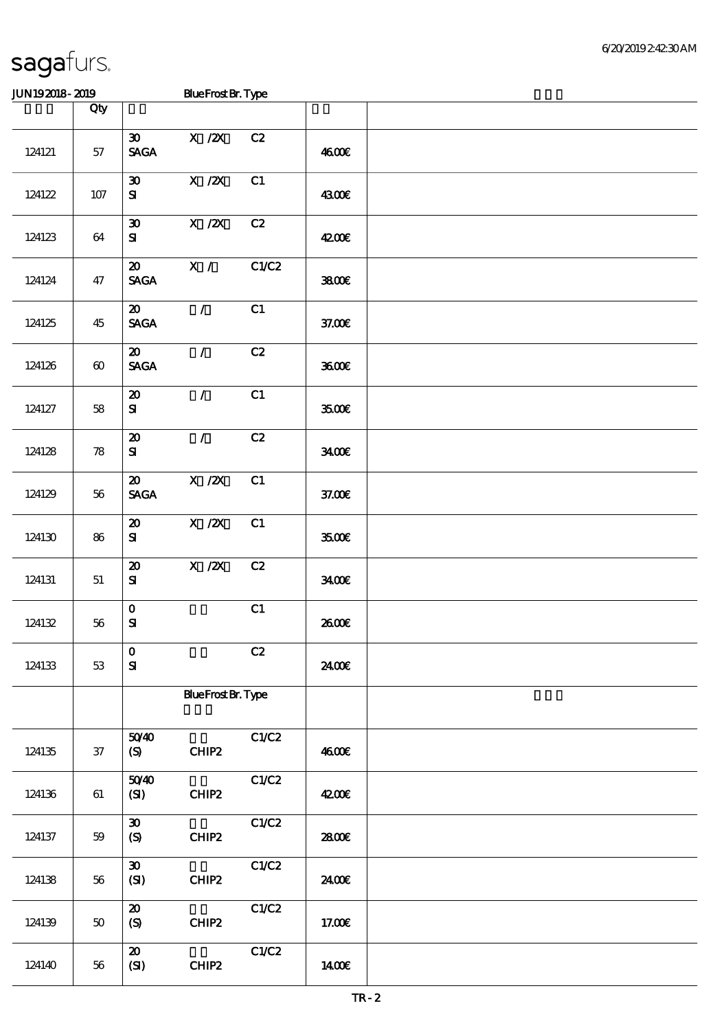### JUN192018-2019 Blue Frost Br. Type

|        | Qty                   |                                                               |                           |       |        |  |
|--------|-----------------------|---------------------------------------------------------------|---------------------------|-------|--------|--|
| 124121 | 57                    | $\boldsymbol{\mathfrak{D}}$<br><b>SAGA</b>                    | $X$ / $ZX$                | C2    | 4600€  |  |
| 124122 | $107$                 | $\boldsymbol{\mathfrak{D}}$<br>${\bf s}$                      | $X$ / $ZX$                | C1    | 4300€  |  |
| 124123 | 64                    | $\boldsymbol{\mathfrak{D}}$<br>${\bf s}$                      | $X$ / $ZX$                | C2    | 4200E  |  |
| 124124 | 47                    | $\boldsymbol{\mathfrak{D}}$<br><b>SAGA</b>                    | X /                       | C1/C2 | 3800   |  |
| 124125 | 45                    | $\boldsymbol{\mathfrak{D}}$<br><b>SAGA</b>                    | $\mathcal{L}$             | C1    | 37.00E |  |
| 124126 | $\boldsymbol{\omega}$ | $\boldsymbol{\mathfrak{D}}$<br>$\operatorname{\mathsf{SAGA}}$ | $\mathcal{L}$             | C2    | 3600E  |  |
| 124127 | 58                    | $\boldsymbol{\mathfrak{D}}$<br>${\bf s}$                      | $\mathcal{L}$             | C1    | 3500€  |  |
| 124128 | 78                    | $\boldsymbol{\mathsf{20}}$<br>${\bf s}$                       | $\mathcal{L}$             | C2    | 3400   |  |
| 124129 | 56                    | $\boldsymbol{\mathfrak{D}}$<br><b>SAGA</b>                    | X / ZX                    | C1    | 37.00E |  |
| 124130 | 86                    | $\boldsymbol{\mathsf{20}}$<br>${\bf s}$                       | $X$ / $ZX$                | C1    | 3500€  |  |
| 124131 | 51                    | $\boldsymbol{\mathfrak{D}}$<br>${\bf s}$                      | $X \, /ZX$                | C2    | 3400   |  |
| 124132 | 56                    | $\mathbf 0$<br>$\mathbf{S}$                                   |                           | C1    | 2600E  |  |
| 124133 | 53                    | $\mathbf{O}$<br>${\bf s}$                                     |                           | C2    | 2400E  |  |
|        |                       |                                                               | <b>BlueFrost Br. Type</b> |       |        |  |
| 124135 | $37\,$                | 5040<br>(S)                                                   | CHIP2                     | C1/C2 | 4600€  |  |
| 124136 | 61                    | 5040<br>(SI)                                                  | CHIP2                     | C1/C2 | 4200E  |  |
| 124137 | 59                    | $\boldsymbol{\mathfrak{D}}$<br>$\boldsymbol{S}$               | CHIP2                     | C1/C2 | 2800E  |  |
| 124138 | 56                    | $\boldsymbol{\mathfrak{D}}$<br>$\mathbf{C}$                   | CHIP2                     | C1/C2 | 2400€  |  |
| 124139 | 50                    | $\boldsymbol{\boldsymbol{\mathrm{20}}}$<br>(S)                | CHIP2                     | C1/C2 | 17.00E |  |
| 124140 | 56                    | $\boldsymbol{\mathfrak{D}}$<br>$\mathbf{C}$                   | CHIP2                     | C1/C2 | 1400E  |  |